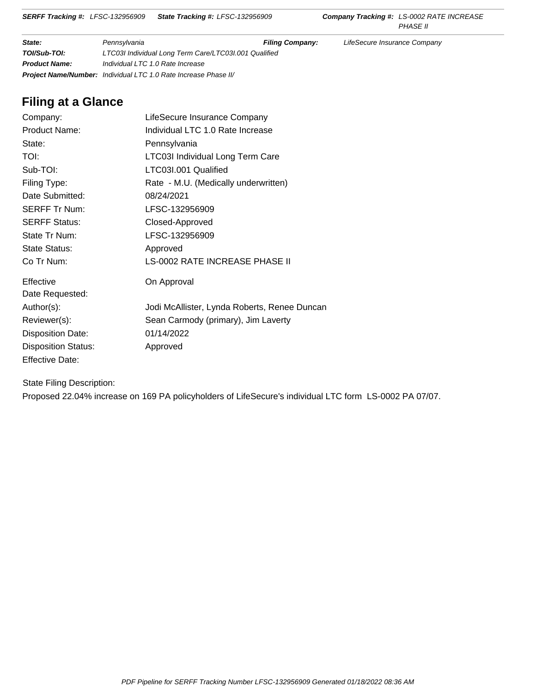# **Filing at a Glance**

| Company:                   | LifeSecure Insurance Company                 |
|----------------------------|----------------------------------------------|
| <b>Product Name:</b>       | Individual LTC 1.0 Rate Increase             |
| State:                     | Pennsylvania                                 |
| TOI:                       | LTC03I Individual Long Term Care             |
| Sub-TOI:                   | LTC03I.001 Qualified                         |
| Filing Type:               | Rate - M.U. (Medically underwritten)         |
| Date Submitted:            | 08/24/2021                                   |
| <b>SERFF Tr Num:</b>       | LFSC-132956909                               |
| <b>SERFF Status:</b>       | Closed-Approved                              |
| State Tr Num:              | LFSC-132956909                               |
| State Status:              | Approved                                     |
| Co Tr Num:                 | LS-0002 RATE INCREASE PHASE II               |
| Effective                  | On Approval                                  |
| Date Requested:            |                                              |
| Author(s):                 | Jodi McAllister, Lynda Roberts, Renee Duncan |
| Reviewer(s):               | Sean Carmody (primary), Jim Laverty          |
| <b>Disposition Date:</b>   | 01/14/2022                                   |
| <b>Disposition Status:</b> | Approved                                     |
| <b>Effective Date:</b>     |                                              |

State Filing Description:

Proposed 22.04% increase on 169 PA policyholders of LifeSecure's individual LTC form LS-0002 PA 07/07.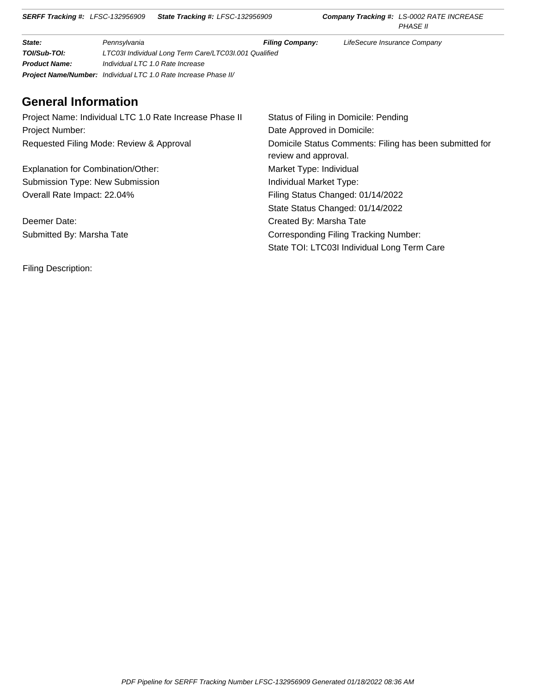# **General Information**

| Project Name: Individual LTC 1.0 Rate Increase Phase II | Status of Filing in Domicile: Pending                                           |
|---------------------------------------------------------|---------------------------------------------------------------------------------|
| Project Number:                                         | Date Approved in Domicile:                                                      |
| Requested Filing Mode: Review & Approval                | Domicile Status Comments: Filing has been submitted for<br>review and approval. |
| Explanation for Combination/Other:                      | Market Type: Individual                                                         |
| <b>Submission Type: New Submission</b>                  | Individual Market Type:                                                         |
| Overall Rate Impact: 22.04%                             | Filing Status Changed: 01/14/2022                                               |
|                                                         | State Status Changed: 01/14/2022                                                |
| Deemer Date:                                            | Created By: Marsha Tate                                                         |
| Submitted By: Marsha Tate                               | Corresponding Filing Tracking Number:                                           |
|                                                         | State TOI: LTC03I Individual Long Term Care                                     |

Filing Description: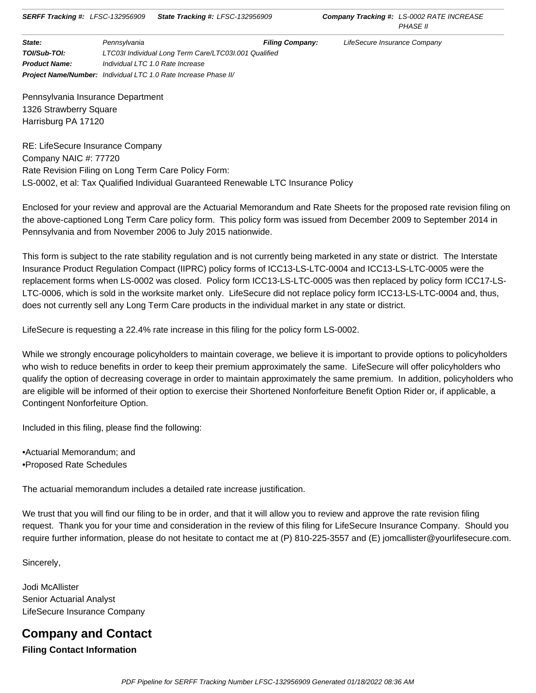Pennsylvania Insurance Department 1326 Strawberry Square Harrisburg PA 17120

RE: LifeSecure Insurance Company Company NAIC #: 77720 Rate Revision Filing on Long Term Care Policy Form: LS-0002, et al: Tax Qualified Individual Guaranteed Renewable LTC Insurance Policy

Enclosed for your review and approval are the Actuarial Memorandum and Rate Sheets for the proposed rate revision filing on the above-captioned Long Term Care policy form. This policy form was issued from December 2009 to September 2014 in Pennsylvania and from November 2006 to July 2015 nationwide.

This form is subject to the rate stability regulation and is not currently being marketed in any state or district. The Interstate Insurance Product Regulation Compact (IIPRC) policy forms of ICC13-LS-LTC-0004 and ICC13-LS-LTC-0005 were the replacement forms when LS-0002 was closed. Policy form ICC13-LS-LTC-0005 was then replaced by policy form ICC17-LS-LTC-0006, which is sold in the worksite market only. LifeSecure did not replace policy form ICC13-LS-LTC-0004 and, thus, does not currently sell any Long Term Care products in the individual market in any state or district.

LifeSecure is requesting a 22.4% rate increase in this filing for the policy form LS-0002.

While we strongly encourage policyholders to maintain coverage, we believe it is important to provide options to policyholders who wish to reduce benefits in order to keep their premium approximately the same. LifeSecure will offer policyholders who qualify the option of decreasing coverage in order to maintain approximately the same premium. In addition, policyholders who are eligible will be informed of their option to exercise their Shortened Nonforfeiture Benefit Option Rider or, if applicable, a Contingent Nonforfeiture Option.

Included in this filing, please find the following:

•Actuarial Memorandum; and •Proposed Rate Schedules

The actuarial memorandum includes a detailed rate increase justification.

We trust that you will find our filing to be in order, and that it will allow you to review and approve the rate revision filing request. Thank you for your time and consideration in the review of this filing for LifeSecure Insurance Company. Should you require further information, please do not hesitate to contact me at (P) 810-225-3557 and (E) jomcallister@yourlifesecure.com.

Sincerely,

Jodi McAllister Senior Actuarial Analyst LifeSecure Insurance Company

# **Company and Contact Filing Contact Information**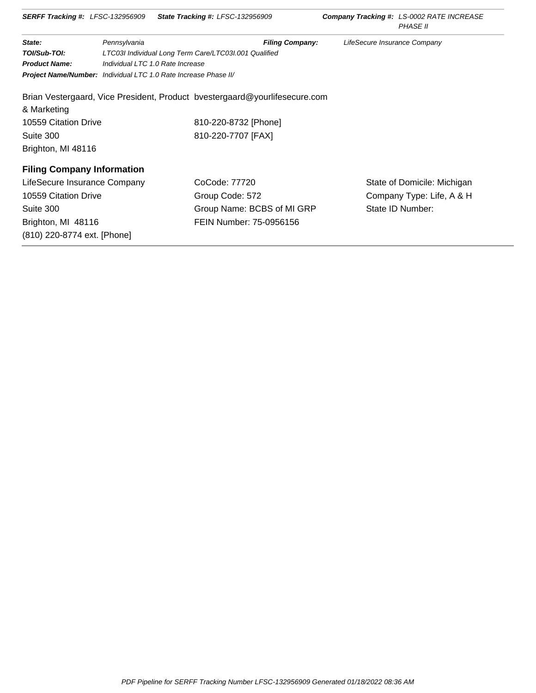| <b>SERFF Tracking #: LFSC-132956909</b> |                                                                 | <b>State Tracking #: LFSC-132956909</b>                                    |                              | <b>Company Tracking #: LS-0002 RATE INCREASE</b><br><b>PHASE II</b> |
|-----------------------------------------|-----------------------------------------------------------------|----------------------------------------------------------------------------|------------------------------|---------------------------------------------------------------------|
| State:                                  | Pennsylvania                                                    | <b>Filing Company:</b>                                                     | LifeSecure Insurance Company |                                                                     |
| TOI/Sub-TOI:                            |                                                                 | LTC03I Individual Long Term Care/LTC03I.001 Qualified                      |                              |                                                                     |
| <b>Product Name:</b>                    | Individual LTC 1.0 Rate Increase                                |                                                                            |                              |                                                                     |
|                                         | Project Name/Number: Individual LTC 1.0 Rate Increase Phase II/ |                                                                            |                              |                                                                     |
|                                         |                                                                 | Brian Vestergaard, Vice President, Product bvestergaard@yourlifesecure.com |                              |                                                                     |
| & Marketing                             |                                                                 |                                                                            |                              |                                                                     |
| 10559 Citation Drive                    |                                                                 | 810-220-8732 [Phone]                                                       |                              |                                                                     |
| Suite 300                               |                                                                 | 810-220-7707 [FAX]                                                         |                              |                                                                     |
| Brighton, MI 48116                      |                                                                 |                                                                            |                              |                                                                     |
| <b>Filing Company Information</b>       |                                                                 |                                                                            |                              |                                                                     |
| LifeSecure Insurance Company            |                                                                 | CoCode: 77720                                                              |                              | State of Domicile: Michigan                                         |
| 10559 Citation Drive                    |                                                                 | Group Code: 572                                                            |                              | Company Type: Life, A & H                                           |
| Suite 300                               |                                                                 | Group Name: BCBS of MI GRP                                                 |                              | State ID Number:                                                    |
| Brighton, MI 48116                      |                                                                 | FEIN Number: 75-0956156                                                    |                              |                                                                     |
| (810) 220-8774 ext. [Phone]             |                                                                 |                                                                            |                              |                                                                     |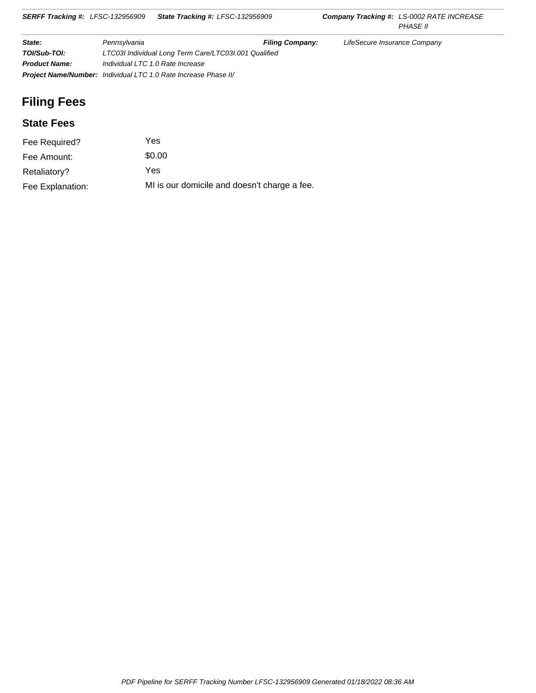| State:               | Pennsylvania                                                           | <b>Filing Company:</b> | LifeSecure Insurance Company |
|----------------------|------------------------------------------------------------------------|------------------------|------------------------------|
| TOI/Sub-TOI:         | LTC03I Individual Long Term Care/LTC03I.001 Qualified                  |                        |                              |
| <b>Product Name:</b> | Individual LTC 1.0 Rate Increase                                       |                        |                              |
|                      | <b>Project Name/Number:</b> Individual LTC 1.0 Rate Increase Phase II/ |                        |                              |

# **Filing Fees**

# **State Fees**

| Fee Required?    | Yes                                          |
|------------------|----------------------------------------------|
| Fee Amount:      | \$0.00                                       |
| Retaliatory?     | Yes                                          |
| Fee Explanation: | MI is our domicile and doesn't charge a fee. |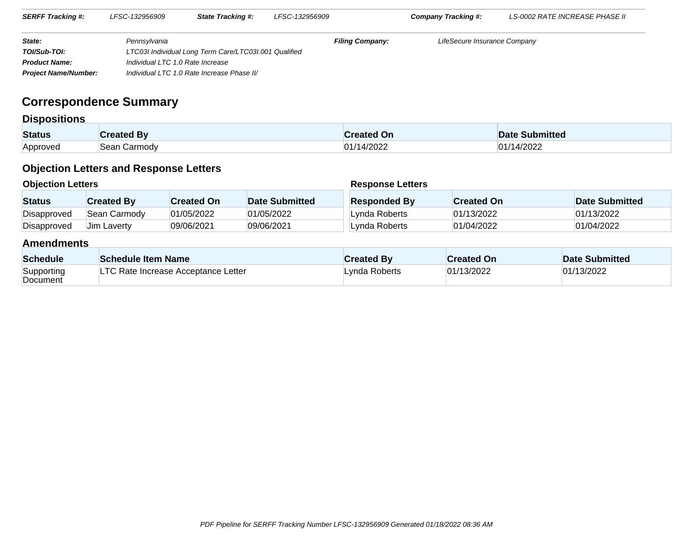| <b>SERFF Tracking #:</b>    | LFSC-132956909                   | <b>State Tracking #:</b>                              | LFSC-132956909         | Company Tracking #:          | LS-0002 RATE INCREASE PHASE II |  |
|-----------------------------|----------------------------------|-------------------------------------------------------|------------------------|------------------------------|--------------------------------|--|
| State:                      | Pennsvlvania                     |                                                       | <b>Filing Company:</b> | LifeSecure Insurance Company |                                |  |
| TOI/Sub-TOI:                |                                  | LTC03I Individual Long Term Care/LTC03I.001 Qualified |                        |                              |                                |  |
| <b>Product Name:</b>        | Individual LTC 1.0 Rate Increase |                                                       |                        |                              |                                |  |
| <b>Project Name/Number:</b> |                                  | Individual LTC 1.0 Rate Increase Phase II/            |                        |                              |                                |  |

# **Correspondence Summary**

# **Dispositions**

| <b>Status</b>   |                  | .UI   | <b>Submitted</b><br>Date   |
|-----------------|------------------|-------|----------------------------|
| <b>Annroved</b> | ∶armodv<br>`∩ר∩` | /2022 | /2022<br>⌒⊿<br>$^{\prime}$ |

# **Objection Letters and Response Letters**

| <b>Objection Letters</b> |                    |                   |                | <b>Response Letters</b> |                   |                |  |
|--------------------------|--------------------|-------------------|----------------|-------------------------|-------------------|----------------|--|
| <b>Status</b>            | <b>Created By</b>  | <b>Created On</b> | Date Submitted | <b>Responded By</b>     | <b>Created On</b> | Date Submitted |  |
| Disapproved              | Sean Carmody       | 01/05/2022        | 01/05/2022     | Lynda Roberts           | 01/13/2022        | 01/13/2022     |  |
| Disapproved              | <b>Jim Laverty</b> | 09/06/2021        | 09/06/2021     | Lynda Roberts           | 01/04/2022        | 01/04/2022     |  |

# **Amendments**

| <b>Schedule</b>        | <b>Schedule Item Name</b>           | <b>Created Bv</b> | <b>Created On</b> | Date Submitted |
|------------------------|-------------------------------------|-------------------|-------------------|----------------|
| Supporting<br>Document | LTC Rate Increase Acceptance Letter | Lvnda Roberts     | 01/13/2022        | 01/13/2022     |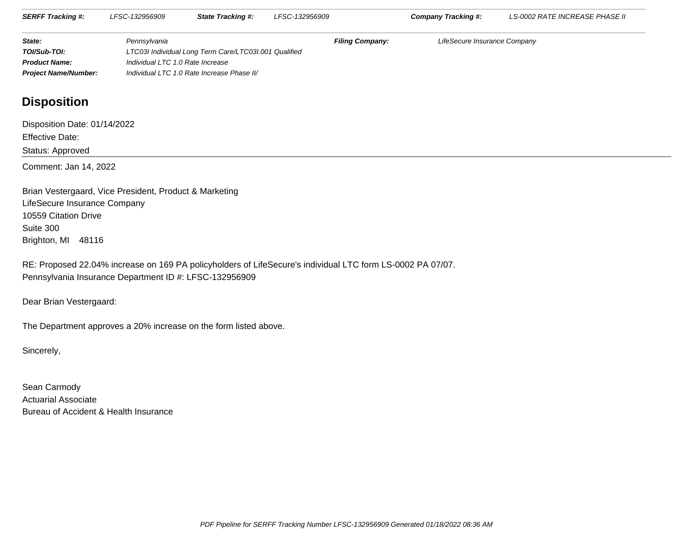| <b>SERFF Tracking #:</b>    | LFSC-132956909                   | <b>State Tracking #:</b>                              | LFSC-132956909         | <b>Company Tracking #:</b>   | LS-0002 RATE INCREASE PHASE II |
|-----------------------------|----------------------------------|-------------------------------------------------------|------------------------|------------------------------|--------------------------------|
| State:                      | Pennsvlvania                     |                                                       | <b>Filing Company:</b> | LifeSecure Insurance Company |                                |
| TOI/Sub-TOI:                |                                  | LTC03I Individual Long Term Care/LTC03I.001 Qualified |                        |                              |                                |
| <b>Product Name:</b>        | Individual LTC 1.0 Rate Increase |                                                       |                        |                              |                                |
| <b>Project Name/Number:</b> |                                  | Individual LTC 1.0 Rate Increase Phase II/            |                        |                              |                                |

# **Disposition**

Disposition Date: 01/14/2022Effective Date:Status: ApprovedComment: Jan 14, 2022

Brian Vestergaard, Vice President, Product & MarketingLifeSecure Insurance Company10559 Citation DriveSuite 300Brighton, MI 48116

RE: Proposed 22.04% increase on 169 PA policyholders of LifeSecure's individual LTC form LS-0002 PA 07/07.Pennsylvania Insurance Department ID #: LFSC-132956909

Dear Brian Vestergaard:

The Department approves a 20% increase on the form listed above.

Sincerely,

Sean Carmody Actuarial AssociateBureau of Accident & Health Insurance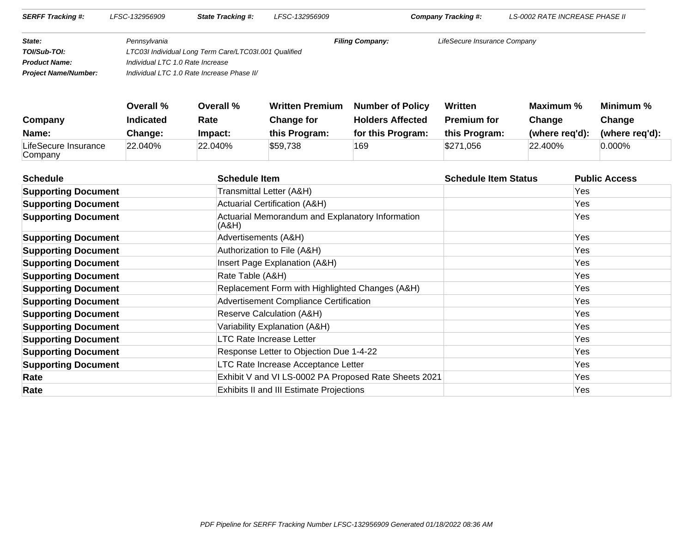| <b>SERFF Tracking #:</b>    | LFSC-132956909                   | <b>State Tracking #:</b>                              | LFSC-132956909         | Company Tracking #:          | <i>LS-0002 RATE INCREASE PHASE II</i> |  |
|-----------------------------|----------------------------------|-------------------------------------------------------|------------------------|------------------------------|---------------------------------------|--|
| State:                      | Pennsvlvania                     |                                                       | <b>Filing Company:</b> | LifeSecure Insurance Company |                                       |  |
| TOI/Sub-TOI:                |                                  | LTC03I Individual Long Term Care/LTC03I.001 Qualified |                        |                              |                                       |  |
| <b>Product Name:</b>        | Individual LTC 1.0 Rate Increase |                                                       |                        |                              |                                       |  |
| <b>Project Name/Number:</b> |                                  | Individual LTC 1.0 Rate Increase Phase II/            |                        |                              |                                       |  |

|                                 | Overall %        | Overall %  | <b>Written Premium</b> | <b>Number of Policy</b> | <b>Written</b>     | Maximum %      | Minimum %      |
|---------------------------------|------------------|------------|------------------------|-------------------------|--------------------|----------------|----------------|
| Company                         | <b>Indicated</b> | Rate       | <b>Change for</b>      | <b>Holders Affected</b> | <b>Premium for</b> | Change         | Change         |
| Name:                           | Change:          | Impact:    | this Program:          | for this Program:       | this Program:      | (where reg'd): | (where reg'd): |
| LifeSecure Insurance<br>Company | 22.040%          | $22.040\%$ | \$59,738               | 169                     | \$271,056          | 22.400%        | $0.000\%$      |

| <b>Schedule</b><br><b>Schedule Item</b> |                                                           | <b>Schedule Item Status</b> | <b>Public Access</b> |  |
|-----------------------------------------|-----------------------------------------------------------|-----------------------------|----------------------|--|
| <b>Supporting Document</b>              | Transmittal Letter (A&H)                                  |                             | Yes                  |  |
| <b>Supporting Document</b>              | <b>Actuarial Certification (A&amp;H)</b>                  |                             | Yes                  |  |
| <b>Supporting Document</b>              | Actuarial Memorandum and Explanatory Information<br>(A&H) |                             | Yes                  |  |
| <b>Supporting Document</b>              | Advertisements (A&H)                                      |                             | Yes                  |  |
| <b>Supporting Document</b>              | Authorization to File (A&H)                               |                             | Yes.                 |  |
| <b>Supporting Document</b>              | Insert Page Explanation (A&H)                             |                             | Yes.                 |  |
| <b>Supporting Document</b>              | Rate Table (A&H)                                          |                             | Yes                  |  |
| <b>Supporting Document</b>              | Replacement Form with Highlighted Changes (A&H)           |                             | Yes                  |  |
| <b>Supporting Document</b>              | <b>Advertisement Compliance Certification</b>             |                             | Yes                  |  |
| <b>Supporting Document</b>              | Reserve Calculation (A&H)                                 |                             | Yes.                 |  |
| <b>Supporting Document</b>              | Variability Explanation (A&H)                             |                             | Yes.                 |  |
| <b>Supporting Document</b>              | <b>LTC Rate Increase Letter</b>                           |                             | Yes.                 |  |
| <b>Supporting Document</b>              | Response Letter to Objection Due 1-4-22                   |                             | Yes                  |  |
| <b>Supporting Document</b>              | LTC Rate Increase Acceptance Letter                       |                             | Yes.                 |  |
| Rate                                    | Exhibit V and VI LS-0002 PA Proposed Rate Sheets 2021     |                             | Yes.                 |  |
| Rate                                    | <b>Exhibits II and III Estimate Projections</b>           |                             | Yes                  |  |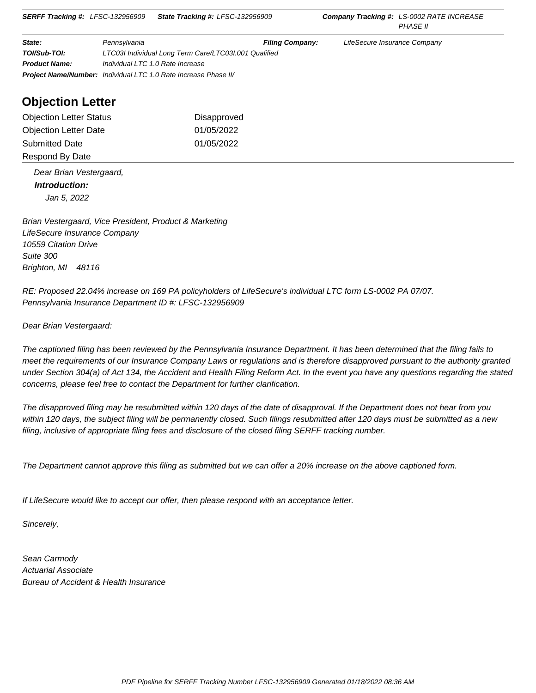| State:               | Pennsylvania                                                           | <b>Filing Company:</b> | LifeSecure Insurance Company |  |  |
|----------------------|------------------------------------------------------------------------|------------------------|------------------------------|--|--|
| TOI/Sub-TOI:         | LTC03I Individual Long Term Care/LTC03I.001 Qualified                  |                        |                              |  |  |
| <b>Product Name:</b> | Individual LTC 1.0 Rate Increase                                       |                        |                              |  |  |
|                      | <b>Project Name/Number:</b> Individual LTC 1.0 Rate Increase Phase II/ |                        |                              |  |  |

# **Objection Letter**

| <b>Objection Letter Status</b> | Disapproved |
|--------------------------------|-------------|
| <b>Objection Letter Date</b>   | 01/05/2022  |
| <b>Submitted Date</b>          | 01/05/2022  |
| Respond By Date                |             |

 Dear Brian Vestergaard,  **Introduction:** Jan 5, 2022

Brian Vestergaard, Vice President, Product & Marketing LifeSecure Insurance Company 10559 Citation Drive Suite 300 Brighton, MI 48116

RE: Proposed 22.04% increase on 169 PA policyholders of LifeSecure's individual LTC form LS-0002 PA 07/07. Pennsylvania Insurance Department ID #: LFSC-132956909

Dear Brian Vestergaard:

The captioned filing has been reviewed by the Pennsylvania Insurance Department. It has been determined that the filing fails to meet the requirements of our Insurance Company Laws or regulations and is therefore disapproved pursuant to the authority granted under Section 304(a) of Act 134, the Accident and Health Filing Reform Act. In the event you have any questions regarding the stated concerns, please feel free to contact the Department for further clarification.

The disapproved filing may be resubmitted within 120 days of the date of disapproval. If the Department does not hear from you within 120 days, the subject filing will be permanently closed. Such filings resubmitted after 120 days must be submitted as a new filing, inclusive of appropriate filing fees and disclosure of the closed filing SERFF tracking number.

The Department cannot approve this filing as submitted but we can offer a 20% increase on the above captioned form.

If LifeSecure would like to accept our offer, then please respond with an acceptance letter.

Sincerely,

Sean Carmody Actuarial Associate Bureau of Accident & Health Insurance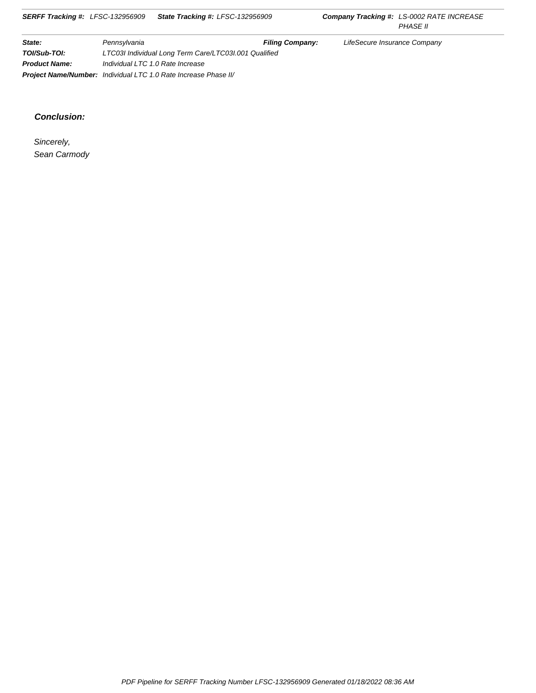#### **Conclusion:**

 Sincerely, Sean Carmody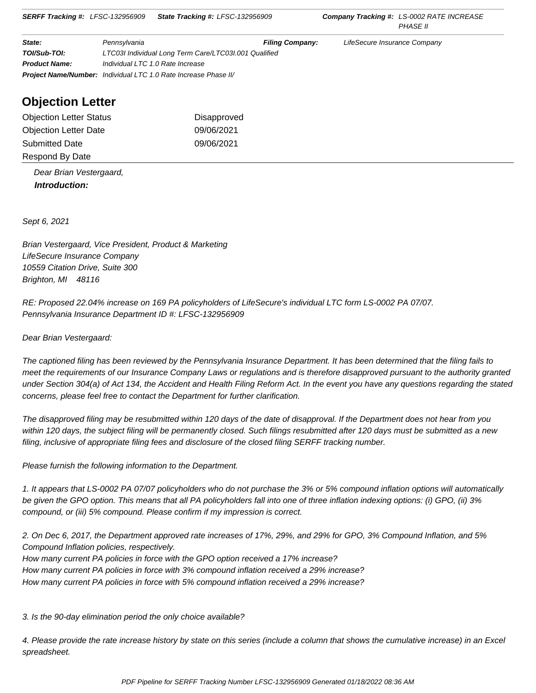| State:               | Pennsylvania                                                           | <b>Filing Company:</b> | LifeSecure Insurance Company |  |  |
|----------------------|------------------------------------------------------------------------|------------------------|------------------------------|--|--|
| TOI/Sub-TOI:         | LTC03I Individual Long Term Care/LTC03I.001 Qualified                  |                        |                              |  |  |
| <b>Product Name:</b> | Individual LTC 1.0 Rate Increase                                       |                        |                              |  |  |
|                      | <b>Project Name/Number:</b> Individual LTC 1.0 Rate Increase Phase II/ |                        |                              |  |  |

# **Objection Letter**

| <b>Objection Letter Status</b> | Disapproved |
|--------------------------------|-------------|
| <b>Objection Letter Date</b>   | 09/06/2021  |
| <b>Submitted Date</b>          | 09/06/2021  |
| Respond By Date                |             |

 Dear Brian Vestergaard,  **Introduction:**

Sept 6, 2021

Brian Vestergaard, Vice President, Product & Marketing LifeSecure Insurance Company 10559 Citation Drive, Suite 300 Brighton, MI 48116

RE: Proposed 22.04% increase on 169 PA policyholders of LifeSecure's individual LTC form LS-0002 PA 07/07. Pennsylvania Insurance Department ID #: LFSC-132956909

Dear Brian Vestergaard:

The captioned filing has been reviewed by the Pennsylvania Insurance Department. It has been determined that the filing fails to meet the requirements of our Insurance Company Laws or regulations and is therefore disapproved pursuant to the authority granted under Section 304(a) of Act 134, the Accident and Health Filing Reform Act. In the event you have any questions regarding the stated concerns, please feel free to contact the Department for further clarification.

The disapproved filing may be resubmitted within 120 days of the date of disapproval. If the Department does not hear from you within 120 days, the subject filing will be permanently closed. Such filings resubmitted after 120 days must be submitted as a new filing, inclusive of appropriate filing fees and disclosure of the closed filing SERFF tracking number.

Please furnish the following information to the Department.

1. It appears that LS-0002 PA 07/07 policyholders who do not purchase the 3% or 5% compound inflation options will automatically be given the GPO option. This means that all PA policyholders fall into one of three inflation indexing options: (i) GPO, (ii) 3% compound, or (iii) 5% compound. Please confirm if my impression is correct.

2. On Dec 6, 2017, the Department approved rate increases of 17%, 29%, and 29% for GPO, 3% Compound Inflation, and 5% Compound Inflation policies, respectively. How many current PA policies in force with the GPO option received a 17% increase? How many current PA policies in force with 3% compound inflation received a 29% increase?

How many current PA policies in force with 5% compound inflation received a 29% increase?

3. Is the 90-day elimination period the only choice available?

4. Please provide the rate increase history by state on this series (include a column that shows the cumulative increase) in an Excel spreadsheet.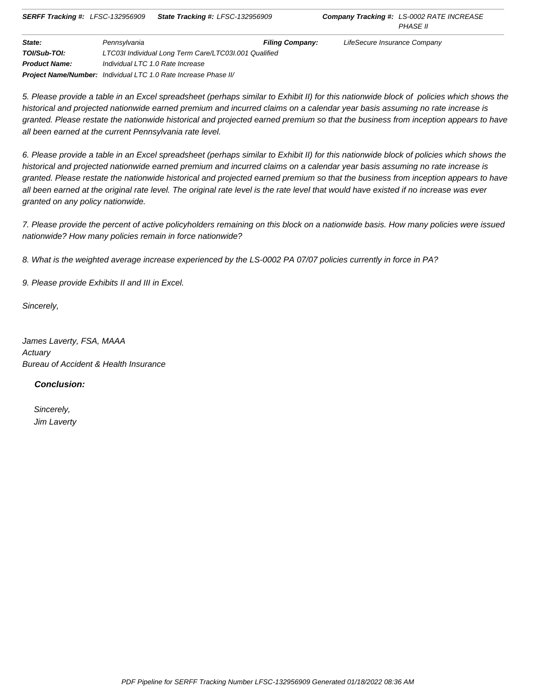| State:               | Pennsylvania                                                           | <b>Filing Company:</b> | LifeSecure Insurance Company |
|----------------------|------------------------------------------------------------------------|------------------------|------------------------------|
| TOI/Sub-TOI:         | LTC03I Individual Long Term Care/LTC03I.001 Qualified                  |                        |                              |
| <b>Product Name:</b> | Individual LTC 1.0 Rate Increase                                       |                        |                              |
|                      | <b>Project Name/Number:</b> Individual LTC 1.0 Rate Increase Phase II/ |                        |                              |

5. Please provide a table in an Excel spreadsheet (perhaps similar to Exhibit II) for this nationwide block of policies which shows the historical and projected nationwide earned premium and incurred claims on a calendar year basis assuming no rate increase is granted. Please restate the nationwide historical and projected earned premium so that the business from inception appears to have all been earned at the current Pennsylvania rate level.

6. Please provide a table in an Excel spreadsheet (perhaps similar to Exhibit II) for this nationwide block of policies which shows the historical and projected nationwide earned premium and incurred claims on a calendar year basis assuming no rate increase is granted. Please restate the nationwide historical and projected earned premium so that the business from inception appears to have all been earned at the original rate level. The original rate level is the rate level that would have existed if no increase was ever granted on any policy nationwide.

7. Please provide the percent of active policyholders remaining on this block on a nationwide basis. How many policies were issued nationwide? How many policies remain in force nationwide?

8. What is the weighted average increase experienced by the LS-0002 PA 07/07 policies currently in force in PA?

9. Please provide Exhibits II and III in Excel.

Sincerely,

James Laverty, FSA, MAAA **Actuary** Bureau of Accident & Health Insurance

 **Conclusion:**

 Sincerely, Jim Laverty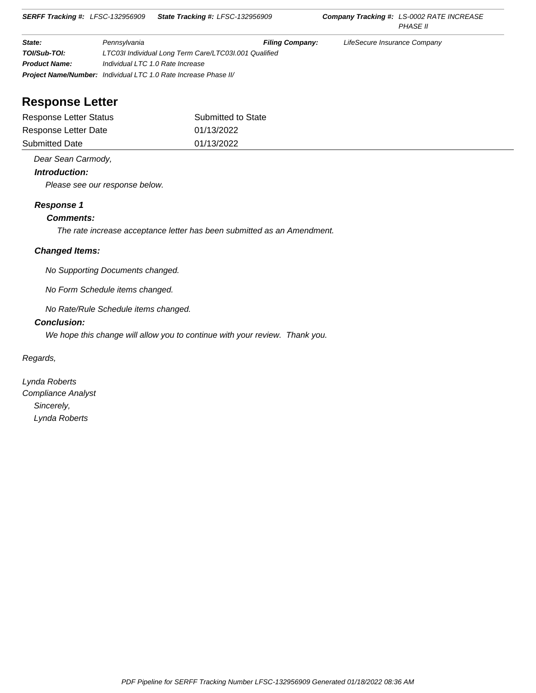| State:               | Pennsylvania                                                           | <b>Filing Company:</b> | LifeSecure Insurance Company |  |  |
|----------------------|------------------------------------------------------------------------|------------------------|------------------------------|--|--|
| TOI/Sub-TOI:         | LTC03I Individual Long Term Care/LTC03I.001 Qualified                  |                        |                              |  |  |
| <b>Product Name:</b> | Individual LTC 1.0 Rate Increase                                       |                        |                              |  |  |
|                      | <b>Project Name/Number:</b> Individual LTC 1.0 Rate Increase Phase II/ |                        |                              |  |  |

# **Response Letter**

| Response Letter Status | Submitted to State |
|------------------------|--------------------|
| Response Letter Date   | 01/13/2022         |
| <b>Submitted Date</b>  | 01/13/2022         |

#### Dear Sean Carmody,

#### **Introduction:**

Please see our response below.

#### **Response 1**

#### **Comments:**

The rate increase acceptance letter has been submitted as an Amendment.

#### **Changed Items:**

No Supporting Documents changed.

No Form Schedule items changed.

No Rate/Rule Schedule items changed.

#### **Conclusion:**

We hope this change will allow you to continue with your review. Thank you.

Regards,

Lynda Roberts Compliance Analyst Sincerely, Lynda Roberts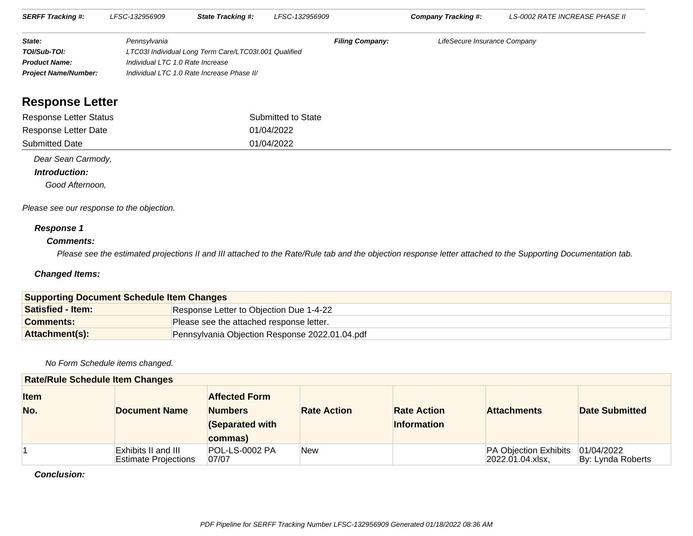| <b>SERFF Tracking #:</b>    | LFSC-132956909                   | <b>State Tracking #:</b>                              | LFSC-132956909         | Company Tracking #:          | LS-0002 RATE INCREASE PHASE II |  |
|-----------------------------|----------------------------------|-------------------------------------------------------|------------------------|------------------------------|--------------------------------|--|
| State:                      | Pennsvlvania                     |                                                       | <b>Filing Company:</b> | LifeSecure Insurance Company |                                |  |
| TOI/Sub-TOI:                |                                  | LTC03I Individual Long Term Care/LTC03I.001 Qualified |                        |                              |                                |  |
| <b>Product Name:</b>        | Individual LTC 1.0 Rate Increase |                                                       |                        |                              |                                |  |
| <b>Project Name/Number:</b> |                                  | Individual LTC 1.0 Rate Increase Phase II/            |                        |                              |                                |  |

# **Response Letter**

| Response Letter Status | Submitted to State |
|------------------------|--------------------|
| Response Letter Date   | 01/04/2022         |
| <b>Submitted Date</b>  | 01/04/2022         |

Dear Sean Carmody,

#### **Introduction:**

Good Afternoon,

Please see our response to the objection.

#### **Response 1**

#### **Comments:**

Please see the estimated projections II and III attached to the Rate/Rule tab and the objection response letter attached to the Supporting Documentation tab.

#### **Changed Items:**

| <b>Supporting Document Schedule Item Changes</b> |                                                |  |
|--------------------------------------------------|------------------------------------------------|--|
| <b>Satisfied - Item:</b>                         | Response Letter to Objection Due 1-4-22        |  |
| <b>Comments:</b>                                 | Please see the attached response letter.       |  |
| Attachment(s):                                   | Pennsylvania Objection Response 2022.01.04.pdf |  |

#### No Form Schedule items changed.

| <b>Rate/Rule Schedule Item Changes</b> |                                                    |                                                                      |                    |                                          |                                                     |                                 |  |
|----------------------------------------|----------------------------------------------------|----------------------------------------------------------------------|--------------------|------------------------------------------|-----------------------------------------------------|---------------------------------|--|
| <b>Item</b><br>No.                     | <b>Document Name</b>                               | <b>Affected Form</b><br><b>Numbers</b><br>(Separated with<br>commas) | <b>Rate Action</b> | <b>Rate Action</b><br><b>Information</b> | <b>Attachments</b>                                  | <b>Date Submitted</b>           |  |
|                                        | Exhibits II and III<br><b>Estimate Projections</b> | <b>POL-LS-0002 PA</b><br>07/07                                       | New                |                                          | <b>PA Objection Exhibits</b><br>$ 2022.01.04.x$ sx, | 01/04/2022<br>By: Lynda Roberts |  |

#### **Conclusion:**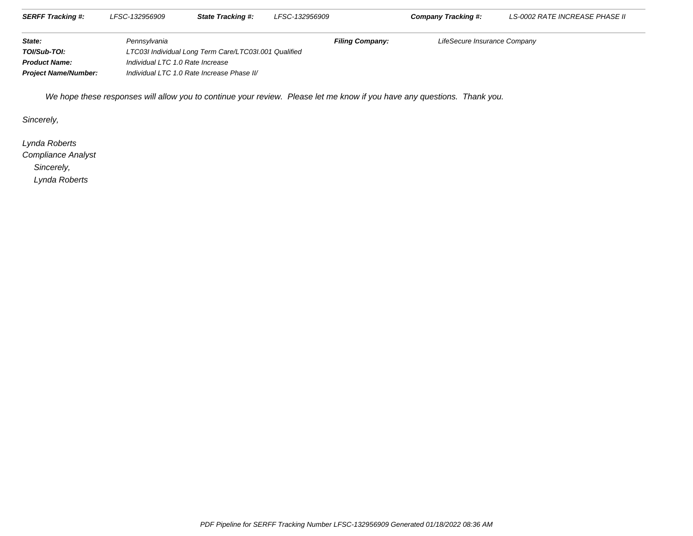| <b>SERFF Tracking #:</b>    | LFSC-132956909 | State Tracking #:                                     | LFSC-132956909         | Company Tracking #:          | <i>LS-0002 RATE INCREASE PHASE II</i> |
|-----------------------------|----------------|-------------------------------------------------------|------------------------|------------------------------|---------------------------------------|
| State:                      | Pennsvlvania   |                                                       | <b>Filing Company:</b> | LifeSecure Insurance Company |                                       |
| TOI/Sub-TOI:                |                | LTC03I Individual Long Term Care/LTC03I.001 Qualified |                        |                              |                                       |
| <b>Product Name:</b>        |                | Individual LTC 1.0 Rate Increase                      |                        |                              |                                       |
| <b>Project Name/Number:</b> |                | Individual LTC 1.0 Rate Increase Phase II/            |                        |                              |                                       |

We hope these responses will allow you to continue your review. Please let me know if you have any questions. Thank you.

Sincerely,

Lynda Roberts

Compliance Analyst

Sincerely,

Lynda Roberts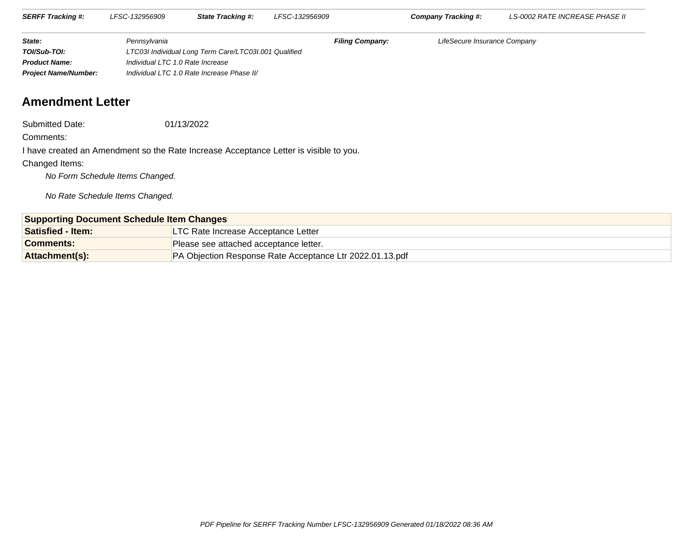| <b>SERFF Tracking #:</b>    | LFSC-132956909 | <b>State Tracking #:</b>                              | LFSC-132956909         | Company Tracking #:          | LS-0002 RATE INCREASE PHASE II |
|-----------------------------|----------------|-------------------------------------------------------|------------------------|------------------------------|--------------------------------|
|                             |                |                                                       |                        |                              |                                |
| State:                      | Pennsylvania   |                                                       | <b>Filing Company:</b> | LifeSecure Insurance Company |                                |
| TOI/Sub-TOI:                |                | LTC03I Individual Long Term Care/LTC03I.001 Qualified |                        |                              |                                |
| <b>Product Name:</b>        |                | Individual LTC 1.0 Rate Increase                      |                        |                              |                                |
| <b>Project Name/Number:</b> |                | Individual LTC 1.0 Rate Increase Phase II/            |                        |                              |                                |

# **Amendment Letter**

Submitted Date:01/13/2022

Comments:

I have created an Amendment so the Rate Increase Acceptance Letter is visible to you.

#### Changed Items:

No Form Schedule Items Changed.

No Rate Schedule Items Changed.

| <b>Supporting Document Schedule Item Changes</b> |                                                          |  |
|--------------------------------------------------|----------------------------------------------------------|--|
| <b>Satisfied - Item:</b>                         | <b>LTC Rate Increase Acceptance Letter</b>               |  |
| Comments:                                        | Please see attached acceptance letter.                   |  |
| <b>Attachment(s):</b>                            | PA Objection Response Rate Acceptance Ltr 2022.01.13.pdf |  |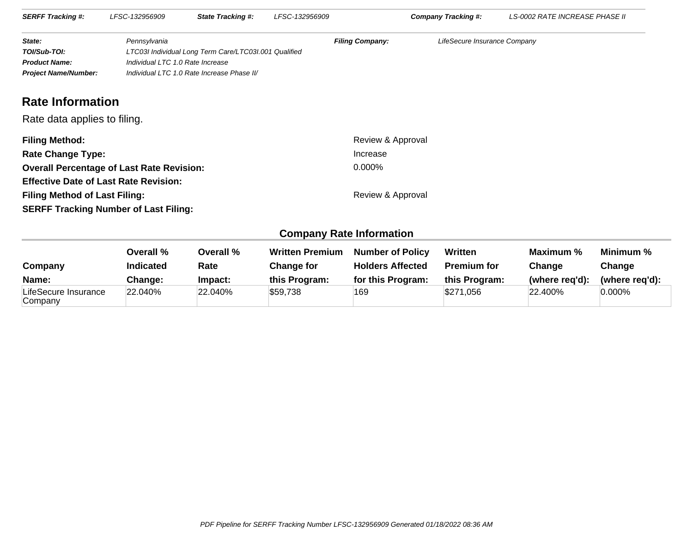| <b>SERFF Tracking #:</b>    | LFSC-132956909                             | <b>State Tracking #:</b>                              | LFSC-132956909         | <b>Company Tracking #:</b>   | LS-0002 RATE INCREASE PHASE II |
|-----------------------------|--------------------------------------------|-------------------------------------------------------|------------------------|------------------------------|--------------------------------|
|                             |                                            |                                                       |                        |                              |                                |
| State:                      | Pennsylvania                               |                                                       | <b>Filing Company:</b> | LifeSecure Insurance Company |                                |
| TOI/Sub-TOI:                |                                            | LTC03I Individual Long Term Care/LTC03I.001 Qualified |                        |                              |                                |
| <b>Product Name:</b>        |                                            | Individual LTC 1.0 Rate Increase                      |                        |                              |                                |
| <b>Project Name/Number:</b> | Individual LTC 1.0 Rate Increase Phase II/ |                                                       |                        |                              |                                |

# **Rate Information**

Rate data applies to filing.

| <b>Filing Method:</b>                            | Review & Approval |
|--------------------------------------------------|-------------------|
| <b>Rate Change Type:</b>                         | Increase          |
| <b>Overall Percentage of Last Rate Revision:</b> | $0.000\%$         |
| <b>Effective Date of Last Rate Revision:</b>     |                   |
| <b>Filing Method of Last Filing:</b>             | Review & Approval |
| <b>SERFF Tracking Number of Last Filing:</b>     |                   |

# **Company Rate Information**

| Company                         | Overall %<br><b>Indicated</b> | Overall %<br>Rate | <b>Written Premium</b><br>Change for | <b>Number of Policy</b><br><b>Holders Affected</b> | Written<br><b>Premium for</b> | Maximum %<br>Change | Minimum %<br>Change |
|---------------------------------|-------------------------------|-------------------|--------------------------------------|----------------------------------------------------|-------------------------------|---------------------|---------------------|
| Name:                           | <b>Change:</b>                | Impact:           | this Program:                        | for this Program:                                  | this Program:                 | (where reg'd):      | (where reg'd):      |
| LifeSecure Insurance<br>Company | 22.040%                       | 22.040%           | \$59,738                             | 169                                                | \$271,056                     | 22.400%             | $0.000\%$           |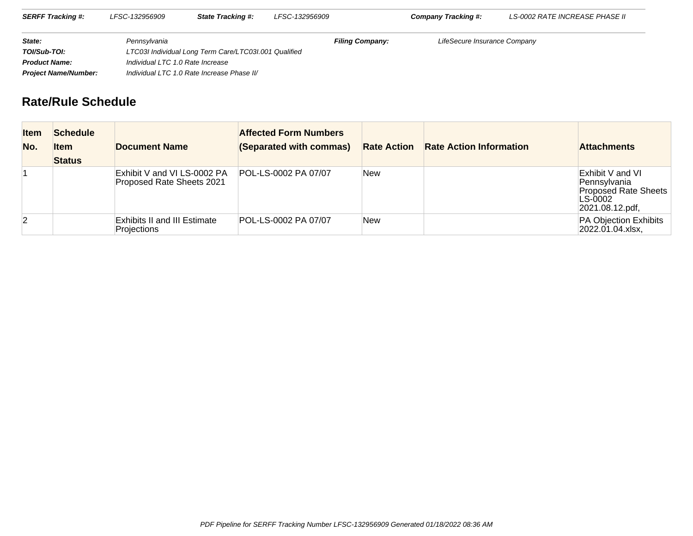| <b>SERFF Tracking #:</b>    | LFSC-132956909                             | <b>State Tracking #:</b>                              | LFSC-132956909         | <b>Company Tracking #:</b>   | LS-0002 RATE INCREASE PHASE II |  |
|-----------------------------|--------------------------------------------|-------------------------------------------------------|------------------------|------------------------------|--------------------------------|--|
| State:                      | Pennsvlvania                               |                                                       | <b>Filing Company:</b> | LifeSecure Insurance Company |                                |  |
| TOI/Sub-TOI:                |                                            | LTC03I Individual Long Term Care/LTC03I.001 Qualified |                        |                              |                                |  |
| <b>Product Name:</b>        |                                            | Individual LTC 1.0 Rate Increase                      |                        |                              |                                |  |
| <b>Project Name/Number:</b> | Individual LTC 1.0 Rate Increase Phase II/ |                                                       |                        |                              |                                |  |

# **Rate/Rule Schedule**

| <b>Item</b><br>No. | <b>Schedule</b><br><b>Item</b><br><b>Status</b> | <b>Document Name</b>                                      | <b>Affected Form Numbers</b><br>(Separated with commas) | <b>Rate Action</b> | <b>Rate Action Information</b> | <b>Attachments</b>                                                                            |
|--------------------|-------------------------------------------------|-----------------------------------------------------------|---------------------------------------------------------|--------------------|--------------------------------|-----------------------------------------------------------------------------------------------|
|                    |                                                 | Exhibit V and VI LS-0002 PA<br>Proposed Rate Sheets 2021  | POL-LS-0002 PA 07/07                                    | <b>New</b>         |                                | Exhibit V and VI<br>Pennsylvania<br><b>Proposed Rate Sheets</b><br>LS-0002<br>2021.08.12.pdf, |
| $\vert 2 \vert$    |                                                 | <b>Exhibits II and III Estimate</b><br><b>Projections</b> | POL-LS-0002 PA 07/07                                    | <b>New</b>         |                                | PA Objection Exhibits<br>2022.01.04.xlsx,                                                     |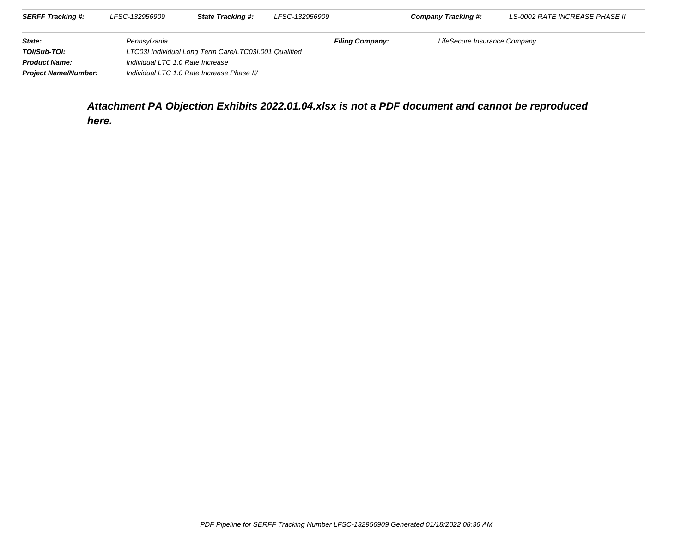| <b>SERFF Tracking #:</b>    | LFSC-132956909                                        | <b>State Tracking #:</b>                   | LFSC-132956909         | Company Tracking #:          | LS-0002 RATE INCREASE PHASE II |
|-----------------------------|-------------------------------------------------------|--------------------------------------------|------------------------|------------------------------|--------------------------------|
| State:                      | Pennsylvania                                          |                                            | <b>Filing Company:</b> | LifeSecure Insurance Company |                                |
| TOI/Sub-TOI:                | LTC03I Individual Long Term Care/LTC03I.001 Qualified |                                            |                        |                              |                                |
| <b>Product Name:</b>        | Individual LTC 1.0 Rate Increase                      |                                            |                        |                              |                                |
| <b>Project Name/Number:</b> |                                                       | Individual LTC 1.0 Rate Increase Phase II/ |                        |                              |                                |

**Attachment PA Objection Exhibits 2022.01.04.xlsx is not a PDF document and cannot be reproducedhere.**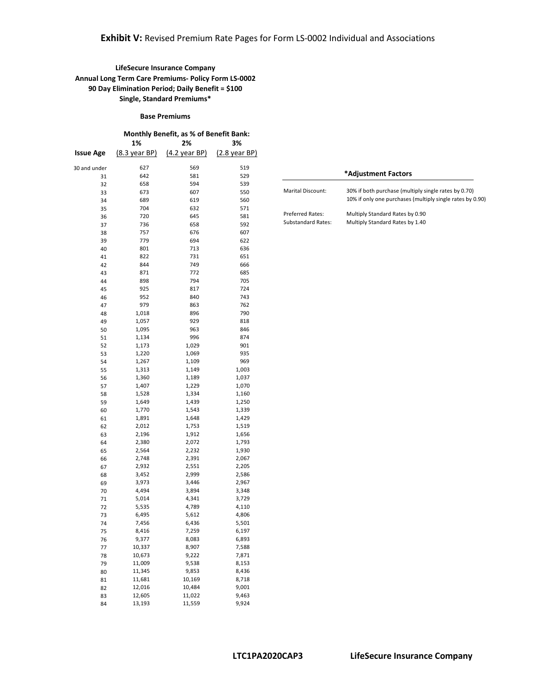#### **LifeSecure Insurance Company Annual Long Term Care Premiums- Policy Form LS-0002 90 Day Elimination Period; Daily Benefit = \$100 Single, Standard Premiums\***

#### **Base Premiums Monthly Benefit, as % of Benefit Bank: 1% 2% 3% Issue Age** (8.3 year BP) (4.2 year BP) (2.8 year BP) 30 and under 627 569 519 31 642 581 529 32 658 594 539 33 673 607 550 34 689 619 560 35 704 632 571 36 720 645 581 37 736 658 592 38 757 676 607 39 779 694 622 40 801 713 636 41 822 731 651 42 844 749 666 43 871 772 685 44 898 794 705 45 925 817 724 46 952 840 743 47 979 863 762 48 1,018 896 790 49 1,057 929 818<br>50 1.095 963 846 50 1,095 963 846 51 1,134 52 1,173 1,029 901 53 1,220 1,069 935 54 1,267 1,109 969<br>55 1,313 1,149 1,003 55 1,313 56 1,360 1,189 1,037<br>57 1,407 1,229 1,070 57 1,407 58 1,528 1,334 1,160 59 1,649 1,439 1,250  $\begin{array}{ccccccc} 60 & & & 1,770 & & & 1,543 & & & 1,339 \\ 61 & & & & 1,891 & & & 1,648 & & & 1,429 \end{array}$ 61 1,891 1,648<br>62 2,012 1.753 62 2,012 1,753 1,519 63 2,196 1,912 1,656 64 2,380 2,072 1,793 65 2,564 2,232 1,930 66 2,748 2,391 2,067 67 2,932 68 3,452 2,999 2,586 69 3,973 3,446 2,967<br>
70 4,494 3,894 3,348 3,348 71 5,014 4,341 3,729 72 5,535 4,789 4,110 73 6,495 5,612 4,806 74 7,456 75 8,416 7,259 6,197

76 9,377 8,083 6,893 77 10,337 8,907 7,588 78 10,673 9,222 7,871 79 11,009 9,538 8,153 80 11,345 9,853 8,436 81 11,681 10,169 8,718<br>82 12,016 10,484 9,001

83 12,605 11,022 9,463<br>84 13.193 11.559 9.924 84 13,193 11,559 9,924

82 12,016

|                           | *Adjustment Factors                                                                                               |
|---------------------------|-------------------------------------------------------------------------------------------------------------------|
| <b>Marital Discount:</b>  | 30% if both purchase (multiply single rates by 0.70)<br>10% if only one purchases (multiply single rates by 0.90) |
| <b>Preferred Rates:</b>   | Multiply Standard Rates by 0.90                                                                                   |
| <b>Substandard Rates:</b> | Multiply Standard Rates by 1.40                                                                                   |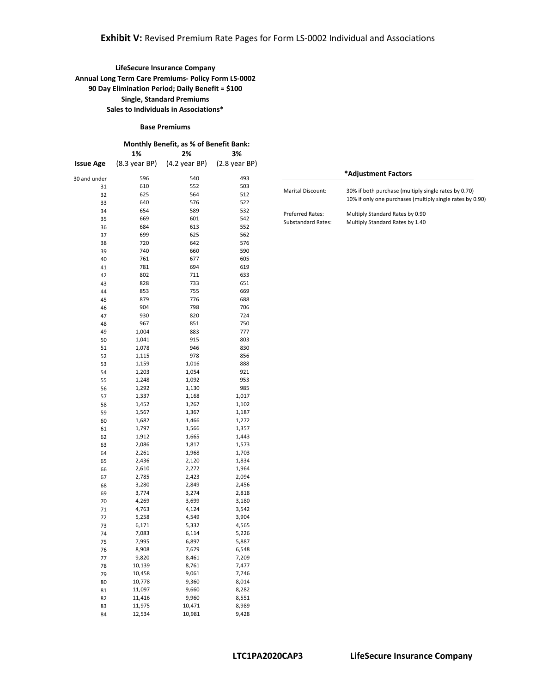#### **Base Premiums**

|                  | <b>Monthly Benefit, as % of Benefit Bank:</b> |                         |                         |  |  |
|------------------|-----------------------------------------------|-------------------------|-------------------------|--|--|
|                  | 1%                                            | 2%                      | 3%                      |  |  |
| <b>Issue Age</b> | $(8.3 \text{ year BP})$                       | $(4.2 \text{ year BP})$ | $(2.8 \text{ year BP})$ |  |  |
| 30 and under     | 596                                           | 540                     | 493                     |  |  |
| 31               | 610                                           | 552                     | 503                     |  |  |
| 32               | 625                                           | 564                     | 512                     |  |  |
| 33               | 640                                           | 576                     | 522                     |  |  |
| 34               | 654                                           | 589                     | 532                     |  |  |
| 35               | 669                                           | 601                     | 542                     |  |  |
| 36               | 684                                           | 613                     | 552                     |  |  |
| 37               | 699                                           | 625                     | 562                     |  |  |
| 38               | 720                                           | 642                     | 576                     |  |  |
| 39               | 740                                           | 660                     | 590                     |  |  |
| 40               | 761                                           | 677                     | 605                     |  |  |
| 41               | 781                                           | 694                     | 619                     |  |  |
| 42               | 802                                           | 711                     | 633                     |  |  |
| 43               | 828                                           | 733                     | 651                     |  |  |
| 44               | 853                                           | 755                     | 669                     |  |  |
| 45               | 879                                           | 776                     | 688                     |  |  |
| 46               | 904                                           | 798                     | 706                     |  |  |
| 47               | 930                                           | 820                     | 724                     |  |  |
| 48               | 967                                           | 851                     | 750                     |  |  |
| 49               | 1,004                                         | 883                     | 777                     |  |  |
| 50               | 1,041                                         | 915                     | 803                     |  |  |
| 51               | 1,078                                         | 946                     | 830                     |  |  |
| 52               | 1,115                                         | 978                     | 856                     |  |  |
| 53               | 1,159                                         | 1,016                   | 888                     |  |  |
| 54               | 1,203                                         | 1,054                   | 921                     |  |  |
| 55               | 1,248                                         | 1,092                   | 953                     |  |  |
| 56               | 1,292                                         | 1,130                   | 985                     |  |  |
| 57               | 1,337                                         | 1,168                   | 1,017                   |  |  |
| 58               | 1,452                                         | 1,267                   | 1,102                   |  |  |
| 59               | 1,567                                         | 1,367                   | 1,187                   |  |  |
| 60               | 1,682                                         | 1,466                   | 1,272                   |  |  |
| 61               | 1,797                                         | 1,566                   | 1,357                   |  |  |
| 62               | 1,912                                         | 1,665                   | 1,443                   |  |  |
| 63               | 2,086                                         | 1,817                   | 1,573                   |  |  |
| 64               | 2,261                                         | 1,968                   | 1,703                   |  |  |
| 65               | 2,436                                         | 2,120                   | 1,834                   |  |  |
| 66               | 2,610                                         | 2,272                   | 1,964                   |  |  |
| 67               | 2,785                                         | 2,423                   | 2,094                   |  |  |
| 68               | 3,280                                         | 2,849                   | 2,456                   |  |  |
| 69               | 3,774                                         | 3,274                   | 2,818                   |  |  |
| 70               | 4,269                                         | 3,699                   | 3,180                   |  |  |
| 71               | 4,763                                         | 4,124                   | 3,542                   |  |  |
| 72               | 5,258                                         | 4,549                   | 3,904                   |  |  |
| 73               | 6,171                                         | 5,332                   | 4,565                   |  |  |
| 74               | 7,083                                         | 6,114                   | 5,226                   |  |  |
| 75               | 7,995                                         | 6,897                   | 5,887                   |  |  |
| 76               | 8,908                                         | 7,679                   | 6,548                   |  |  |
| 77               | 9,820                                         | 8,461                   | 7,209                   |  |  |
| 78               | 10,139                                        | 8,761                   | 7,477                   |  |  |
| 79               | 10,458                                        | 9,061                   | 7,746                   |  |  |
| 80               | 10,778                                        | 9,360                   | 8,014                   |  |  |
| 81               | 11,097                                        | 9,660                   | 8,282                   |  |  |
| 82               | 11,416                                        | 9,960                   | 8,551                   |  |  |
| 83               | 11,975                                        | 10,471                  | 8,989                   |  |  |
| 84               | 12,534                                        | 10,981                  | 9,428                   |  |  |

|                                               | *Adjustment Factors                                                                                               |
|-----------------------------------------------|-------------------------------------------------------------------------------------------------------------------|
| Marital Discount:                             | 30% if both purchase (multiply single rates by 0.70)<br>10% if only one purchases (multiply single rates by 0.90) |
| <b>Preferred Rates:</b><br>Substandard Rates: | Multiply Standard Rates by 0.90<br>Multiply Standard Rates by 1.40                                                |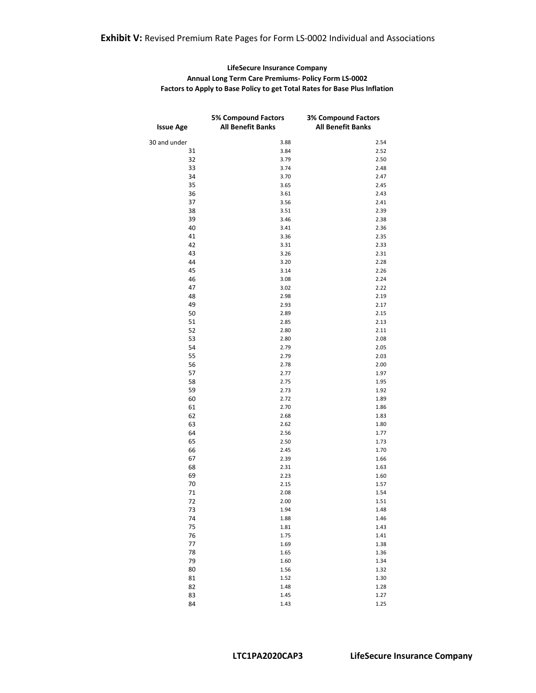### **Exhibit V:** Revised Premium Rate Pages for Form LS-0002 Individual and Associations

#### **LifeSecure Insurance Company Annual Long Term Care Premiums- Policy Form LS-0002 Factors to Apply to Base Policy to get Total Rates for Base Plus Inflation**

| <b>Issue Age</b> | <b>5% Compound Factors</b><br><b>All Benefit Banks</b> | <b>3% Compound Factors</b><br><b>All Benefit Banks</b> |
|------------------|--------------------------------------------------------|--------------------------------------------------------|
| 30 and under     | 3.88                                                   | 2.54                                                   |
| 31               | 3.84                                                   | 2.52                                                   |
| 32               | 3.79                                                   | 2.50                                                   |
| 33               | 3.74                                                   | 2.48                                                   |
| 34               | 3.70                                                   | 2.47                                                   |
| 35               | 3.65                                                   | 2.45                                                   |
| 36               | 3.61                                                   | 2.43                                                   |
| 37               | 3.56                                                   | 2.41                                                   |
| 38               | 3.51                                                   | 2.39                                                   |
| 39               | 3.46                                                   | 2.38                                                   |
| 40               | 3.41                                                   | 2.36                                                   |
| 41               | 3.36                                                   | 2.35                                                   |
| 42               | 3.31                                                   | 2.33                                                   |
| 43               | 3.26                                                   | 2.31                                                   |
| 44               | 3.20                                                   | 2.28                                                   |
| 45               | 3.14                                                   | 2.26                                                   |
| 46               | 3.08                                                   | 2.24                                                   |
| 47               | 3.02                                                   | 2.22                                                   |
| 48               | 2.98                                                   | 2.19                                                   |
| 49               | 2.93                                                   | 2.17                                                   |
| 50               | 2.89                                                   | 2.15                                                   |
| 51               | 2.85                                                   | 2.13                                                   |
| 52               | 2.80                                                   | 2.11                                                   |
| 53               | 2.80                                                   | 2.08                                                   |
| 54               | 2.79                                                   | 2.05                                                   |
| 55               | 2.79                                                   | 2.03                                                   |
| 56               | 2.78                                                   | 2.00                                                   |
| 57               | 2.77                                                   | 1.97                                                   |
| 58<br>59         | 2.75                                                   | 1.95                                                   |
| 60               | 2.73<br>2.72                                           | 1.92<br>1.89                                           |
| 61               | 2.70                                                   | 1.86                                                   |
| 62               | 2.68                                                   | 1.83                                                   |
| 63               | 2.62                                                   | 1.80                                                   |
| 64               | 2.56                                                   | 1.77                                                   |
| 65               | 2.50                                                   | 1.73                                                   |
| 66               | 2.45                                                   | 1.70                                                   |
| 67               | 2.39                                                   | 1.66                                                   |
| 68               | 2.31                                                   | 1.63                                                   |
| 69               | 2.23                                                   | 1.60                                                   |
| 70               | 2.15                                                   | 1.57                                                   |
| 71               | 2.08                                                   | 1.54                                                   |
| 72               | 2.00                                                   | 1.51                                                   |
| 73               | 1.94                                                   | 1.48                                                   |
| 74               | 1.88                                                   | 1.46                                                   |
| 75               | 1.81                                                   | 1.43                                                   |
| 76               | 1.75                                                   | 1.41                                                   |
| 77               | 1.69                                                   | 1.38                                                   |
| 78               | 1.65                                                   | 1.36                                                   |
| 79               | 1.60                                                   | 1.34                                                   |
| 80               | 1.56                                                   | 1.32                                                   |
| 81               | 1.52                                                   | 1.30                                                   |
| 82               | 1.48                                                   | 1.28                                                   |
| 83               | 1.45                                                   | 1.27                                                   |
| 84               | 1.43                                                   | 1.25                                                   |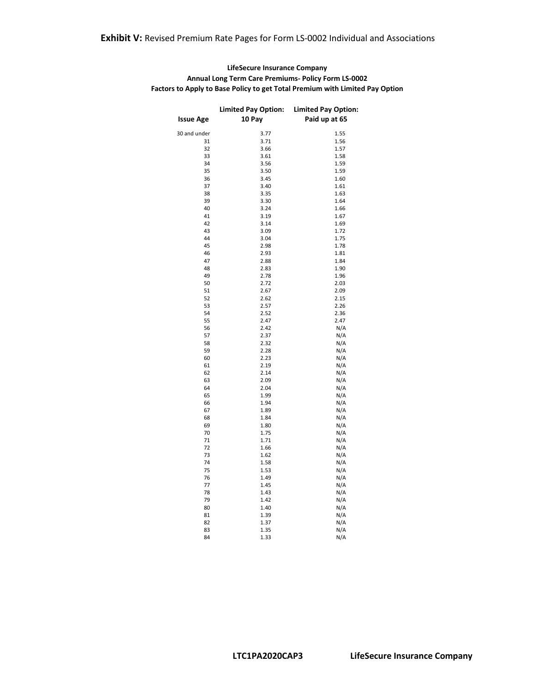| <b>LifeSecure Insurance Company</b>                                          |
|------------------------------------------------------------------------------|
| <b>Annual Long Term Care Premiums- Policy Form LS-0002</b>                   |
| Factors to Apply to Base Policy to get Total Premium with Limited Pay Option |

|                  | <b>Limited Pay Option:</b> | <b>Limited Pay Option:</b> |
|------------------|----------------------------|----------------------------|
| <b>Issue Age</b> | 10 Pay                     | Paid up at 65              |
|                  |                            |                            |
| 30 and under     | 3.77                       | 1.55                       |
| 31               | 3.71                       | 1.56                       |
| 32               | 3.66                       | 1.57                       |
| 33               | 3.61                       | 1.58                       |
| 34               | 3.56                       | 1.59                       |
| 35               | 3.50                       | 1.59                       |
| 36               | 3.45                       | 1.60                       |
| 37               | 3.40                       | 1.61                       |
| 38               | 3.35                       | 1.63                       |
| 39               | 3.30                       | 1.64                       |
| 40               | 3.24                       | 1.66                       |
| 41               | 3.19                       | 1.67                       |
| 42               | 3.14                       | 1.69                       |
| 43               | 3.09                       | 1.72                       |
| 44               | 3.04                       | 1.75                       |
| 45               | 2.98                       | 1.78                       |
| 46               | 2.93                       | 1.81                       |
| 47               | 2.88                       | 1.84                       |
| 48               | 2.83                       | 1.90                       |
| 49               | 2.78                       | 1.96                       |
| 50               | 2.72                       | 2.03                       |
| 51               | 2.67                       | 2.09                       |
| 52               | 2.62                       | 2.15                       |
| 53               | 2.57                       | 2.26                       |
| 54               | 2.52                       | 2.36                       |
| 55               | 2.47                       | 2.47                       |
| 56               | 2.42                       | N/A                        |
| 57               | 2.37                       | N/A                        |
| 58               | 2.32                       | N/A                        |
| 59               | 2.28                       | N/A                        |
| 60               | 2.23                       | N/A                        |
| 61               | 2.19                       | N/A                        |
| 62               | 2.14                       | N/A                        |
| 63               | 2.09                       | N/A                        |
| 64               | 2.04                       | N/A                        |
| 65               | 1.99                       | N/A                        |
| 66               | 1.94                       | N/A                        |
| 67               | 1.89                       | N/A                        |
| 68               | 1.84                       | N/A                        |
| 69               | 1.80                       | N/A                        |
| 70               | 1.75                       | N/A                        |
| 71               | 1.71                       | N/A                        |
| 72               | 1.66                       | N/A                        |
| 73               | 1.62                       | N/A                        |
| 74               | 1.58                       | N/A                        |
| 75               | 1.53                       | N/A                        |
| 76               | 1.49                       | N/A                        |
| 77               | 1.45                       | N/A                        |
| 78               | 1.43                       | N/A                        |
| 79               | 1.42                       | N/A                        |
| 80               | 1.40                       | N/A                        |
| 81               | 1.39                       | N/A                        |
| 82               | 1.37                       | N/A                        |
| 83               | 1.35                       | N/A                        |
| 84               | 1.33                       | N/A                        |
|                  |                            |                            |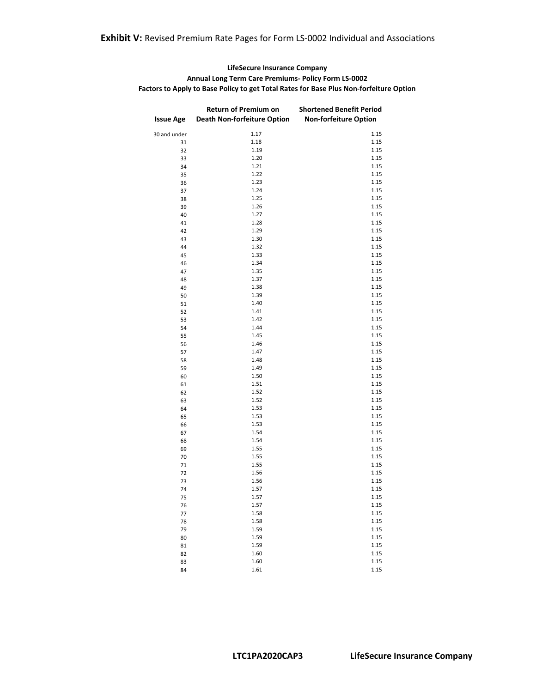#### **LifeSecure Insurance Company Annual Long Term Care Premiums- Policy Form LS-0002 Factors to Apply to Base Policy to get Total Rates for Base Plus Non-forfeiture Option**

| <b>Issue Age</b> | Return of Premium on<br><b>Death Non-forfeiture Option</b> | <b>Shortened Benefit Period</b><br><b>Non-forfeiture Option</b> |
|------------------|------------------------------------------------------------|-----------------------------------------------------------------|
| 30 and under     | 1.17                                                       | 1.15                                                            |
| 31               | 1.18                                                       | 1.15                                                            |
| 32               | 1.19                                                       | 1.15                                                            |
| 33               | 1.20                                                       | 1.15                                                            |
| 34               | 1.21                                                       | 1.15                                                            |
| 35               | 1.22                                                       | 1.15                                                            |
| 36               | 1.23                                                       | 1.15                                                            |
| 37               | 1.24                                                       | 1.15                                                            |
| 38               | 1.25                                                       | 1.15                                                            |
| 39               | 1.26                                                       | 1.15                                                            |
| 40               | 1.27                                                       | 1.15                                                            |
| 41               | 1.28                                                       | 1.15                                                            |
| 42               | 1.29                                                       | 1.15                                                            |
| 43               | 1.30                                                       | 1.15                                                            |
| 44               | 1.32                                                       | 1.15                                                            |
| 45               | 1.33                                                       | 1.15                                                            |
| 46               | 1.34                                                       | 1.15                                                            |
| 47               | 1.35                                                       | 1.15                                                            |
| 48               | 1.37                                                       | 1.15                                                            |
| 49               | 1.38                                                       | 1.15                                                            |
| 50               | 1.39                                                       | 1.15                                                            |
| 51               | 1.40                                                       | 1.15                                                            |
| 52               | 1.41                                                       | 1.15                                                            |
| 53               | 1.42                                                       | 1.15                                                            |
| 54               | 1.44                                                       | 1.15                                                            |
| 55               | 1.45                                                       | 1.15                                                            |
| 56               | 1.46                                                       | 1.15                                                            |
| 57               | 1.47                                                       | 1.15                                                            |
| 58               | 1.48                                                       | 1.15                                                            |
| 59               | 1.49                                                       | 1.15                                                            |
| 60               | 1.50                                                       | 1.15                                                            |
| 61               | 1.51                                                       | 1.15                                                            |
| 62               | 1.52                                                       | 1.15                                                            |
| 63               | 1.52                                                       | 1.15                                                            |
| 64               | 1.53                                                       | 1.15                                                            |
| 65               | 1.53                                                       | 1.15                                                            |
| 66               | 1.53                                                       | 1.15                                                            |
| 67               | 1.54                                                       | 1.15                                                            |
| 68               | 1.54                                                       | 1.15                                                            |
| 69               | 1.55                                                       | 1.15                                                            |
| 70               | 1.55                                                       | 1.15                                                            |
| 71               | 1.55                                                       | 1.15                                                            |
| 72               | 1.56                                                       | 1.15                                                            |
| 73               | 1.56                                                       | 1.15                                                            |
| 74               | 1.57                                                       | 1.15                                                            |
| 75               | 1.57                                                       | 1.15                                                            |
| 76               | 1.57                                                       | 1.15                                                            |
| 77               | 1.58                                                       | 1.15                                                            |
| 78               | 1.58                                                       | 1.15                                                            |
| 79               | 1.59                                                       | 1.15                                                            |
| 80               | 1.59                                                       | 1.15                                                            |
| 81               | 1.59                                                       | 1.15                                                            |
| 82               | 1.60                                                       | 1.15                                                            |
| 83               | 1.60                                                       | 1.15                                                            |
| 84               | 1.61                                                       | 1.15                                                            |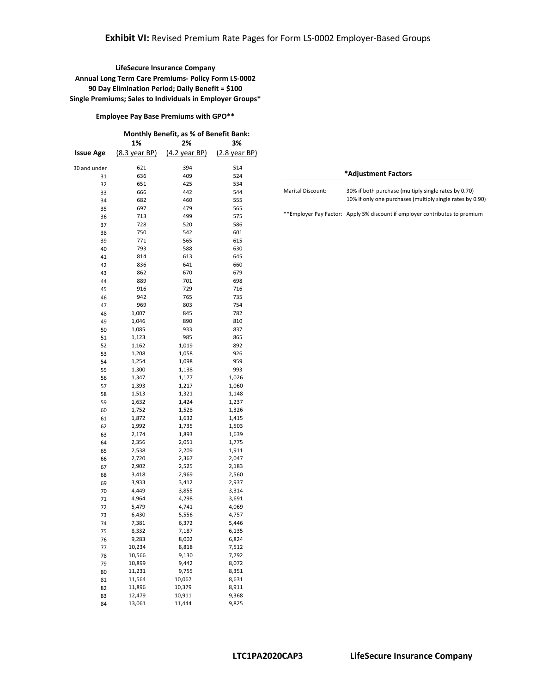**Employee Pay Base Premiums with GPO\*\*** 

| Monthly Benefit, as % of Benefit Bank: |                         |               |               |
|----------------------------------------|-------------------------|---------------|---------------|
|                                        | 1%                      | 2%            | 3%            |
| <b>Issue Age</b>                       | $(8.3 \text{ year BP})$ | (4.2 year BP) | (2.8 year BP) |
| 30 and under                           | 621                     | 394           | 514           |
| 31                                     | 636                     | 409           | 524           |
| 32                                     | 651                     | 425           | 534           |
| 33                                     | 666                     | 442           | 544           |
| 34                                     | 682                     | 460           | 555           |
| 35                                     | 697                     | 479           | 565           |
| 36                                     | 713                     | 499           | 575           |
| 37                                     | 728                     | 520           | 586           |
| 38                                     | 750                     | 542           | 601           |
| 39                                     | 771                     | 565           | 615           |
| 40                                     | 793                     | 588           | 630           |
| 41                                     | 814                     | 613           | 645           |
| 42                                     | 836                     | 641           | 660           |
| 43                                     | 862                     | 670           | 679           |
| 44                                     | 889                     | 701           | 698           |
| 45                                     | 916                     | 729           | 716           |
| 46                                     | 942                     | 765           | 735           |
| 47                                     | 969                     | 803           | 754           |
| 48                                     | 1,007                   | 845           | 782           |
| 49                                     | 1,046                   | 890           | 810           |
| 50                                     | 1,085                   | 933           | 837           |
| 51                                     | 1,123                   | 985           | 865           |
| 52                                     | 1,162                   | 1,019         | 892           |
| 53                                     | 1,208                   | 1,058         | 926           |
| 54                                     | 1,254                   | 1,098         | 959           |
| 55                                     | 1,300                   | 1,138         | 993           |
| 56                                     | 1,347                   | 1,177         | 1,026         |
| 57                                     | 1,393                   | 1,217         | 1,060         |
| 58                                     | 1,513                   | 1,321         | 1,148         |
| 59                                     | 1,632                   | 1,424         | 1,237         |
| 60                                     | 1,752                   | 1,528         | 1,326         |
| 61                                     | 1,872                   | 1,632         | 1,415         |
| 62                                     | 1,992                   | 1,735         | 1,503         |
| 63                                     | 2,174                   | 1,893         | 1,639         |
| 64                                     | 2,356                   | 2,051         | 1,775         |
| 65                                     | 2,538                   | 2,209         | 1,911         |
| 66                                     | 2,720                   | 2,367         | 2,047         |
| 67                                     | 2,902                   | 2,525         | 2,183         |
| 68                                     | 3,418                   | 2,969         | 2,560         |
| 69                                     | 3,933                   | 3,412         | 2,937         |
| 70                                     | 4,449                   | 3,855         | 3,314         |
| 71                                     | 4,964                   | 4,298         | 3,691         |
| 72                                     | 5,479                   | 4,741         | 4,069         |
| 73                                     | 6,430                   | 5,556         | 4,757         |
| 74                                     | 7,381                   | 6,372         | 5,446         |
| 75                                     | 8,332                   | 7,187         | 6,135         |
| 76                                     | 9,283                   | 8,002         | 6,824         |
| 77                                     | 10,234                  | 8,818         | 7,512         |
| 78                                     | 10,566                  | 9,130         | 7,792         |
| 79                                     | 10,899                  | 9,442         | 8,072         |
| 80                                     | 11,231                  | 9,755         | 8,351         |
| 81                                     | 11,564                  | 10,067        | 8,631         |
| 82                                     | 11,896                  | 10,379        | 8,911         |
| 83                                     | 12,479                  | 10,911        | 9,368         |
| 84                                     | 13,061                  | 11,444        | 9,825         |

| *Adjustment Factors      |                                                                                                                   |  |
|--------------------------|-------------------------------------------------------------------------------------------------------------------|--|
| <b>Marital Discount:</b> | 30% if both purchase (multiply single rates by 0.70)<br>10% if only one purchases (multiply single rates by 0.90) |  |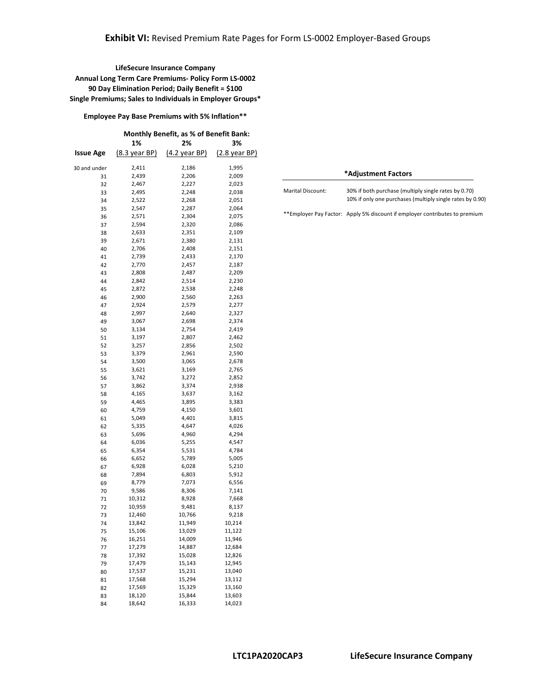**Employee Pay Base Premiums with 5% Inflation\*\*** 

|              |                         | Monthly Benefit, as % of Benefit Bank: |                  |
|--------------|-------------------------|----------------------------------------|------------------|
|              | 1%                      | 2%                                     | 3%               |
| Issue Age    | $(8.3 \text{ year BP})$ | $(4.2 \text{ year BP})$                | (2.8 year BP)    |
| 30 and under | 2,411                   | 2,186                                  | 1,995            |
| 31           | 2,439                   | 2,206                                  | 2,009            |
| 32           | 2,467                   | 2,227                                  | 2,023            |
| 33           | 2,495                   | 2,248                                  | 2,038            |
| 34           | 2,522                   | 2,268                                  | 2,051            |
| 35           | 2,547                   | 2,287                                  | 2,064            |
| 36           | 2,571                   | 2,304                                  | 2,075            |
| 37           | 2,594                   | 2,320                                  | 2,086            |
| 38           | 2,633                   | 2,351                                  | 2,109            |
| 39           | 2,671                   | 2,380                                  | 2,131            |
| 40           | 2,706                   | 2,408                                  | 2,151            |
| 41           | 2,739                   | 2,433                                  | 2,170            |
| 42           | 2,770                   | 2,457                                  | 2,187            |
| 43           | 2,808                   | 2,487                                  | 2,209            |
| 44           | 2,842                   | 2,514                                  | 2,230            |
| 45           | 2,872                   | 2,538                                  | 2,248            |
| 46           | 2,900                   | 2,560                                  | 2,263            |
| 47           | 2,924                   | 2,579                                  | 2,277            |
| 48           | 2,997                   | 2,640                                  | 2,327            |
| 49           | 3,067                   | 2,698                                  | 2,374            |
| 50           | 3,134                   | 2,754                                  | 2,419            |
| 51           | 3,197                   | 2,807                                  | 2,462            |
| 52           | 3,257                   | 2,856                                  | 2,502            |
| 53           | 3,379                   | 2,961                                  | 2,590            |
| 54           | 3,500                   | 3,065                                  | 2,678            |
| 55           | 3,621                   | 3,169                                  | 2,765            |
| 56           | 3,742                   | 3,272                                  | 2,852            |
| 57           | 3,862                   | 3,374                                  | 2,938            |
| 58           | 4,165                   | 3,637                                  | 3,162            |
| 59           | 4,465                   | 3,895                                  | 3,383            |
| 60           | 4,759                   | 4,150                                  | 3,601            |
| 61           | 5,049                   | 4,401                                  | 3,815            |
| 62           | 5,335                   | 4,647                                  | 4,026            |
| 63           | 5,696                   | 4,960                                  | 4,294            |
| 64           | 6,036                   | 5,255                                  | 4,547            |
| 65           | 6,354                   | 5,531                                  | 4,784            |
| 66           | 6,652                   | 5,789                                  | 5,005            |
| 67           | 6,928                   | 6,028                                  | 5,210            |
| 68           | 7,894                   | 6,803                                  | 5,912            |
| 69           | 8,779                   | 7,073                                  | 6,556            |
| 70           | 9,586                   | 8,306                                  | 7,141            |
| 71           | 10,312                  | 8,928                                  | 7,668            |
| 72           | 10,959                  | 9,481                                  | 8,137            |
| 73           | 12,460                  | 10,766                                 | 9,218            |
| 74           | 13,842                  | 11,949                                 | 10,214           |
| 75           | 15,106                  | 13,029                                 | 11,122           |
| 76           | 16,251                  | 14,009                                 | 11,946           |
| 77           | 17,279                  | 14,887                                 | 12,684           |
| 78           | 17,392                  | 15,028                                 | 12,826           |
| 79           | 17,479<br>17,537        | 15,143<br>15,231                       | 12,945           |
| 80           |                         |                                        | 13,040           |
| 81           | 17,568<br>17,569        | 15,294                                 | 13,112           |
| 82           |                         | 15,329<br>15,844                       | 13,160           |
| 83           | 18,120                  | 16,333                                 | 13,603<br>14,023 |
| 84           | 18,642                  |                                        |                  |

| *Adjustment Factors      |                                                                                                                   |  |
|--------------------------|-------------------------------------------------------------------------------------------------------------------|--|
| <b>Marital Discount:</b> | 30% if both purchase (multiply single rates by 0.70)<br>10% if only one purchases (multiply single rates by 0.90) |  |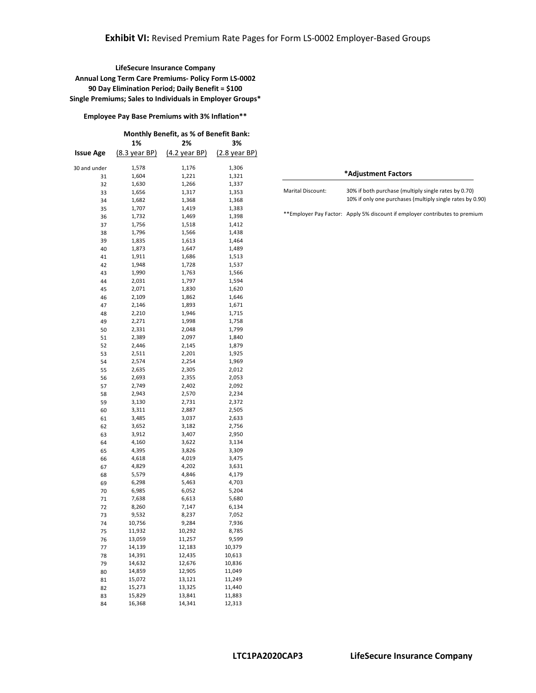**Employee Pay Base Premiums with 3% Inflation\*\*** 

|              |                         | Monthly Benefit, as % of Benefit Bank: |                 |
|--------------|-------------------------|----------------------------------------|-----------------|
|              | 1%                      | 2%                                     | 3%              |
| Issue Age    | $(8.3 \text{ year BP})$ | $(4.2 \text{ year BP})$                | $(2.8$ year BP) |
| 30 and under | 1,578                   | 1,176                                  | 1,306           |
| 31           | 1,604                   | 1,221                                  | 1,321           |
| 32           | 1,630                   | 1,266                                  | 1,337           |
| 33           | 1,656                   | 1,317                                  | 1,353           |
| 34           | 1,682                   | 1,368                                  | 1,368           |
| 35           | 1,707                   | 1,419                                  | 1,383           |
| 36           | 1,732                   | 1,469                                  | 1,398           |
| 37           | 1,756                   | 1,518                                  | 1,412           |
| 38           | 1,796                   | 1,566                                  | 1,438           |
| 39           | 1,835                   | 1,613                                  | 1,464           |
| 40           | 1,873                   | 1,647                                  | 1,489           |
| 41           | 1,911                   | 1,686                                  | 1,513           |
| 42           | 1,948                   | 1,728                                  | 1,537           |
| 43           | 1,990                   | 1,763                                  | 1,566           |
| 44           | 2,031                   | 1,797                                  | 1,594           |
| 45           | 2,071                   | 1,830                                  | 1,620           |
| 46           | 2,109                   | 1,862                                  | 1,646           |
| 47           | 2,146                   | 1,893                                  | 1,671           |
| 48           | 2,210                   | 1,946                                  | 1,715           |
| 49           | 2,271                   | 1,998                                  | 1,758           |
| 50           | 2,331                   | 2,048                                  | 1,799           |
| 51           | 2,389                   | 2,097                                  | 1,840           |
| 52           | 2,446                   | 2,145                                  | 1,879           |
| 53           | 2,511                   | 2,201                                  | 1,925           |
| 54           | 2,574                   | 2,254                                  | 1,969           |
| 55           | 2,635                   | 2,305                                  | 2,012           |
| 56           | 2,693                   | 2,355                                  | 2,053           |
| 57           | 2,749                   | 2,402                                  | 2,092           |
| 58           | 2,943                   | 2,570                                  | 2,234           |
| 59           | 3,130                   | 2,731                                  | 2,372           |
| 60           | 3,311                   | 2,887                                  | 2,505           |
| 61           | 3,485                   | 3,037                                  | 2,633           |
| 62           | 3,652                   | 3,182                                  | 2,756           |
| 63           | 3,912                   | 3,407                                  | 2,950           |
| 64           | 4,160                   | 3,622                                  | 3,134           |
| 65           | 4,395                   | 3,826                                  | 3,309           |
| 66           | 4,618                   | 4,019                                  | 3,475           |
| 67           | 4,829                   | 4,202                                  | 3,631           |
| 68           | 5,579                   | 4,846                                  | 4,179           |
| 69           | 6,298<br>6,985          | 5,463<br>6,052                         | 4,703<br>5,204  |
| 70           | 7,638                   | 6,613                                  | 5,680           |
| 71           | 8,260                   | 7,147                                  | 6,134           |
| 72<br>73     | 9,532                   | 8,237                                  | 7,052           |
| 74           | 10,756                  | 9,284                                  | 7,936           |
| 75           | 11,932                  | 10,292                                 | 8,785           |
|              | 13,059                  | 11,257                                 | 9,599           |
| 76<br>77     | 14,139                  | 12,183                                 | 10,379          |
| 78           | 14,391                  | 12,435                                 | 10,613          |
| 79           | 14,632                  | 12,676                                 | 10,836          |
| 80           | 14,859                  | 12,905                                 | 11,049          |
| 81           | 15,072                  | 13,121                                 | 11,249          |
| 82           | 15,273                  | 13,325                                 | 11,440          |
| 83           | 15,829                  | 13,841                                 | 11,883          |
| 84           | 16,368                  | 14,341                                 | 12,313          |
|              |                         |                                        |                 |

| *Adjustment Factors      |                                                                                                                   |  |
|--------------------------|-------------------------------------------------------------------------------------------------------------------|--|
| <b>Marital Discount:</b> | 30% if both purchase (multiply single rates by 0.70)<br>10% if only one purchases (multiply single rates by 0.90) |  |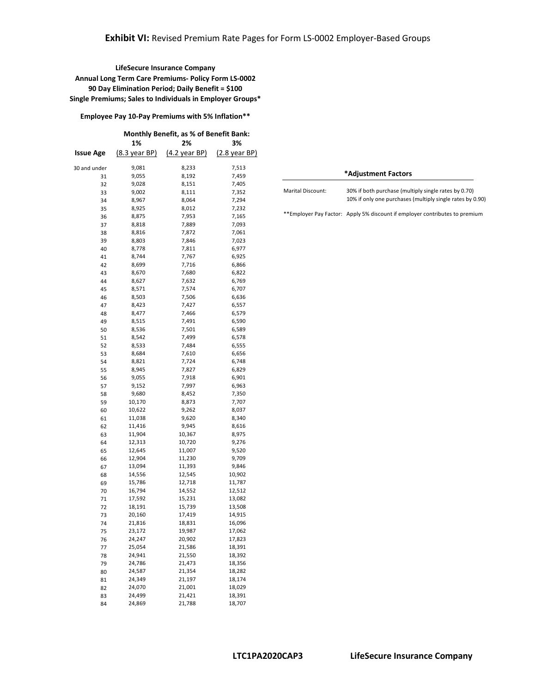**Employee Pay 10-Pay Premiums with 5% Inflation\*\*** 

| <b>Monthly Benefit, as % of Benefit Bank:</b> |                         |               |               |
|-----------------------------------------------|-------------------------|---------------|---------------|
|                                               | 1%                      | 2%            | 3%            |
| Issue Age                                     | $(8.3 \text{ year BP})$ | (4.2 year BP) | (2.8 year BP) |
| 30 and under                                  | 9,081                   | 8,233         | 7,513         |
| 31                                            | 9,055                   | 8,192         | 7,459         |
| 32                                            | 9,028                   | 8,151         | 7,405         |
| 33                                            | 9,002                   | 8,111         | 7,352         |
| 34                                            | 8,967                   | 8,064         | 7,294         |
| 35                                            | 8,925                   | 8,012         | 7,232         |
| 36                                            | 8,875                   | 7,953         | 7,165         |
| 37                                            | 8,818                   | 7,889         | 7,093         |
| 38                                            | 8,816                   | 7,872         | 7,061         |
| 39                                            | 8,803                   | 7,846         | 7,023         |
| 40                                            | 8,778                   | 7,811         | 6,977         |
| 41                                            | 8,744                   | 7,767         | 6,925         |
| 42                                            | 8,699                   | 7,716         | 6,866         |
| 43                                            | 8,670                   | 7,680         | 6,822         |
| 44                                            | 8,627                   | 7,632         | 6,769         |
| 45                                            | 8,571                   | 7,574         | 6,707         |
| 46                                            | 8,503                   | 7,506         | 6,636         |
| 47                                            | 8,423                   | 7,427         | 6,557         |
| 48                                            | 8,477                   | 7,466         | 6,579         |
| 49                                            | 8,515                   | 7,491         | 6,590         |
| 50                                            | 8,536                   | 7,501         | 6,589         |
| 51                                            | 8,542                   | 7,499         | 6,578         |
| 52                                            | 8,533                   | 7,484         | 6,555         |
| 53                                            | 8,684                   | 7,610         | 6,656         |
| 54                                            | 8,821                   | 7,724         | 6,748         |
| 55                                            | 8,945                   | 7,827         | 6,829         |
| 56                                            | 9,055                   | 7,918         | 6,901         |
| 57                                            | 9,152                   | 7,997         | 6,963         |
| 58                                            | 9,680                   | 8,452         | 7,350         |
| 59                                            | 10,170                  | 8,873         | 7,707         |
| 60                                            | 10,622                  | 9,262         | 8,037         |
| 61                                            | 11,038                  | 9,620         | 8,340         |
| 62                                            | 11,416                  | 9,945         | 8,616         |
| 63                                            | 11,904                  | 10,367        | 8,975         |
| 64                                            | 12,313                  | 10,720        | 9,276         |
| 65                                            | 12,645                  | 11,007        | 9,520         |
| 66                                            | 12,904                  | 11,230        | 9,709         |
| 67                                            | 13,094                  | 11,393        | 9,846         |
| 68                                            | 14,556                  | 12,545        | 10,902        |
| 69                                            | 15,786                  | 12,718        | 11,787        |
| 70                                            | 16,794                  | 14,552        | 12,512        |
| 71                                            | 17,592                  | 15,231        | 13,082        |
| 72                                            | 18,191                  | 15,739        | 13,508        |
| 73                                            | 20,160                  | 17,419        | 14,915        |
| 74                                            | 21,816                  | 18,831        | 16,096        |
| 75                                            | 23,172                  | 19,987        | 17,062        |
| 76                                            | 24,247                  | 20,902        | 17,823        |
| 77                                            | 25,054                  | 21,586        | 18,391        |
| 78                                            | 24,941                  | 21,550        | 18,392        |
| 79                                            | 24,786                  | 21,473        | 18,356        |
| 80                                            | 24,587                  | 21,354        | 18,282        |
| 81                                            | 24,349                  | 21,197        | 18,174        |
| 82                                            | 24,070                  | 21,001        | 18,029        |
| 83                                            | 24,499                  | 21,421        | 18,391        |
| 84                                            | 24,869                  | 21,788        | 18,707        |

| *Adjustment Factors      |                                                                                                                   |  |
|--------------------------|-------------------------------------------------------------------------------------------------------------------|--|
| <b>Marital Discount:</b> | 30% if both purchase (multiply single rates by 0.70)<br>10% if only one purchases (multiply single rates by 0.90) |  |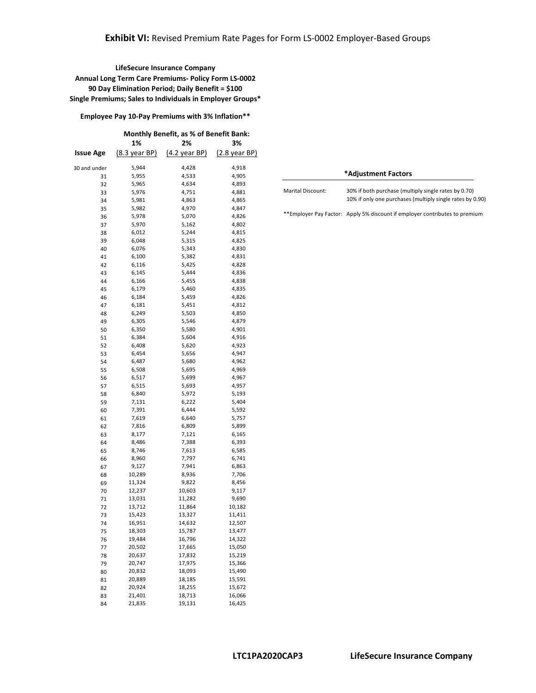**Employee Pay 10-Pay Premiums with 3% Inflation\*\*** 

|              | Monthly Benefit, as % of Benefit Bank: |                         |                         |
|--------------|----------------------------------------|-------------------------|-------------------------|
|              | 1%                                     | 2%                      | 3%                      |
| Issue Age    | $(8.3 \text{ year BP})$                | $(4.2 \text{ year BP})$ | $(2.8 \text{ year BP})$ |
| 30 and under | 5,944                                  | 4,428                   | 4,918                   |
| 31           | 5,955                                  | 4,533                   | 4,905                   |
| 32           | 5,965                                  | 4,634                   | 4,893                   |
| 33           | 5,976                                  | 4,751                   | 4,881                   |
| 34           | 5,981                                  | 4,863                   | 4,865                   |
| 35           | 5,982                                  | 4,970                   | 4,847                   |
| 36           | 5,978                                  | 5,070                   | 4,826                   |
| 37           | 5,970                                  | 5,162                   | 4,802                   |
| 38           | 6,012                                  | 5,244                   | 4,815                   |
| 39           | 6,048                                  | 5,315                   | 4,825                   |
| 40           | 6,076                                  | 5,343                   | 4,830                   |
| 41           | 6,100                                  | 5,382                   | 4,831                   |
| 42           | 6,116                                  | 5,425                   | 4,828                   |
| 43           | 6,145                                  | 5,444                   | 4,836                   |
| 44           | 6,166                                  | 5,455                   | 4,838                   |
| 45           | 6,179                                  | 5,460                   | 4,835                   |
| 46           | 6,184                                  | 5,459                   | 4,826                   |
| 47           | 6,181                                  | 5,451                   | 4,812                   |
| 48           | 6,249                                  | 5,503                   | 4,850                   |
| 49           | 6,305                                  | 5,546                   | 4,879                   |
| 50           | 6,350                                  | 5,580                   | 4,901                   |
| 51           | 6,384                                  | 5,604                   | 4,916                   |
| 52           | 6,408                                  | 5,620                   | 4,923                   |
| 53           | 6,454                                  | 5,656                   | 4,947                   |
| 54           | 6,487                                  | 5,680                   | 4,962                   |
| 55           | 6,508                                  | 5,695                   | 4,969                   |
| 56           | 6,517                                  | 5,699                   | 4,967                   |
| 57           | 6,515                                  | 5,693                   | 4,957                   |
| 58           | 6,840                                  | 5,972                   | 5,193                   |
| 59           | 7,131                                  | 6,222                   | 5,404                   |
| 60           | 7,391                                  | 6,444                   | 5,592                   |
| 61           | 7,619                                  | 6,640                   | 5,757                   |
| 62           | 7,816                                  | 6,809                   | 5,899                   |
| 63           | 8,177                                  | 7,121                   | 6,165                   |
| 64           | 8,486                                  | 7,388                   | 6,393                   |
| 65           | 8,746                                  | 7,613                   | 6,585                   |
| 66           | 8,960                                  | 7,797                   | 6,741                   |
| 67           | 9,127                                  | 7,941                   | 6,863                   |
| 68           | 10,289                                 | 8,936                   | 7,706                   |
| 69           | 11,324                                 | 9,822                   | 8,456                   |
| 70           | 12,237                                 | 10,603                  | 9,117                   |
| 71           | 13,031                                 | 11,282                  | 9,690                   |
| 72           | 13,712                                 | 11,864                  | 10,182                  |
| 73           | 15,423                                 | 13,327                  | 11,411                  |
| 74           | 16,951                                 | 14,632                  | 12,507                  |
| 75           | 18,303                                 | 15,787                  | 13,477                  |
| 76           | 19,484                                 | 16,796                  | 14,322                  |
| 77           | 20,502                                 | 17,665                  | 15,050                  |
| 78           | 20,637                                 | 17,832                  | 15,219                  |
| 79           | 20,747                                 | 17,975                  | 15,366                  |
| 80           | 20,832                                 | 18,093                  | 15,490                  |
| 81           | 20,889                                 | 18,185                  | 15,591                  |
| 82           | 20,924                                 | 18,255                  | 15,672                  |
| 83           | 21,401                                 | 18,713                  | 16,066                  |
| 84           | 21,835                                 | 19,131                  | 16,425                  |

| *Adjustment Factors      |                                                                                                                   |  |  |  |
|--------------------------|-------------------------------------------------------------------------------------------------------------------|--|--|--|
| <b>Marital Discount:</b> | 30% if both purchase (multiply single rates by 0.70)<br>10% if only one purchases (multiply single rates by 0.90) |  |  |  |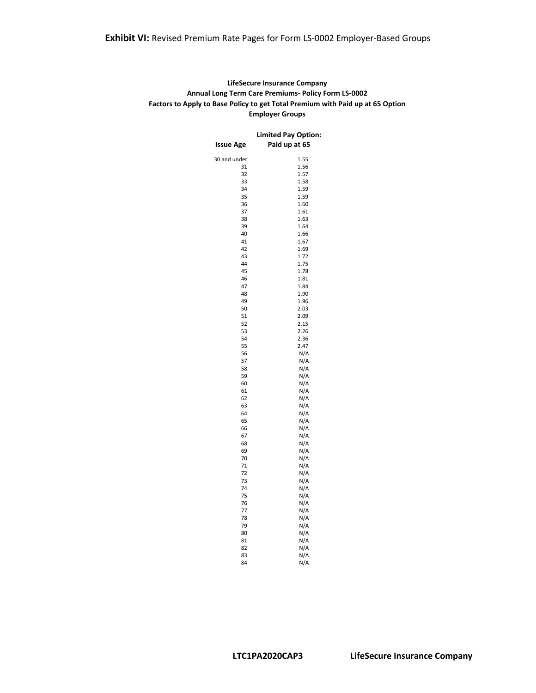#### **LifeSecure Insurance Company Annual Long Term Care Premiums- Policy Form LS-0002 Factors to Apply to Base Policy to get Total Premium with Paid up at 65 Option Employer Groups**

|              | <b>Limited Pay Option:</b> |
|--------------|----------------------------|
| Issue Age    | Paid up at 65              |
| 30 and under | 1.55                       |
| 31           | 1.56                       |
| 32           | 1.57                       |
| 33           | 1.58                       |
| 34           | 1.59                       |
| 35           | 1.59                       |
| 36           | 1.60                       |
| 37           | 1.61                       |
| 38           | 1.63                       |
| 39           | 1.64                       |
| 40           | 1.66                       |
| 41           | 1.67                       |
| 42           | 1.69                       |
| 43           | 1.72                       |
| 44           | 1.75                       |
| 45           | 1.78                       |
| 46           | 1.81                       |
| 47           | 1.84                       |
| 48           | 1.90                       |
| 49           | 1.96                       |
| 50           | 2.03                       |
| 51           | 2.09                       |
| 52           | 2.15                       |
| 53           | 2.26                       |
| 54           | 2.36                       |
| 55           | 2.47                       |
| 56           | N/A                        |
| 57           | N/A                        |
| 58           | N/A                        |
| 59           | N/A                        |
| 60           | N/A                        |
| 61           | N/A                        |
| 62           | N/A                        |
| 63           | N/A                        |
| 64           | N/A                        |
| 65           | N/A                        |
| 66           | N/A                        |
| 67           | N/A                        |
| 68           | N/A                        |
| 69           | N/A                        |
| 70           | N/A                        |
| 71           | N/A                        |
| 72           | N/A                        |
| 73           | N/A                        |
| 74           | N/A                        |
| 75           | N/A                        |
| 76           | N/A                        |
| 77           | N/A                        |
| 78           | N/A                        |
| 79           | N/A                        |
| 80           | N/A                        |
| 81           | N/A                        |
| 82           | N/A                        |
| 83           | N/A                        |
| 84           | N/A                        |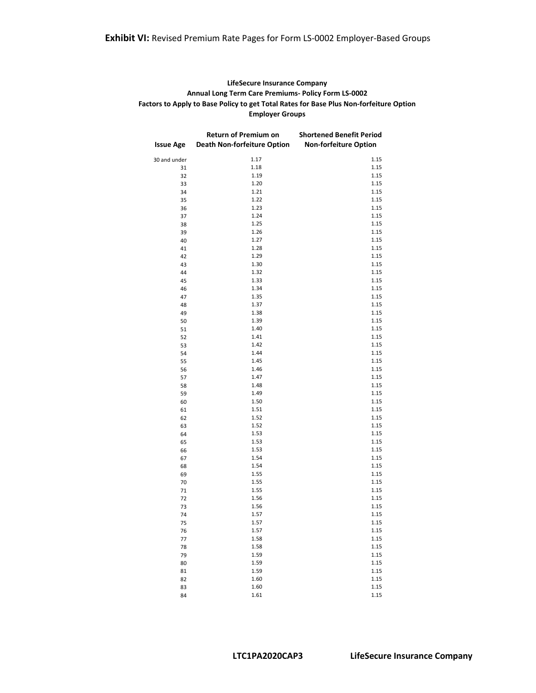### **Exhibit VI:** Revised Premium Rate Pages for Form LS-0002 Employer-Based Groups

#### **LifeSecure Insurance Company Annual Long Term Care Premiums- Policy Form LS-0002 Factors to Apply to Base Policy to get Total Rates for Base Plus Non-forfeiture Option Employer Groups**

|                  | Return of Premium on               | <b>Shortened Benefit Period</b> |
|------------------|------------------------------------|---------------------------------|
| <b>Issue Age</b> | <b>Death Non-forfeiture Option</b> | <b>Non-forfeiture Option</b>    |
| 30 and under     | 1.17                               | 1.15                            |
| 31               | 1.18                               | 1.15                            |
| 32               | 1.19                               | 1.15                            |
| 33               | 1.20                               | 1.15                            |
| 34               | 1.21                               | 1.15                            |
| 35               | 1.22                               | 1.15                            |
| 36               | 1.23                               | 1.15                            |
| 37               | 1.24                               | 1.15                            |
| 38               | 1.25                               | 1.15                            |
| 39               | 1.26                               | 1.15                            |
| 40               | 1.27                               | 1.15                            |
| 41               | 1.28                               | 1.15                            |
| 42               | 1.29                               | 1.15                            |
| 43               | 1.30                               | 1.15                            |
| 44               | 1.32                               | 1.15                            |
| 45               | 1.33                               | 1.15                            |
| 46               | 1.34                               | 1.15                            |
| 47               | 1.35<br>1.37                       | 1.15<br>1.15                    |
| 48<br>49         | 1.38                               | 1.15                            |
| 50               | 1.39                               | 1.15                            |
| 51               | 1.40                               | 1.15                            |
| 52               | 1.41                               | 1.15                            |
| 53               | 1.42                               | 1.15                            |
| 54               | 1.44                               | 1.15                            |
| 55               | 1.45                               | 1.15                            |
| 56               | 1.46                               | 1.15                            |
| 57               | 1.47                               | 1.15                            |
| 58               | 1.48                               | 1.15                            |
| 59               | 1.49                               | 1.15                            |
| 60               | 1.50                               | 1.15                            |
| 61               | 1.51                               | 1.15                            |
| 62               | 1.52                               | 1.15                            |
| 63               | 1.52                               | 1.15                            |
| 64               | 1.53                               | 1.15                            |
| 65               | 1.53                               | 1.15                            |
| 66               | 1.53                               | 1.15                            |
| 67               | 1.54                               | 1.15                            |
| 68               | 1.54                               | 1.15                            |
| 69               | 1.55                               | 1.15                            |
| 70               | 1.55                               | 1.15                            |
| 71               | 1.55                               | 1.15                            |
| 72               | 1.56                               | 1.15                            |
| 73               | 1.56                               | 1.15                            |
| 74               | 1.57                               | 1.15                            |
| 75               | 1.57                               | 1.15                            |
| 76               | 1.57                               | 1.15                            |
| 77               | 1.58                               | 1.15                            |
| 78               | 1.58                               | 1.15                            |
| 79               | 1.59                               | 1.15                            |
| 80               | 1.59                               | 1.15                            |
| 81               | 1.59                               | 1.15                            |
| 82               | 1.60                               | 1.15                            |
| 83               | 1.60                               | 1.15                            |
| 84               | 1.61                               | 1.15                            |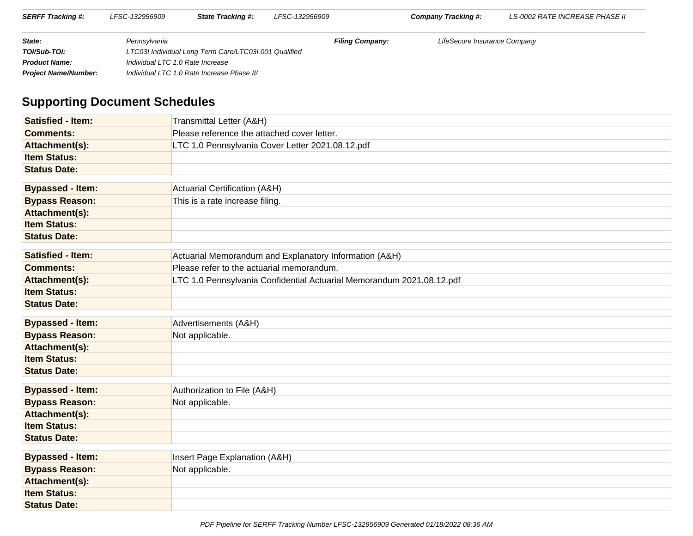| <b>SERFF Tracking #:</b>    | LFSC-132956909                   | <b>State Tracking #:</b>                              | LFSC-132956909         | Company Tracking #:          | LS-0002 RATE INCREASE PHASE II |
|-----------------------------|----------------------------------|-------------------------------------------------------|------------------------|------------------------------|--------------------------------|
| State:                      | Pennsvlvania                     |                                                       | <b>Filing Company:</b> | LifeSecure Insurance Company |                                |
| TOI/Sub-TOI:                |                                  | LTC03I Individual Long Term Care/LTC03I.001 Qualified |                        |                              |                                |
| <b>Product Name:</b>        | Individual LTC 1.0 Rate Increase |                                                       |                        |                              |                                |
| <b>Project Name/Number:</b> |                                  | Individual LTC 1.0 Rate Increase Phase II/            |                        |                              |                                |

# **Supporting Document Schedules**

| <b>Satisfied - Item:</b> | Transmittal Letter (A&H)                                              |
|--------------------------|-----------------------------------------------------------------------|
| <b>Comments:</b>         | Please reference the attached cover letter.                           |
| Attachment(s):           | LTC 1.0 Pennsylvania Cover Letter 2021.08.12.pdf                      |
| <b>Item Status:</b>      |                                                                       |
| <b>Status Date:</b>      |                                                                       |
| <b>Bypassed - Item:</b>  | Actuarial Certification (A&H)                                         |
|                          |                                                                       |
| <b>Bypass Reason:</b>    | This is a rate increase filing.                                       |
| Attachment(s):           |                                                                       |
| <b>Item Status:</b>      |                                                                       |
| <b>Status Date:</b>      |                                                                       |
| <b>Satisfied - Item:</b> | Actuarial Memorandum and Explanatory Information (A&H)                |
| <b>Comments:</b>         | Please refer to the actuarial memorandum.                             |
| Attachment(s):           | LTC 1.0 Pennsylvania Confidential Actuarial Memorandum 2021.08.12.pdf |
| <b>Item Status:</b>      |                                                                       |
| <b>Status Date:</b>      |                                                                       |
| <b>Bypassed - Item:</b>  | Advertisements (A&H)                                                  |
| <b>Bypass Reason:</b>    | Not applicable.                                                       |
| Attachment(s):           |                                                                       |
| <b>Item Status:</b>      |                                                                       |
| <b>Status Date:</b>      |                                                                       |
|                          |                                                                       |
| <b>Bypassed - Item:</b>  | Authorization to File (A&H)                                           |
| <b>Bypass Reason:</b>    | Not applicable.                                                       |
| Attachment(s):           |                                                                       |
| <b>Item Status:</b>      |                                                                       |
| <b>Status Date:</b>      |                                                                       |
| <b>Bypassed - Item:</b>  | Insert Page Explanation (A&H)                                         |
| <b>Bypass Reason:</b>    | Not applicable.                                                       |
| Attachment(s):           |                                                                       |
| <b>Item Status:</b>      |                                                                       |
| <b>Status Date:</b>      |                                                                       |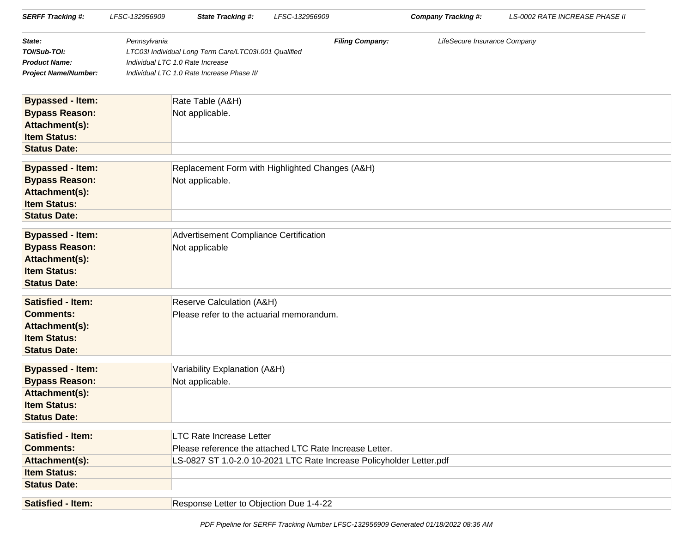| <b>SERFF Tracking #:</b>    | LFSC-132956909 | <b>State Tracking #:</b>                                             | LFSC-132956909 |                        | <b>Company Tracking #:</b>   | <b>LS-0002 RATE INCREASE PHASE II</b> |
|-----------------------------|----------------|----------------------------------------------------------------------|----------------|------------------------|------------------------------|---------------------------------------|
| State:                      | Pennsylvania   |                                                                      |                | <b>Filing Company:</b> | LifeSecure Insurance Company |                                       |
| TOI/Sub-TOI:                |                | LTC03I Individual Long Term Care/LTC03I.001 Qualified                |                |                        |                              |                                       |
| <b>Product Name:</b>        |                | Individual LTC 1.0 Rate Increase                                     |                |                        |                              |                                       |
| <b>Project Name/Number:</b> |                | Individual LTC 1.0 Rate Increase Phase II/                           |                |                        |                              |                                       |
| <b>Bypassed - Item:</b>     |                | Rate Table (A&H)                                                     |                |                        |                              |                                       |
| <b>Bypass Reason:</b>       |                | Not applicable.                                                      |                |                        |                              |                                       |
| Attachment(s):              |                |                                                                      |                |                        |                              |                                       |
| <b>Item Status:</b>         |                |                                                                      |                |                        |                              |                                       |
| <b>Status Date:</b>         |                |                                                                      |                |                        |                              |                                       |
| <b>Bypassed - Item:</b>     |                | Replacement Form with Highlighted Changes (A&H)                      |                |                        |                              |                                       |
| <b>Bypass Reason:</b>       |                | Not applicable.                                                      |                |                        |                              |                                       |
| Attachment(s):              |                |                                                                      |                |                        |                              |                                       |
| <b>Item Status:</b>         |                |                                                                      |                |                        |                              |                                       |
| <b>Status Date:</b>         |                |                                                                      |                |                        |                              |                                       |
| <b>Bypassed - Item:</b>     |                | Advertisement Compliance Certification                               |                |                        |                              |                                       |
| <b>Bypass Reason:</b>       |                | Not applicable                                                       |                |                        |                              |                                       |
| Attachment(s):              |                |                                                                      |                |                        |                              |                                       |
| <b>Item Status:</b>         |                |                                                                      |                |                        |                              |                                       |
| <b>Status Date:</b>         |                |                                                                      |                |                        |                              |                                       |
| <b>Satisfied - Item:</b>    |                | Reserve Calculation (A&H)                                            |                |                        |                              |                                       |
| <b>Comments:</b>            |                | Please refer to the actuarial memorandum.                            |                |                        |                              |                                       |
| Attachment(s):              |                |                                                                      |                |                        |                              |                                       |
| <b>Item Status:</b>         |                |                                                                      |                |                        |                              |                                       |
| <b>Status Date:</b>         |                |                                                                      |                |                        |                              |                                       |
| <b>Bypassed - Item:</b>     |                | Variability Explanation (A&H)                                        |                |                        |                              |                                       |
| <b>Bypass Reason:</b>       |                | Not applicable.                                                      |                |                        |                              |                                       |
| Attachment(s):              |                |                                                                      |                |                        |                              |                                       |
| <b>Item Status:</b>         |                |                                                                      |                |                        |                              |                                       |
| <b>Status Date:</b>         |                |                                                                      |                |                        |                              |                                       |
| <b>Satisfied - Item:</b>    |                | <b>LTC Rate Increase Letter</b>                                      |                |                        |                              |                                       |
| <b>Comments:</b>            |                | Please reference the attached LTC Rate Increase Letter.              |                |                        |                              |                                       |
| Attachment(s):              |                | LS-0827 ST 1.0-2.0 10-2021 LTC Rate Increase Policyholder Letter.pdf |                |                        |                              |                                       |
| <b>Item Status:</b>         |                |                                                                      |                |                        |                              |                                       |
| <b>Status Date:</b>         |                |                                                                      |                |                        |                              |                                       |
| <b>Satisfied - Item:</b>    |                | Response Letter to Objection Due 1-4-22                              |                |                        |                              |                                       |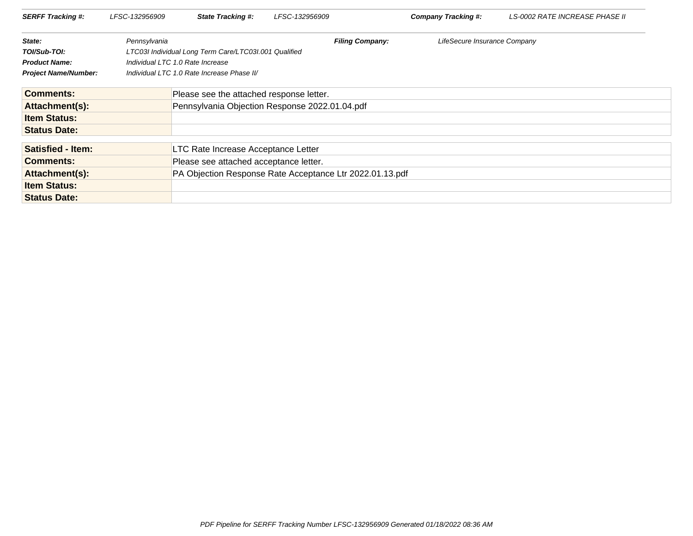| <b>SERFF Tracking #:</b>    | LFSC-132956909 | <b>State Tracking #:</b>                                 | LFSC-132956909 |                        | Company Tracking #:          | LS-0002 RATE INCREASE PHASE II |
|-----------------------------|----------------|----------------------------------------------------------|----------------|------------------------|------------------------------|--------------------------------|
| State:                      | Pennsylvania   |                                                          |                | <b>Filing Company:</b> | LifeSecure Insurance Company |                                |
| TOI/Sub-TOI:                |                | LTC03I Individual Long Term Care/LTC03I.001 Qualified    |                |                        |                              |                                |
| <b>Product Name:</b>        |                | Individual LTC 1.0 Rate Increase                         |                |                        |                              |                                |
| <b>Project Name/Number:</b> |                | Individual LTC 1.0 Rate Increase Phase II/               |                |                        |                              |                                |
| <b>Comments:</b>            |                | Please see the attached response letter.                 |                |                        |                              |                                |
| Attachment(s):              |                | Pennsylvania Objection Response 2022.01.04.pdf           |                |                        |                              |                                |
| <b>Item Status:</b>         |                |                                                          |                |                        |                              |                                |
| <b>Status Date:</b>         |                |                                                          |                |                        |                              |                                |
| <b>Satisfied - Item:</b>    |                | LTC Rate Increase Acceptance Letter                      |                |                        |                              |                                |
| <b>Comments:</b>            |                | Please see attached acceptance letter.                   |                |                        |                              |                                |
| Attachment(s):              |                | PA Objection Response Rate Acceptance Ltr 2022.01.13.pdf |                |                        |                              |                                |
| <b>Item Status:</b>         |                |                                                          |                |                        |                              |                                |
| <b>Status Date:</b>         |                |                                                          |                |                        |                              |                                |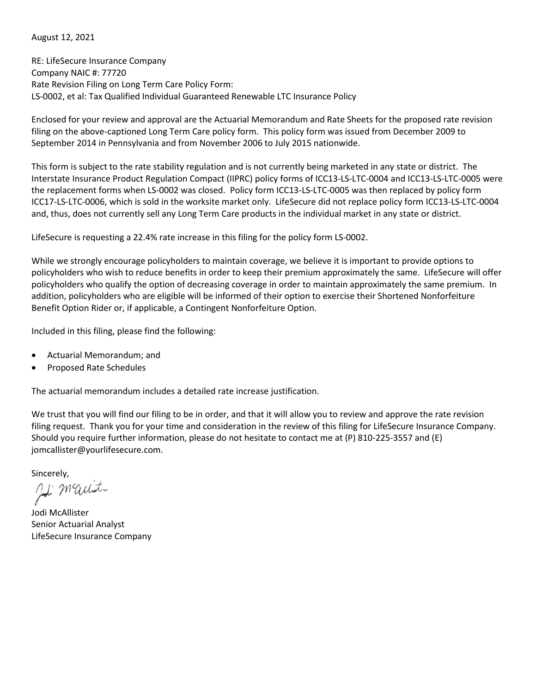August 12, 2021

RE: LifeSecure Insurance Company Company NAIC #: 77720 Rate Revision Filing on Long Term Care Policy Form: LS-0002, et al: Tax Qualified Individual Guaranteed Renewable LTC Insurance Policy

Enclosed for your review and approval are the Actuarial Memorandum and Rate Sheets for the proposed rate revision filing on the above-captioned Long Term Care policy form. This policy form was issued from December 2009 to September 2014 in Pennsylvania and from November 2006 to July 2015 nationwide.

This form is subject to the rate stability regulation and is not currently being marketed in any state or district. The Interstate Insurance Product Regulation Compact (IIPRC) policy forms of ICC13-LS-LTC-0004 and ICC13-LS-LTC-0005 were the replacement forms when LS-0002 was closed. Policy form ICC13-LS-LTC-0005 was then replaced by policy form ICC17-LS-LTC-0006, which is sold in the worksite market only. LifeSecure did not replace policy form ICC13-LS-LTC-0004 and, thus, does not currently sell any Long Term Care products in the individual market in any state or district.

LifeSecure is requesting a 22.4% rate increase in this filing for the policy form LS-0002.

While we strongly encourage policyholders to maintain coverage, we believe it is important to provide options to policyholders who wish to reduce benefits in order to keep their premium approximately the same. LifeSecure will offer policyholders who qualify the option of decreasing coverage in order to maintain approximately the same premium. In addition, policyholders who are eligible will be informed of their option to exercise their Shortened Nonforfeiture Benefit Option Rider or, if applicable, a Contingent Nonforfeiture Option.

Included in this filing, please find the following:

- Actuarial Memorandum; and
- Proposed Rate Schedules

The actuarial memorandum includes a detailed rate increase justification.

We trust that you will find our filing to be in order, and that it will allow you to review and approve the rate revision filing request. Thank you for your time and consideration in the review of this filing for LifeSecure Insurance Company. Should you require further information, please do not hesitate to contact me at (P) 810-225-3557 and (E) jomcallister@yourlifesecure.com.

Sincerely,<br>Job Maut

Jodi McAllister Senior Actuarial Analyst LifeSecure Insurance Company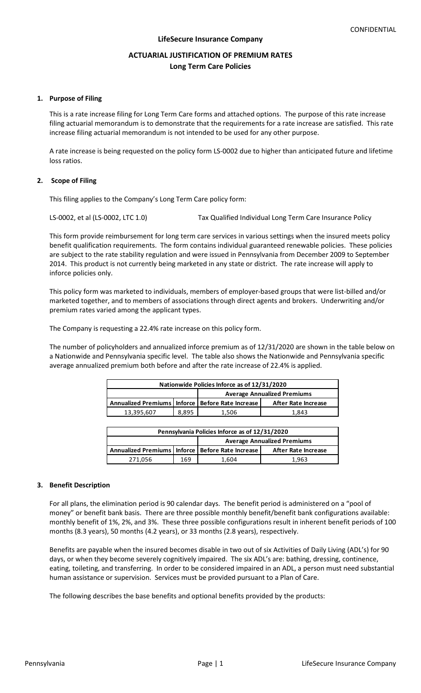# **ACTUARIAL JUSTIFICATION OF PREMIUM RATES Long Term Care Policies**

### **1. Purpose of Filing**

This is a rate increase filing for Long Term Care forms and attached options. The purpose of this rate increase filing actuarial memorandum is to demonstrate that the requirements for a rate increase are satisfied. This rate increase filing actuarial memorandum is not intended to be used for any other purpose.

A rate increase is being requested on the policy form LS-0002 due to higher than anticipated future and lifetime loss ratios.

### **2. Scope of Filing**

This filing applies to the Company's Long Term Care policy form:

LS-0002, et al (LS-0002, LTC 1.0) Tax Qualified Individual Long Term Care Insurance Policy

This form provide reimbursement for long term care services in various settings when the insured meets policy benefit qualification requirements. The form contains individual guaranteed renewable policies. These policies are subject to the rate stability regulation and were issued in Pennsylvania from December 2009 to September 2014. This product is not currently being marketed in any state or district. The rate increase will apply to inforce policies only.

This policy form was marketed to individuals, members of employer-based groups that were list-billed and/or marketed together, and to members of associations through direct agents and brokers. Underwriting and/or premium rates varied among the applicant types.

The Company is requesting a 22.4% rate increase on this policy form.

The number of policyholders and annualized inforce premium as of 12/31/2020 are shown in the table below on a Nationwide and Pennsylvania specific level. The table also shows the Nationwide and Pennsylvania specific average annualized premium both before and after the rate increase of 22.4% is applied.

| Nationwide Policies Inforce as of 12/31/2020         |       |       |                     |  |  |
|------------------------------------------------------|-------|-------|---------------------|--|--|
| <b>Average Annualized Premiums</b>                   |       |       |                     |  |  |
| Annualized Premiums   Inforce   Before Rate Increase |       |       | After Rate Increase |  |  |
| 13,395,607                                           | 8.895 | 1.506 | 1.843               |  |  |
|                                                      |       |       |                     |  |  |

| Pennsylvania Policies Inforce as of 12/31/2020       |     |       |                                    |  |  |  |
|------------------------------------------------------|-----|-------|------------------------------------|--|--|--|
|                                                      |     |       | <b>Average Annualized Premiums</b> |  |  |  |
| Annualized Premiums   Inforce   Before Rate Increase |     |       | After Rate Increase                |  |  |  |
| 271.056                                              | 169 | 1.604 | 1.963                              |  |  |  |

### **3. Benefit Description**

For all plans, the elimination period is 90 calendar days. The benefit period is administered on a "pool of money" or benefit bank basis. There are three possible monthly benefit/benefit bank configurations available: monthly benefit of 1%, 2%, and 3%. These three possible configurations result in inherent benefit periods of 100 months (8.3 years), 50 months (4.2 years), or 33 months (2.8 years), respectively.

Benefits are payable when the insured becomes disable in two out of six Activities of Daily Living (ADL's) for 90 days, or when they become severely cognitively impaired. The six ADL's are: bathing, dressing, continence, eating, toileting, and transferring. In order to be considered impaired in an ADL, a person must need substantial human assistance or supervision. Services must be provided pursuant to a Plan of Care.

The following describes the base benefits and optional benefits provided by the products: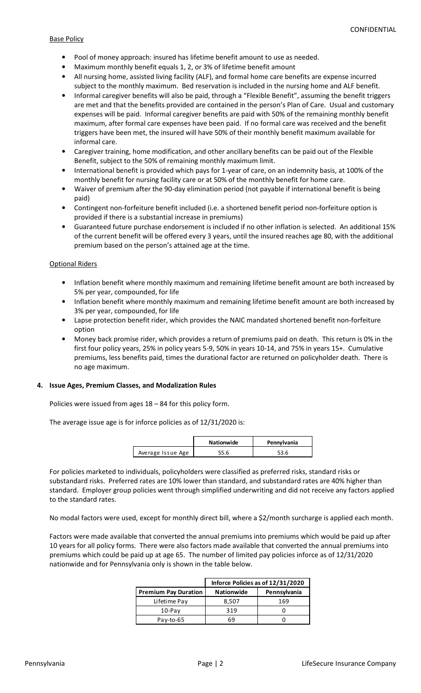#### Base Policy

- Pool of money approach: insured has lifetime benefit amount to use as needed.
- Maximum monthly benefit equals 1, 2, or 3% of lifetime benefit amount
- All nursing home, assisted living facility (ALF), and formal home care benefits are expense incurred subject to the monthly maximum. Bed reservation is included in the nursing home and ALF benefit.
- Informal caregiver benefits will also be paid, through a "Flexible Benefit", assuming the benefit triggers are met and that the benefits provided are contained in the person's Plan of Care. Usual and customary expenses will be paid. Informal caregiver benefits are paid with 50% of the remaining monthly benefit maximum, after formal care expenses have been paid. If no formal care was received and the benefit triggers have been met, the insured will have 50% of their monthly benefit maximum available for informal care.
- Caregiver training, home modification, and other ancillary benefits can be paid out of the Flexible Benefit, subject to the 50% of remaining monthly maximum limit.
- International benefit is provided which pays for 1-year of care, on an indemnity basis, at 100% of the monthly benefit for nursing facility care or at 50% of the monthly benefit for home care.
- Waiver of premium after the 90-day elimination period (not payable if international benefit is being paid)
- Contingent non-forfeiture benefit included (i.e. a shortened benefit period non-forfeiture option is provided if there is a substantial increase in premiums)
- Guaranteed future purchase endorsement is included if no other inflation is selected. An additional 15% of the current benefit will be offered every 3 years, until the insured reaches age 80, with the additional premium based on the person's attained age at the time.

### Optional Riders

- Inflation benefit where monthly maximum and remaining lifetime benefit amount are both increased by 5% per year, compounded, for life
- Inflation benefit where monthly maximum and remaining lifetime benefit amount are both increased by 3% per year, compounded, for life
- Lapse protection benefit rider, which provides the NAIC mandated shortened benefit non-forfeiture option
- Money back promise rider, which provides a return of premiums paid on death. This return is 0% in the first four policy years, 25% in policy years 5-9, 50% in years 10-14, and 75% in years 15+. Cumulative premiums, less benefits paid, times the durational factor are returned on policyholder death. There is no age maximum.

### **4. Issue Ages, Premium Classes, and Modalization Rules**

Policies were issued from ages 18 – 84 for this policy form.

The average issue age is for inforce policies as of 12/31/2020 is:

|                   | <b>Nationwide</b> | Pennylvania |
|-------------------|-------------------|-------------|
| Average Issue Age | 55.6              |             |

For policies marketed to individuals, policyholders were classified as preferred risks, standard risks or substandard risks. Preferred rates are 10% lower than standard, and substandard rates are 40% higher than standard. Employer group policies went through simplified underwriting and did not receive any factors applied to the standard rates.

No modal factors were used, except for monthly direct bill, where a \$2/month surcharge is applied each month.

Factors were made available that converted the annual premiums into premiums which would be paid up after 10 years for all policy forms. There were also factors made available that converted the annual premiums into premiums which could be paid up at age 65. The number of limited pay policies inforce as of 12/31/2020 nationwide and for Pennsylvania only is shown in the table below.

|                             | Inforce Policies as of 12/31/2020 |              |  |  |
|-----------------------------|-----------------------------------|--------------|--|--|
| <b>Premium Pay Duration</b> | <b>Nationwide</b>                 | Pennsylvania |  |  |
| Lifetime Pay                | 8,507                             | 169          |  |  |
| $10$ -Pay                   | 319                               |              |  |  |
| Pay-to-65                   |                                   |              |  |  |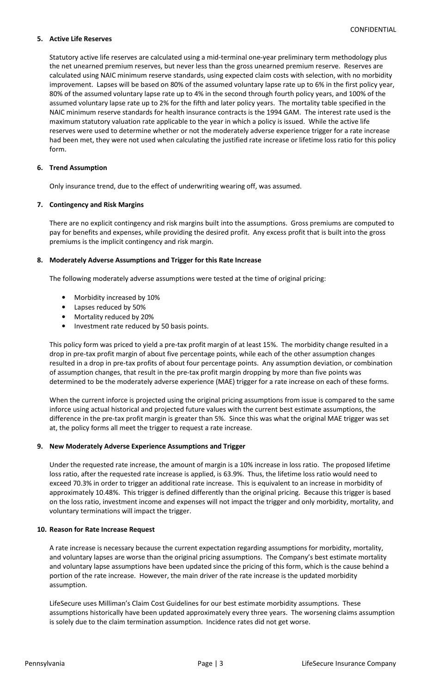### **5. Active Life Reserves**

Statutory active life reserves are calculated using a mid-terminal one-year preliminary term methodology plus the net unearned premium reserves, but never less than the gross unearned premium reserve. Reserves are calculated using NAIC minimum reserve standards, using expected claim costs with selection, with no morbidity improvement. Lapses will be based on 80% of the assumed voluntary lapse rate up to 6% in the first policy year, 80% of the assumed voluntary lapse rate up to 4% in the second through fourth policy years, and 100% of the assumed voluntary lapse rate up to 2% for the fifth and later policy years. The mortality table specified in the NAIC minimum reserve standards for health insurance contracts is the 1994 GAM. The interest rate used is the maximum statutory valuation rate applicable to the year in which a policy is issued. While the active life reserves were used to determine whether or not the moderately adverse experience trigger for a rate increase had been met, they were not used when calculating the justified rate increase or lifetime loss ratio for this policy form.

# **6. Trend Assumption**

Only insurance trend, due to the effect of underwriting wearing off, was assumed.

# **7. Contingency and Risk Margins**

There are no explicit contingency and risk margins built into the assumptions. Gross premiums are computed to pay for benefits and expenses, while providing the desired profit. Any excess profit that is built into the gross premiums is the implicit contingency and risk margin.

### **8. Moderately Adverse Assumptions and Trigger for this Rate Increase**

The following moderately adverse assumptions were tested at the time of original pricing:

- Morbidity increased by 10%
- Lapses reduced by 50%
- Mortality reduced by 20%
- Investment rate reduced by 50 basis points.

This policy form was priced to yield a pre-tax profit margin of at least 15%. The morbidity change resulted in a drop in pre-tax profit margin of about five percentage points, while each of the other assumption changes resulted in a drop in pre-tax profits of about four percentage points. Any assumption deviation, or combination of assumption changes, that result in the pre-tax profit margin dropping by more than five points was determined to be the moderately adverse experience (MAE) trigger for a rate increase on each of these forms.

When the current inforce is projected using the original pricing assumptions from issue is compared to the same inforce using actual historical and projected future values with the current best estimate assumptions, the difference in the pre-tax profit margin is greater than 5%. Since this was what the original MAE trigger was set at, the policy forms all meet the trigger to request a rate increase.

# **9. New Moderately Adverse Experience Assumptions and Trigger**

Under the requested rate increase, the amount of margin is a 10% increase in loss ratio. The proposed lifetime loss ratio, after the requested rate increase is applied, is 63.9%. Thus, the lifetime loss ratio would need to exceed 70.3% in order to trigger an additional rate increase. This is equivalent to an increase in morbidity of approximately 10.48%. This trigger is defined differently than the original pricing. Because this trigger is based on the loss ratio, investment income and expenses will not impact the trigger and only morbidity, mortality, and voluntary terminations will impact the trigger.

### **10. Reason for Rate Increase Request**

A rate increase is necessary because the current expectation regarding assumptions for morbidity, mortality, and voluntary lapses are worse than the original pricing assumptions. The Company's best estimate mortality and voluntary lapse assumptions have been updated since the pricing of this form, which is the cause behind a portion of the rate increase. However, the main driver of the rate increase is the updated morbidity assumption.

LifeSecure uses Milliman's Claim Cost Guidelines for our best estimate morbidity assumptions. These assumptions historically have been updated approximately every three years. The worsening claims assumption is solely due to the claim termination assumption. Incidence rates did not get worse.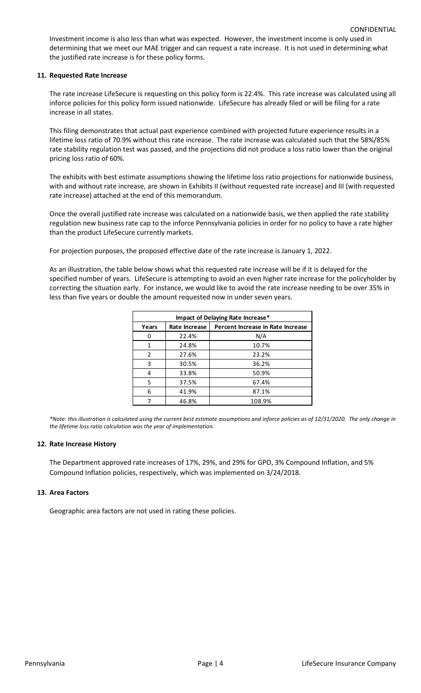Investment income is also less than what was expected. However, the investment income is only used in determining that we meet our MAE trigger and can request a rate increase. It is not used in determining what the justified rate increase is for these policy forms.

#### **11. Requested Rate Increase**

The rate increase LifeSecure is requesting on this policy form is 22.4%. This rate increase was calculated using all inforce policies for this policy form issued nationwide. LifeSecure has already filed or will be filing for a rate increase in all states.

This filing demonstrates that actual past experience combined with projected future experience results in a lifetime loss ratio of 70.9% without this rate increase. The rate increase was calculated such that the 58%/85% rate stability regulation test was passed, and the projections did not produce a loss ratio lower than the original pricing loss ratio of 60%.

The exhibits with best estimate assumptions showing the lifetime loss ratio projections for nationwide business, with and without rate increase, are shown in Exhibits II (without requested rate increase) and III (with requested rate increase) attached at the end of this memorandum.

Once the overall justified rate increase was calculated on a nationwide basis, we then applied the rate stability regulation new business rate cap to the inforce Pennsylvania policies in order for no policy to have a rate higher than the product LifeSecure currently markets.

For projection purposes, the proposed effective date of the rate increase is January 1, 2022.

As an illustration, the table below shows what this requested rate increase will be if it is delayed for the specified number of years. LifeSecure is attempting to avoid an even higher rate increase for the policyholder by correcting the situation early. For instance, we would like to avoid the rate increase needing to be over 35% in less than five years or double the amount requested now in under seven years.

| Impact of Delaying Rate Increase*                           |       |        |  |  |
|-------------------------------------------------------------|-------|--------|--|--|
| Rate Increase<br>Percent Increase in Rate Increase<br>Years |       |        |  |  |
|                                                             | 22.4% | N/A    |  |  |
|                                                             | 24.8% | 10.7%  |  |  |
| $\mathcal{P}$                                               | 27.6% | 23.2%  |  |  |
| 3                                                           | 30.5% | 36.2%  |  |  |
|                                                             | 33.8% | 50.9%  |  |  |
| 5                                                           | 37.5% | 67.4%  |  |  |
| 6                                                           | 41.9% | 87.1%  |  |  |
|                                                             | 46.8% | 108.9% |  |  |

*\*Note: this illustration is calculated using the current best estimate assumptions and inforce policies as of 12/31/2020. The only change in the lifetime loss ratio calculation was the year of implementation.* 

### **12. Rate Increase History**

The Department approved rate increases of 17%, 29%, and 29% for GPO, 3% Compound Inflation, and 5% Compound Inflation policies, respectively, which was implemented on 3/24/2018.

### **13. Area Factors**

Geographic area factors are not used in rating these policies.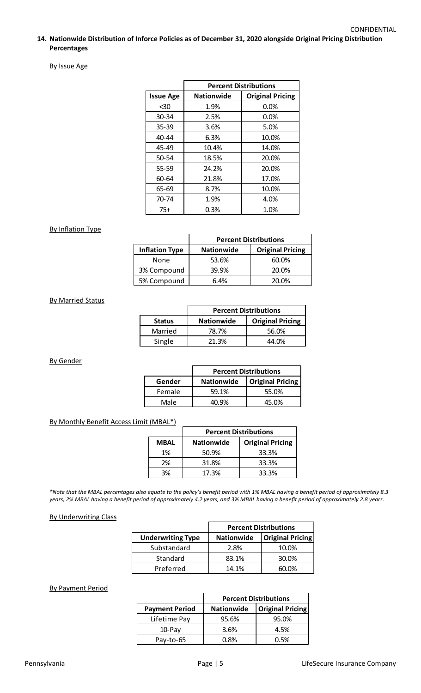### By Issue Age

|                  | <b>Percent Distributions</b>                 |       |  |  |
|------------------|----------------------------------------------|-------|--|--|
| <b>Issue Age</b> | <b>Original Pricing</b><br><b>Nationwide</b> |       |  |  |
| $30$             | 1.9%                                         | 0.0%  |  |  |
| $30 - 34$        | 2.5%                                         | 0.0%  |  |  |
| $35 - 39$        | 3.6%                                         | 5.0%  |  |  |
| 40-44            | 6.3%                                         | 10.0% |  |  |
| 45-49            | 10.4%                                        | 14.0% |  |  |
| $50 - 54$        | 18.5%                                        | 20.0% |  |  |
| $55 - 59$        | 24.2%                                        | 20.0% |  |  |
| 60-64            | 21.8%                                        | 17.0% |  |  |
| 65-69            | 8.7%                                         | 10.0% |  |  |
| 70-74            | 1.9%                                         | 4.0%  |  |  |
| $75+$            | 0.3%                                         | 1.0%  |  |  |

# By Inflation Type

|                       | <b>Percent Distributions</b> |                         |  |  |
|-----------------------|------------------------------|-------------------------|--|--|
| <b>Inflation Type</b> | <b>Nationwide</b>            | <b>Original Pricing</b> |  |  |
| None                  | 53.6%                        | 60.0%                   |  |  |
| 3% Compound           | 39.9%                        | 20.0%                   |  |  |
| 5% Compound           | 6.4%                         | 20.0%                   |  |  |

#### By Married Status

|               | <b>Percent Distributions</b>                 |       |  |  |
|---------------|----------------------------------------------|-------|--|--|
| <b>Status</b> | <b>Original Pricing</b><br><b>Nationwide</b> |       |  |  |
| Married       | 78.7%                                        | 56.0% |  |  |
| Single        | 21.3%                                        | 44.0% |  |  |

By Gender

|        | <b>Percent Distributions</b> |                         |  |  |
|--------|------------------------------|-------------------------|--|--|
| Gender | <b>Nationwide</b>            | <b>Original Pricing</b> |  |  |
| Female | 59.1%                        | 55.0%                   |  |  |
| Male   | 4በ ዓ%                        | 45.0%                   |  |  |

### By Monthly Benefit Access Limit (MBAL\*)

|             | <b>Percent Distributions</b>                 |       |  |  |
|-------------|----------------------------------------------|-------|--|--|
| <b>MBAL</b> | <b>Original Pricing</b><br><b>Nationwide</b> |       |  |  |
| 1%          | 50.9%                                        | 33.3% |  |  |
| 2%          | 31.8%                                        | 33.3% |  |  |
| 3%          | 17.3%                                        | 33.3% |  |  |

*\*Note that the MBAL percentages also equate to the policy's benefit period with 1% MBAL having a benefit period of approximately 8.3 years, 2% MBAL having a benefit period of approximately 4.2 years, and 3% MBAL having a benefit period of approximately 2.8 years.* 

### By Underwriting Class

|                          | <b>Percent Distributions</b> |                         |  |
|--------------------------|------------------------------|-------------------------|--|
| <b>Underwriting Type</b> | <b>Nationwide</b>            | <b>Original Pricing</b> |  |
| Substandard              | 2.8%                         | 10.0%                   |  |
| Standard                 | 83.1%                        | 30.0%                   |  |
| Preferred                | 14.1%                        | 60.O%                   |  |

# By Payment Period

|                       | <b>Percent Distributions</b> |                         |  |  |
|-----------------------|------------------------------|-------------------------|--|--|
| <b>Payment Period</b> | <b>Nationwide</b>            | <b>Original Pricing</b> |  |  |
| Lifetime Pay          | 95.6%                        | 95.0%                   |  |  |
| $10$ -Pay             | 3.6%                         | 4.5%                    |  |  |
| Pay-to-65             | በ ጸ%                         | 0.5%                    |  |  |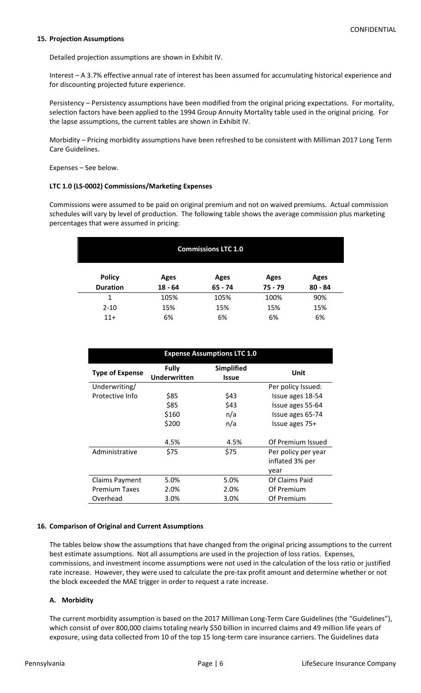### **15. Projection Assumptions**

Detailed projection assumptions are shown in Exhibit IV.

Interest – A 3.7% effective annual rate of interest has been assumed for accumulating historical experience and for discounting projected future experience.

Persistency – Persistency assumptions have been modified from the original pricing expectations. For mortality, selection factors have been applied to the 1994 Group Annuity Mortality table used in the original pricing. For the lapse assumptions, the current tables are shown in Exhibit IV.

Morbidity – Pricing morbidity assumptions have been refreshed to be consistent with Milliman 2017 Long Term Care Guidelines.

Expenses – See below.

# **LTC 1.0 (LS-0002) Commissions/Marketing Expenses**

Commissions were assumed to be paid on original premium and not on waived premiums. Actual commission schedules will vary by level of production. The following table shows the average commission plus marketing percentages that were assumed in pricing:

| <b>Commissions LTC 1.0</b> |             |           |           |             |  |
|----------------------------|-------------|-----------|-----------|-------------|--|
| <b>Policy</b>              | <b>Ages</b> | Ages      | Ages      | <b>Ages</b> |  |
| <b>Duration</b>            | $18 - 64$   | $65 - 74$ | $75 - 79$ | $80 - 84$   |  |
|                            | 105%        | 105%      | 100%      | 90%         |  |
| $2 - 10$                   | 15%         | 15%       | 15%       | 15%         |  |
| $11+$                      | 6%          | 6%        | 6%        | 6%          |  |

| <b>Expense Assumptions LTC 1.0</b> |                                     |                     |                     |  |  |
|------------------------------------|-------------------------------------|---------------------|---------------------|--|--|
| <b>Type of Expense</b>             | <b>Fully</b><br><b>Underwritten</b> | Simplified<br>Issue | Unit                |  |  |
| Underwriting/                      |                                     |                     | Per policy Issued:  |  |  |
| Protective Info                    | \$85                                | \$43                | Issue ages 18-54    |  |  |
|                                    | \$85                                | \$43                | Issue ages 55-64    |  |  |
|                                    | \$160                               | n/a                 | Issue ages 65-74    |  |  |
|                                    | \$200                               | n/a                 | Issue ages 75+      |  |  |
|                                    | 4.5%                                | 4.5%                | Of Premium Issued   |  |  |
| Administrative                     | \$75                                | \$75                | Per policy per year |  |  |
|                                    |                                     |                     | inflated 3% per     |  |  |
|                                    |                                     |                     | year                |  |  |
| <b>Claims Payment</b>              | 5.0%                                | 5.0%                | Of Claims Paid      |  |  |
| <b>Premium Taxes</b>               | 2.0%                                | 2.0%                | Of Premium          |  |  |
| Overhead                           | 3.0%                                | 3.0%                | Of Premium          |  |  |

### **16. Comparison of Original and Current Assumptions**

The tables below show the assumptions that have changed from the original pricing assumptions to the current best estimate assumptions. Not all assumptions are used in the projection of loss ratios. Expenses, commissions, and investment income assumptions were not used in the calculation of the loss ratio or justified rate increase. However, they were used to calculate the pre-tax profit amount and determine whether or not the block exceeded the MAE trigger in order to request a rate increase.

# **A. Morbidity**

The current morbidity assumption is based on the 2017 Milliman Long-Term Care Guidelines (the "Guidelines"), which consist of over 800,000 claims totaling nearly \$50 billion in incurred claims and 49 million life years of exposure, using data collected from 10 of the top 15 long-term care insurance carriers. The Guidelines data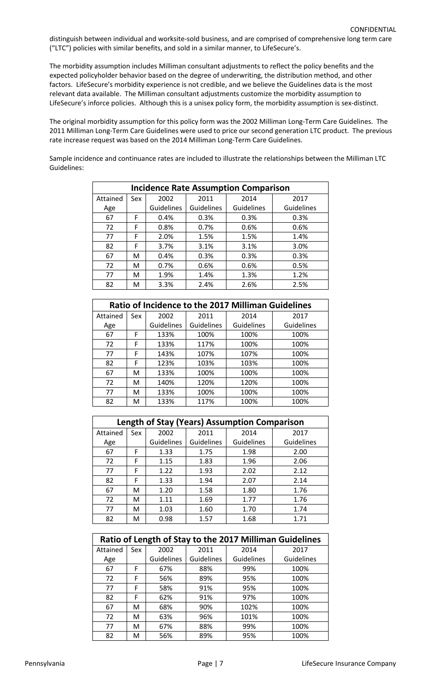distinguish between individual and worksite-sold business, and are comprised of comprehensive long term care ("LTC") policies with similar benefits, and sold in a similar manner, to LifeSecure's.

The morbidity assumption includes Milliman consultant adjustments to reflect the policy benefits and the expected policyholder behavior based on the degree of underwriting, the distribution method, and other factors. LifeSecure's morbidity experience is not credible, and we believe the Guidelines data is the most relevant data available. The Milliman consultant adjustments customize the morbidity assumption to LifeSecure's inforce policies. Although this is a unisex policy form, the morbidity assumption is sex-distinct.

The original morbidity assumption for this policy form was the 2002 Milliman Long-Term Care Guidelines. The 2011 Milliman Long-Term Care Guidelines were used to price our second generation LTC product. The previous rate increase request was based on the 2014 Milliman Long-Term Care Guidelines.

Sample incidence and continuance rates are included to illustrate the relationships between the Milliman LTC Guidelines:

| <b>Incidence Rate Assumption Comparison</b> |     |                   |            |            |            |  |
|---------------------------------------------|-----|-------------------|------------|------------|------------|--|
| Attained                                    | Sex | 2002              | 2011       | 2014       | 2017       |  |
| Age                                         |     | <b>Guidelines</b> | Guidelines | Guidelines | Guidelines |  |
| 67                                          | F   | 0.4%              | 0.3%       | 0.3%       | 0.3%       |  |
| 72                                          | F   | 0.8%              | 0.7%       | 0.6%       | 0.6%       |  |
| 77                                          | F   | 2.0%              | 1.5%       | 1.5%       | 1.4%       |  |
| 82                                          | F   | 3.7%              | 3.1%       | 3.1%       | 3.0%       |  |
| 67                                          | М   | 0.4%              | 0.3%       | 0.3%       | 0.3%       |  |
| 72                                          | м   | 0.7%              | 0.6%       | 0.6%       | 0.5%       |  |
| 77                                          | м   | 1.9%              | 1.4%       | 1.3%       | 1.2%       |  |
| 82                                          | м   | 3.3%              | 2.4%       | 2.6%       | 2.5%       |  |

| <b>Ratio of Incidence to the 2017 Milliman Guidelines</b> |     |                   |            |                   |                   |
|-----------------------------------------------------------|-----|-------------------|------------|-------------------|-------------------|
| Attained                                                  | Sex | 2002              | 2011       | 2014              | 2017              |
| Age                                                       |     | <b>Guidelines</b> | Guidelines | <b>Guidelines</b> | <b>Guidelines</b> |
| 67                                                        | F   | 133%              | 100%       | 100%              | 100%              |
| 72                                                        | F   | 133%              | 117%       | 100%              | 100%              |
| 77                                                        | F   | 143%              | 107%       | 107%              | 100%              |
| 82                                                        | F   | 123%              | 103%       | 103%              | 100%              |
| 67                                                        | м   | 133%              | 100%       | 100%              | 100%              |
| 72                                                        | М   | 140%              | 120%       | 120%              | 100%              |
| 77                                                        | М   | 133%              | 100%       | 100%              | 100%              |
| 82                                                        | M   | 133%              | 117%       | 100%              | 100%              |

| <b>Length of Stay (Years) Assumption Comparison</b> |     |                   |                   |                   |                   |  |  |
|-----------------------------------------------------|-----|-------------------|-------------------|-------------------|-------------------|--|--|
| Attained                                            | Sex | 2002              | 2011              | 2014              | 2017              |  |  |
| Age                                                 |     | <b>Guidelines</b> | <b>Guidelines</b> | <b>Guidelines</b> | <b>Guidelines</b> |  |  |
| 67                                                  | F   | 1.33              | 1.75              | 1.98              | 2.00              |  |  |
| 72                                                  | F   | 1.15              | 1.83              | 1.96              | 2.06              |  |  |
| 77                                                  | F   | 1.22              | 1.93              | 2.02              | 2.12              |  |  |
| 82                                                  | F   | 1.33              | 1.94              | 2.07              | 2.14              |  |  |
| 67                                                  | м   | 1.20              | 1.58              | 1.80              | 1.76              |  |  |
| 72                                                  | м   | 1.11              | 1.69              | 1.77              | 1.76              |  |  |
| 77                                                  | м   | 1.03              | 1.60              | 1.70              | 1.74              |  |  |
| 82                                                  | м   | 0.98              | 1.57              | 1.68              | 1.71              |  |  |

| Ratio of Length of Stay to the 2017 Milliman Guidelines |     |                   |            |            |            |  |  |
|---------------------------------------------------------|-----|-------------------|------------|------------|------------|--|--|
| Attained                                                | Sex | 2002              | 2011       | 2014       | 2017       |  |  |
| Age                                                     |     | <b>Guidelines</b> | Guidelines | Guidelines | Guidelines |  |  |
| 67                                                      | F   | 67%               | 88%        | 99%        | 100%       |  |  |
| 72                                                      | F   | 56%               | 89%        | 95%        | 100%       |  |  |
| 77                                                      | F   | 58%               | 91%        | 95%        | 100%       |  |  |
| 82                                                      | F   | 62%               | 91%        | 97%        | 100%       |  |  |
| 67                                                      | M   | 68%               | 90%        | 102%       | 100%       |  |  |
| 72                                                      | м   | 63%               | 96%        | 101%       | 100%       |  |  |
| 77                                                      | М   | 67%               | 88%        | 99%        | 100%       |  |  |
| 82                                                      | M   | 56%               | 89%        | 95%        | 100%       |  |  |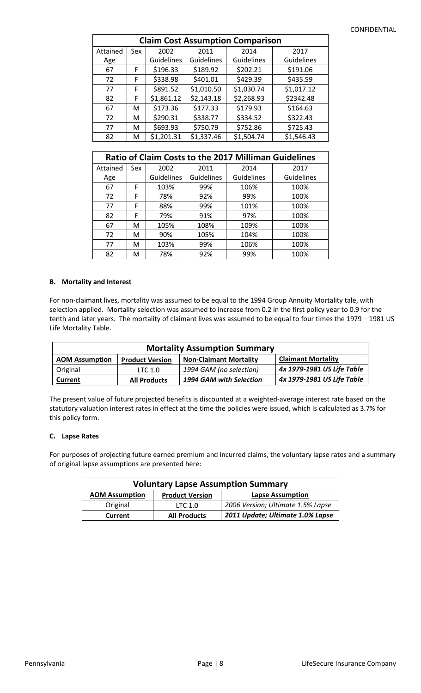### CONFIDENTIAL

| <b>Claim Cost Assumption Comparison</b> |     |            |            |                   |            |  |
|-----------------------------------------|-----|------------|------------|-------------------|------------|--|
| Attained                                | Sex | 2002       | 2011       | 2014              | 2017       |  |
| Age                                     |     | Guidelines | Guidelines | <b>Guidelines</b> | Guidelines |  |
| 67                                      | F   | \$196.33   | \$189.92   | \$202.21          | \$191.06   |  |
| 72                                      | F   | \$338.98   | \$401.01   | \$429.39          | \$435.59   |  |
| 77                                      | F   | \$891.52   | \$1,010.50 | \$1,030.74        | \$1,017.12 |  |
| 82                                      | F   | \$1,861.12 | \$2,143.18 | \$2,268.93        | \$2342.48  |  |
| 67                                      | м   | \$173.36   | \$177.33   | \$179.93          | \$164.63   |  |
| 72                                      | м   | \$290.31   | \$338.77   | \$334.52          | \$322.43   |  |
| 77                                      | м   | \$693.93   | \$750.79   | \$752.86          | \$725.43   |  |
| 82                                      | М   | \$1,201.31 | \$1,337.46 | \$1,504.74        | \$1,546.43 |  |

| <b>Ratio of Claim Costs to the 2017 Milliman Guidelines</b> |     |                   |                   |                   |            |  |  |
|-------------------------------------------------------------|-----|-------------------|-------------------|-------------------|------------|--|--|
| Attained                                                    | Sex | 2002              | 2011              | 2014              | 2017       |  |  |
| Age                                                         |     | <b>Guidelines</b> | <b>Guidelines</b> | <b>Guidelines</b> | Guidelines |  |  |
| 67                                                          | F   | 103%              | 99%               | 106%              | 100%       |  |  |
| 72                                                          | F   | 78%               | 92%               | 99%               | 100%       |  |  |
| 77                                                          | F   | 88%               | 99%               | 101%              | 100%       |  |  |
| 82                                                          | F   | 79%               | 91%               | 97%               | 100%       |  |  |
| 67                                                          | М   | 105%              | 108%              | 109%              | 100%       |  |  |
| 72                                                          | М   | 90%               | 105%              | 104%              | 100%       |  |  |
| 77                                                          | М   | 103%              | 99%               | 106%              | 100%       |  |  |
| 82                                                          | м   | 78%               | 92%               | 99%               | 100%       |  |  |

## **B. Mortality and Interest**

For non-claimant lives, mortality was assumed to be equal to the 1994 Group Annuity Mortality tale, with selection applied. Mortality selection was assumed to increase from 0.2 in the first policy year to 0.9 for the tenth and later years. The mortality of claimant lives was assumed to be equal to four times the 1979 – 1981 US Life Mortality Table.

| <b>Mortality Assumption Summary</b> |                        |                               |                            |  |  |
|-------------------------------------|------------------------|-------------------------------|----------------------------|--|--|
| <b>AOM Assumption</b>               | <b>Product Version</b> | <b>Non-Claimant Mortality</b> | <b>Claimant Mortality</b>  |  |  |
| Original                            | LTC 1.0                | 1994 GAM (no selection)       | 4x 1979-1981 US Life Table |  |  |
| Current                             | <b>All Products</b>    | 1994 GAM with Selection       | 4x 1979-1981 US Life Table |  |  |

The present value of future projected benefits is discounted at a weighted-average interest rate based on the statutory valuation interest rates in effect at the time the policies were issued, which is calculated as 3.7% for this policy form.

### **C. Lapse Rates**

For purposes of projecting future earned premium and incurred claims, the voluntary lapse rates and a summary of original lapse assumptions are presented here:

| <b>Voluntary Lapse Assumption Summary</b>                                  |                     |                                   |  |  |  |
|----------------------------------------------------------------------------|---------------------|-----------------------------------|--|--|--|
| <b>AOM Assumption</b><br><b>Lapse Assumption</b><br><b>Product Version</b> |                     |                                   |  |  |  |
| Original                                                                   | LTC <sub>1.0</sub>  | 2006 Version; Ultimate 1.5% Lapse |  |  |  |
| Current                                                                    | <b>All Products</b> | 2011 Update; Ultimate 1.0% Lapse  |  |  |  |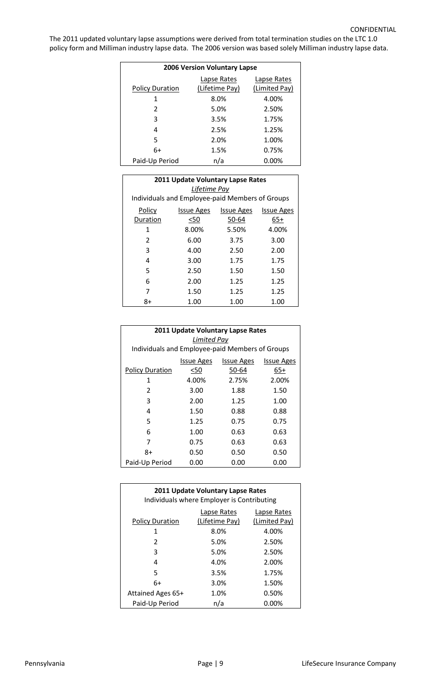The 2011 updated voluntary lapse assumptions were derived from total termination studies on the LTC 1.0 policy form and Milliman industry lapse data. The 2006 version was based solely Milliman industry lapse data.

| <b>2006 Version Voluntary Lapse</b> |                |               |  |  |  |  |
|-------------------------------------|----------------|---------------|--|--|--|--|
| Lapse Rates<br>Lapse Rates          |                |               |  |  |  |  |
| <b>Policy Duration</b>              | (Lifetime Pay) | (Limited Pay) |  |  |  |  |
| 1                                   | 8.0%           | 4.00%         |  |  |  |  |
| 2                                   | 5.0%           | 2.50%         |  |  |  |  |
| 3                                   | 3.5%           | 1.75%         |  |  |  |  |
| 4                                   | 2.5%           | 1.25%         |  |  |  |  |
| 5                                   | 2.0%           | 1.00%         |  |  |  |  |
| 6+                                  | 1.5%           | 0.75%         |  |  |  |  |
| Paid-Up Period                      | n/a            | $0.00\%$      |  |  |  |  |

| 2011 Update Voluntary Lapse Rates                                     |                                                 |       |       |  |  |  |  |  |
|-----------------------------------------------------------------------|-------------------------------------------------|-------|-------|--|--|--|--|--|
| Lifetime Pay                                                          |                                                 |       |       |  |  |  |  |  |
|                                                                       | Individuals and Employee-paid Members of Groups |       |       |  |  |  |  |  |
| Policy<br><b>Issue Ages</b><br><b>Issue Ages</b><br><b>Issue Ages</b> |                                                 |       |       |  |  |  |  |  |
| Duration                                                              | <50                                             | 50-64 | 65+   |  |  |  |  |  |
| 1                                                                     | 8.00%                                           | 5.50% | 4.00% |  |  |  |  |  |
| 2                                                                     | 6.00                                            | 3.75  | 3.00  |  |  |  |  |  |
| 3                                                                     | 4.00                                            | 2.50  | 2.00  |  |  |  |  |  |
| 4                                                                     | 3.00                                            | 1.75  | 1.75  |  |  |  |  |  |
| 5                                                                     | 2.50                                            | 1.50  | 1.50  |  |  |  |  |  |
| 6                                                                     | 2.00                                            | 1.25  | 1.25  |  |  |  |  |  |
| 7                                                                     | 1.50                                            | 1.25  | 1.25  |  |  |  |  |  |
| 8+                                                                    | 1.00                                            | 1.00  | 1.00  |  |  |  |  |  |

| 2011 Update Voluntary Lapse Rates<br>Limited Pay<br>Individuals and Employee-paid Members of Groups |                                                             |       |       |  |  |  |  |  |  |
|-----------------------------------------------------------------------------------------------------|-------------------------------------------------------------|-------|-------|--|--|--|--|--|--|
|                                                                                                     |                                                             |       |       |  |  |  |  |  |  |
|                                                                                                     | <b>Issue Ages</b><br><b>Issue Ages</b><br><b>Issue Ages</b> |       |       |  |  |  |  |  |  |
| <b>Policy Duration</b>                                                                              | <50                                                         | 50-64 | 65+   |  |  |  |  |  |  |
| 1                                                                                                   | 4.00%                                                       | 2.75% | 2.00% |  |  |  |  |  |  |
| 2                                                                                                   | 3.00                                                        | 1.88  | 1.50  |  |  |  |  |  |  |
| 3                                                                                                   | 2.00                                                        | 1.25  | 1.00  |  |  |  |  |  |  |
| 4                                                                                                   | 1.50                                                        | 0.88  | 0.88  |  |  |  |  |  |  |
| 5                                                                                                   | 1.25                                                        | 0.75  | 0.75  |  |  |  |  |  |  |
| 6                                                                                                   | 1.00                                                        | 0.63  | 0.63  |  |  |  |  |  |  |
|                                                                                                     | 0.75                                                        | 0.63  | 0.63  |  |  |  |  |  |  |
| 8+                                                                                                  | 0.50                                                        | 0.50  | 0.50  |  |  |  |  |  |  |
| Paid-Up Period                                                                                      | 0.00                                                        | 0.00  | 0.00  |  |  |  |  |  |  |

| 2011 Update Voluntary Lapse Rates<br>Individuals where Employer is Contributing         |      |          |  |  |  |
|-----------------------------------------------------------------------------------------|------|----------|--|--|--|
| Lapse Rates<br>Lapse Rates<br>(Lifetime Pay)<br>(Limited Pay)<br><b>Policy Duration</b> |      |          |  |  |  |
| 1                                                                                       | 8.0% | 4.00%    |  |  |  |
| 2                                                                                       | 5.0% | 2.50%    |  |  |  |
| 3                                                                                       | 5.0% | 2.50%    |  |  |  |
| 4                                                                                       | 4.0% | 2.00%    |  |  |  |
| 5                                                                                       | 3.5% | 1.75%    |  |  |  |
| 6+                                                                                      | 3.0% | 1.50%    |  |  |  |
| Attained Ages 65+                                                                       | 1.0% | 0.50%    |  |  |  |
| Paid-Up Period                                                                          | n/a  | $0.00\%$ |  |  |  |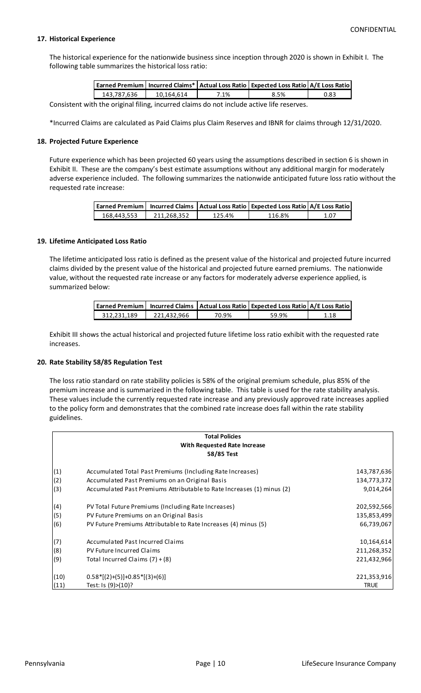## **17. Historical Experience**

The historical experience for the nationwide business since inception through 2020 is shown in Exhibit I. The following table summarizes the historical loss ratio:

|             |            |      | Earned Premium   Incurred Claims*   Actual Loss Ratio   Expected Loss Ratio   A/E Loss Ratio |      |
|-------------|------------|------|----------------------------------------------------------------------------------------------|------|
| 143.787.636 | 10.164.614 | 7.1% | 8.5%                                                                                         | 0.83 |
|             |            |      |                                                                                              |      |

Consistent with the original filing, incurred claims do not include active life reserves.

\*Incurred Claims are calculated as Paid Claims plus Claim Reserves and IBNR for claims through 12/31/2020.

#### **18. Projected Future Experience**

Future experience which has been projected 60 years using the assumptions described in section 6 is shown in Exhibit II. These are the company's best estimate assumptions without any additional margin for moderately adverse experience included. The following summarizes the nationwide anticipated future loss ratio without the requested rate increase:

|             |             |        | Earned Premium   Incurred Claims   Actual Loss Ratio   Expected Loss Ratio   A/E Loss Ratio |      |
|-------------|-------------|--------|---------------------------------------------------------------------------------------------|------|
| 168.443.553 | 211.268.352 | 125.4% | 116.8%                                                                                      | 1.07 |

#### **19. Lifetime Anticipated Loss Ratio**

The lifetime anticipated loss ratio is defined as the present value of the historical and projected future incurred claims divided by the present value of the historical and projected future earned premiums. The nationwide value, without the requested rate increase or any factors for moderately adverse experience applied, is summarized below:

|             |             |       | Earned Premium   Incurred Claims   Actual Loss Ratio   Expected Loss Ratio   A/E Loss Ratio |      |
|-------------|-------------|-------|---------------------------------------------------------------------------------------------|------|
| 312.231.189 | 221.432.966 | 70.9% | 59.9%                                                                                       | 1.18 |

Exhibit III shows the actual historical and projected future lifetime loss ratio exhibit with the requested rate increases.

#### **20. Rate Stability 58/85 Regulation Test**

The loss ratio standard on rate stability policies is 58% of the original premium schedule, plus 85% of the premium increase and is summarized in the following table. This table is used for the rate stability analysis. These values include the currently requested rate increase and any previously approved rate increases applied to the policy form and demonstrates that the combined rate increase does fall within the rate stability guidelines.

|      | <b>Total Policies</b>                                                  |             |
|------|------------------------------------------------------------------------|-------------|
|      | With Requested Rate Increase                                           |             |
|      | 58/85 Test                                                             |             |
| (1)  | Accumulated Total Past Premiums (Including Rate Increases)             | 143,787,636 |
| (2)  | Accumulated Past Premiums on an Original Basis                         | 134,773,372 |
| (3)  | Accumulated Past Premiums Attributable to Rate Increases (1) minus (2) | 9,014,264   |
| (4)  | PV Total Future Premiums (Including Rate Increases)                    | 202,592,566 |
| (5)  | PV Future Premiums on an Original Basis                                | 135,853,499 |
| (6)  | PV Future Premiums Attributable to Rate Increases (4) minus (5)        | 66,739,067  |
| (7)  | <b>Accumulated Past Incurred Claims</b>                                | 10,164,614  |
| (8)  | PV Future Incurred Claims                                              | 211,268,352 |
| (9)  | Total Incurred Claims $(7) + (8)$                                      | 221,432,966 |
| (10) | $0.58*[(2)+(5)]+0.85*[(3)+(6)]$                                        | 221,353,916 |
| (11) | Test: Is (9)>(10)?                                                     | <b>TRUE</b> |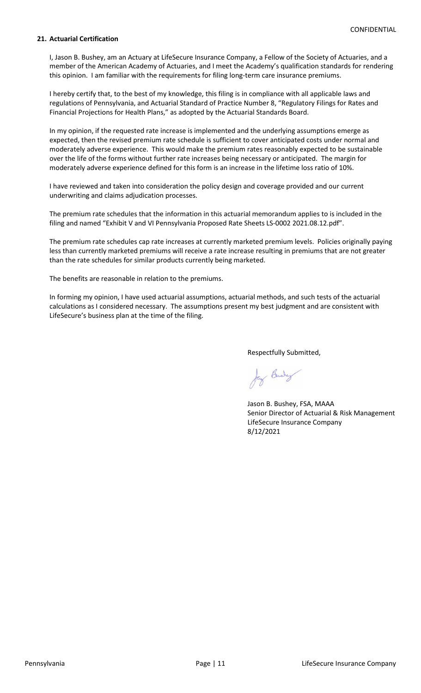### **21. Actuarial Certification**

I, Jason B. Bushey, am an Actuary at LifeSecure Insurance Company, a Fellow of the Society of Actuaries, and a member of the American Academy of Actuaries, and I meet the Academy's qualification standards for rendering this opinion. I am familiar with the requirements for filing long-term care insurance premiums.

I hereby certify that, to the best of my knowledge, this filing is in compliance with all applicable laws and regulations of Pennsylvania, and Actuarial Standard of Practice Number 8, "Regulatory Filings for Rates and Financial Projections for Health Plans," as adopted by the Actuarial Standards Board.

In my opinion, if the requested rate increase is implemented and the underlying assumptions emerge as expected, then the revised premium rate schedule is sufficient to cover anticipated costs under normal and moderately adverse experience. This would make the premium rates reasonably expected to be sustainable over the life of the forms without further rate increases being necessary or anticipated. The margin for moderately adverse experience defined for this form is an increase in the lifetime loss ratio of 10%.

I have reviewed and taken into consideration the policy design and coverage provided and our current underwriting and claims adjudication processes.

The premium rate schedules that the information in this actuarial memorandum applies to is included in the filing and named "Exhibit V and VI Pennsylvania Proposed Rate Sheets LS-0002 2021.08.12.pdf".

The premium rate schedules cap rate increases at currently marketed premium levels. Policies originally paying less than currently marketed premiums will receive a rate increase resulting in premiums that are not greater than the rate schedules for similar products currently being marketed.

The benefits are reasonable in relation to the premiums.

In forming my opinion, I have used actuarial assumptions, actuarial methods, and such tests of the actuarial calculations as I considered necessary. The assumptions present my best judgment and are consistent with LifeSecure's business plan at the time of the filing.

Respectfully Submitted,

Jay Budy

Jason B. Bushey, FSA, MAAA Senior Director of Actuarial & Risk Management LifeSecure Insurance Company 8/12/2021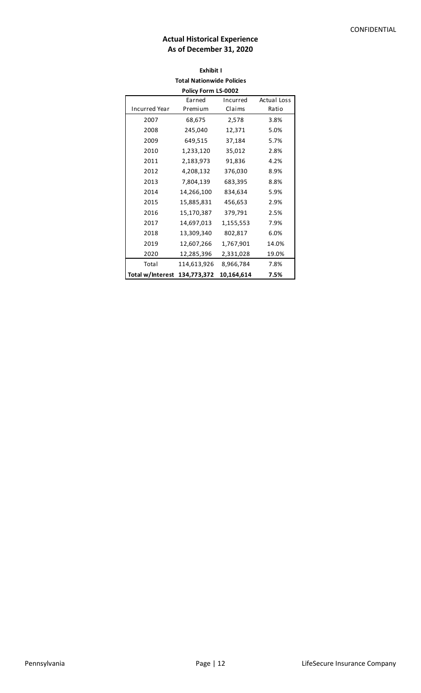# **Actual Historical Experience As of December 31, 2020**

# **Exhibit I Total Nationwide Policies**

| Policy Form LS-0002                      |             |            |       |  |  |  |
|------------------------------------------|-------------|------------|-------|--|--|--|
| <b>Actual Loss</b><br>Earned<br>Incurred |             |            |       |  |  |  |
| <b>Incurred Year</b>                     | Premium     | Claims     | Ratio |  |  |  |
| 2007                                     | 68,675      | 2,578      | 3.8%  |  |  |  |
| 2008                                     | 245,040     | 12,371     | 5.0%  |  |  |  |
| 2009                                     | 649,515     | 37,184     | 5.7%  |  |  |  |
| 2010                                     | 1,233,120   | 35,012     | 2.8%  |  |  |  |
| 2011                                     | 2,183,973   | 91,836     | 4.2%  |  |  |  |
| 2012                                     | 4,208,132   | 376,030    | 8.9%  |  |  |  |
| 2013                                     | 7,804,139   | 683,395    | 8.8%  |  |  |  |
| 2014                                     | 14,266,100  | 834,634    | 5.9%  |  |  |  |
| 2015                                     | 15,885,831  | 456,653    | 2.9%  |  |  |  |
| 2016                                     | 15,170,387  | 379,791    | 2.5%  |  |  |  |
| 2017                                     | 14,697,013  | 1,155,553  | 7.9%  |  |  |  |
| 2018                                     | 13,309,340  | 802,817    | 6.0%  |  |  |  |
| 2019                                     | 12,607,266  | 1,767,901  | 14.0% |  |  |  |
| 2020                                     | 12,285,396  | 2,331,028  | 19.0% |  |  |  |
| Total                                    | 114,613,926 | 8,966,784  | 7.8%  |  |  |  |
| Total w/Interest                         | 134,773,372 | 10,164,614 | 7.5%  |  |  |  |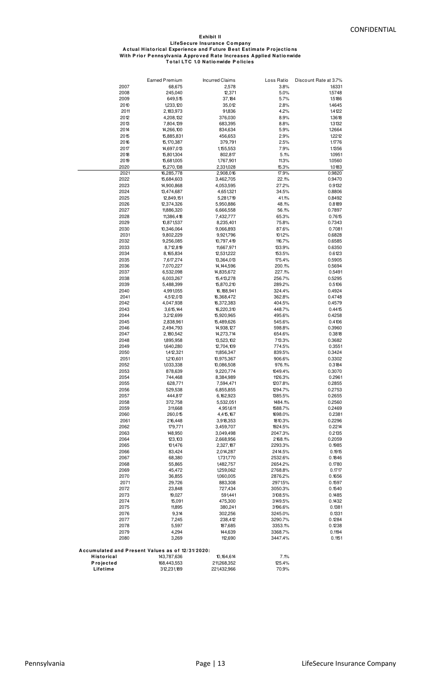#### **LifeSecure Insurance C o mpany Exhibit II With P rio r P ennsylvania A ppro ved R ate Increases A pplied N atio nwide A ctual H isto rical Experience and F uture B est Estimate P ro jectio ns T o tal LT C 1.0 N atio nwide P o licies**

|                                                  | Earned Premium           | <b>Incurred Claims</b>   | Loss Ratio         | Discount Rate at 3.7% |
|--------------------------------------------------|--------------------------|--------------------------|--------------------|-----------------------|
| 2007                                             | 68,675                   | 2,578                    | 3.8%               | 1.6331                |
| 2008                                             | 245,040                  | 12,371                   | 5.0%               | 1.5748                |
| 2009                                             | 649,515                  | 37,184                   | 5.7%               | 1.5186                |
| 2010                                             | 1,233,120                | 35,012                   | 2.8%               | 1.4645                |
| 2011<br>2012                                     | 2,183,973<br>4,208,132   | 91,836<br>376,030        | 4.2%<br>8.9%       | 1.4122<br>1.3618      |
| 2013                                             | 7,804,139                | 683,395                  | 8.8%               | 1.3132                |
| 2014                                             | 14,266,100               | 834,634                  | 5.9%               | 1.2664                |
| 2015                                             | 15,885,831               | 456,653                  | 2.9%               | 1.2212                |
| 2016                                             | 15,170,387               | 379,791                  | 2.5%               | 1.1776                |
| 2017                                             | 14,697,013               | 1,155,553                | 7.9%               | 1.1356                |
| 2018                                             | 15,801,304               | 802,817                  | 5.1%               | 10951                 |
| 2019<br>2020                                     | 15,681,005<br>15,270,138 | 1,767,901<br>2,331,028   | 11.3%<br>15.3%     | 1.0560<br>1.0183      |
| 2021                                             | 16,285,778               | 2,908,016                | 17.9%              | 0.9820                |
| 2022                                             | 15,684,603               | 3,462,705                | 22.1%              | 0.9470                |
| 2023                                             | 14,900,868               | 4,053,595                | 27.2%              | 0.9132                |
| 2024                                             | 13,474,687               | 4,651,321                | 34.5%              | 0.8806                |
| 2025                                             | 12,849,151               | 5,281,719                | 41.1%              | 0.8492                |
| 2026<br>2027                                     | 12,374,326<br>11,886,320 | 5,950,886<br>6,666,558   | 48.1%<br>56.1%     | 0.8189<br>0.7897      |
| 2028                                             | 11,386,418               | 7,432,777                | 65.3%              | 0.7615                |
| 2029                                             | 10,871,537               | 8,235,401                | 75.8%              | 0.7343                |
| 2030                                             | 10,346,064               | 9,066,893                | 87.6%              | 0.7081                |
| 2031                                             | 9,802,229                | 9,921,796                | 101.2%             | 0.6828                |
| 2032                                             | 9,256,085                | 10,797,419               | 116.7%             | 0.6585                |
| 2033<br>2034                                     | 8,712,819<br>8,165,834   | 11,667,971<br>12,531,222 | 133.9%<br>153.5%   | 0.6350<br>0.6123      |
| 2035                                             | 7,617,274                | 13,364,013               | 175.4%             | 0.5905                |
| 2036                                             | 7,070,227                | 14, 144, 596             | 200.1%             | 0.5694                |
| 2037                                             | 6,532,098                | 14,835,672               | 227.1%             | 0.5491                |
| 2038                                             | 6,003,267                | 15,413,278               | 256.7%             | 0.5295                |
| 2039                                             | 5,488,399                | 15,870,210               | 289.2%             | 0.5106                |
| 2040<br>2041                                     | 4,991,055<br>4,512,013   | 16,188,941<br>16,368,472 | 324.4%<br>362.8%   | 0.4924<br>0.4748      |
| 2042                                             | 4,047,938                | 16,372,383               | 404.5%             | 0.4579                |
| 2043                                             | 3,615,144                | 16,220,310               | 448.7%             | 0.4415                |
| 2044                                             | 3,212,699                | 15,920,965               | 495.6%             | 0.4258                |
| 2045                                             | 2,838,961                | 15,489,626               | 545.6%             | 0.4106                |
| 2046                                             | 2,494,793                | 14,938,127               | 598.8%             | 0.3960                |
| 2047<br>2048                                     | 2,180,542<br>1,895,958   | 14,273,714<br>13,523,102 | 654.6%<br>713.3%   | 0.3818<br>0.3682      |
| 2049                                             | 1,640,280                | 12,704,109               | 774.5%             | 0.3551                |
| 2050                                             | 1,412,321                | 11,856,347               | 839.5%             | 0.3424                |
| 2051                                             | 1,210,601                | 10,975,367               | 906.6%             | 0.3302                |
| 2052                                             | 1,033,338                | 10,086,508               | 976.1%             | 0.3184                |
| 2053<br>2054                                     | 878,639<br>744,468       | 9,220,774                | 1049.4%            | 0.3070<br>0.2961      |
| 2055                                             | 628,771                  | 8,384,989<br>7,594,471   | 1126.3%<br>1207.8% | 0.2855                |
| 2056                                             | 529,538                  | 6,855,855                | 1294.7%            | 0.2753                |
| 2057                                             | 444,817                  | 6,162,923                | 1385.5%            | 0.2655                |
| 2058                                             | 372,758                  | 5,532,051                | 1484.1%            | 0.2560                |
| 2059                                             | 311,668                  | 4,951,611                | 1588.7%            | 0.2469                |
| 2060<br>2061                                     | 260,015<br>216,448       | 4,415,167<br>3,918,353   | 1698.0%<br>1810.3% | 0.2381<br>0.2296      |
| 2062                                             | 179,771                  | 3,459,707                | 1924.5%            | 0.2214                |
| 2063                                             | 148,950                  | 3,049,498                | 2047.3%            | 0.2135                |
| 2064                                             | 123,103                  | 2,668,956                | 2168.1%            | 0.2059                |
| 2065                                             | 101,476                  | 2,327,187                | 2293.3%            | 0.1985                |
| 2066                                             | 83,424<br>68,380         | 2,014,287                | 2414.5%<br>2532.6% | 0.1915<br>0.1846      |
| 2067<br>2068                                     | 55,865                   | 1,731,770<br>1,482,757   | 2654.2%            | 0.1780                |
| 2069                                             | 45,472                   | 1,259,062                | 2768.8%            | 0.1717                |
| 2070                                             | 36,855                   | 1,060,005                | 2876.2%            | 0.1656                |
| 2071                                             | 29,726                   | 883,308                  | 2971.5%            | 0.1597                |
| 2072                                             | 23,848                   | 727,434                  | 3050.3%            | 0.1540                |
| 2073                                             | 19,027                   | 591,441                  | 3108.5%            | 0.1485                |
| 2074<br>2075                                     | 15,091<br>11,895         | 475,300<br>380,241       | 3149.5%<br>3196.6% | 0.1432<br>0.1381      |
| 2076                                             | 9,314                    | 302,256                  | 3245.0%            | 0.1331                |
| 2077                                             | 7,245                    | 238,412                  | 3290.7%            | 0.1284                |
| 2078                                             | 5,597                    | 187,685                  | 3353.1%            | 0.1238                |
| 2079                                             | 4,294                    | 144,639                  | 3368.7%            | 0.1194                |
| 2080                                             | 3,269                    | 112,690                  | 3447.4%            | 0.1151                |
| Accumulated and Present Values as of 12/31/2020: |                          |                          |                    |                       |
| Historical                                       | 143,787,636              | 10,164,614               | 7.1%               |                       |
| Projected                                        | 168,443,553              | 211,268,352              | 125.4%             |                       |
| Lifetime                                         | 312,231,189              | 221,432,966              | 70.9%              |                       |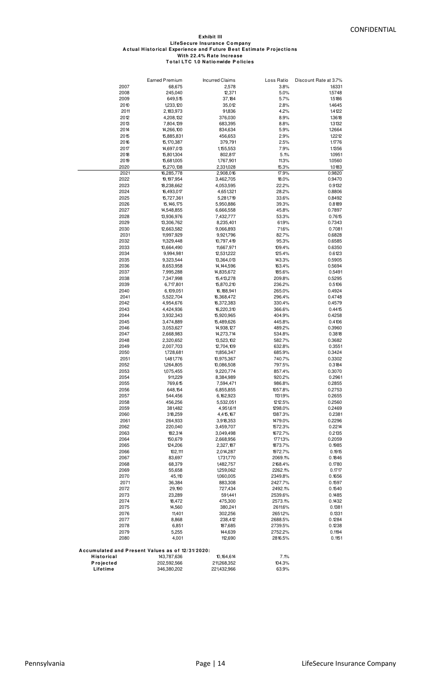#### **T o tal LT C 1.0 N atio nwide P o licies LifeSecure Insurance C o mpany With 22.4% R ate Increase Exhibit III A ctual H isto rical Experience and F uture B est Estimate P ro jectio ns**

|                                                  | Earned Premium             | <b>Incurred Claims</b>    | Loss Ratio         | Discount Rate at 3.7% |
|--------------------------------------------------|----------------------------|---------------------------|--------------------|-----------------------|
| 2007                                             | 68,675                     | 2,578                     | 3.8%               | 1.6331                |
| 2008                                             | 245,040                    | 12,371                    | 5.0%               | 1.5748                |
| 2009                                             | 649,515                    | 37,184                    | 5.7%               | 1.5186                |
| 2010<br>2011                                     | 1,233,120<br>2,183,973     | 35,012<br>91,836          | 2.8%<br>4.2%       | 1.4645<br>14122       |
| 2012                                             | 4,208,132                  | 376,030                   | 8.9%               | 1.3618                |
| 2013                                             | 7,804,139                  | 683,395                   | 8.8%               | 13132                 |
| 2014                                             | 14,266,100                 | 834,634                   | 5.9%               | 1.2664                |
| 2015                                             | 15,885,831                 | 456,653                   | 2.9%               | 1.2212                |
| 2016                                             | 15,170,387                 | 379,791                   | 2.5%               | 1.1776                |
| 2017<br>2018                                     | 14,697,013                 | 1,155,553                 | 7.9%<br>5.1%       | 1.1356<br>10951       |
| 2019                                             | 15,801,304<br>15,681,005   | 802,817<br>1,767,901      | 11.3%              | 1.0560                |
| 2020                                             | 15,270,138                 | 2,331,028                 | 15.3%              | 1.0183                |
| 2021                                             | 16,285,778                 | 2,908,016                 | 17.9%              | 0.9820                |
| 2022                                             | 19, 197, 954               | 3,462,705                 | 18.0%              | 0.9470                |
| 2023                                             | 18,238,662                 | 4,053,595                 | 22.2%              | 0.9132                |
| 2024<br>2025                                     | 16,493,017<br>15,727,361   | 4,651,321<br>5,281,719    | 28.2%<br>33.6%     | 0.8806<br>0.8492      |
| 2026                                             | 15,146,175                 | 5,950,886                 | 39.3%              | 0.8189                |
| 2027                                             | 14,548,855                 | 6,666,558                 | 45.8%              | 0.7897                |
| 2028                                             | 13,936,976                 | 7,432,777                 | 53.3%              | 0.7615                |
| 2029                                             | 13,306,762                 | 8,235,401                 | 61.9%              | 0.7343                |
| 2030                                             | 12,663,582                 | 9,066,893                 | 71.6%              | 0.7081                |
| 2031<br>2032                                     | 11,997,929<br>11,329,448   | 9,921,796<br>10,797,419   | 82.7%<br>95.3%     | 0.6828<br>0.6585      |
| 2033                                             | 10,664,490                 | 11,667,971                | 109.4%             | 0.6350                |
| 2034                                             | 9,994,981                  | 12,531,222                | 125.4%             | 0.6123                |
| 2035                                             | 9,323,544                  | 13,364,013                | 143.3%             | 0.5905                |
| 2036                                             | 8,653,958                  | 14, 144, 596              | 163.4%             | 0.5694                |
| 2037                                             | 7,995,288                  | 14,835,672                | 185.6%             | 0.5491                |
| 2038<br>2039                                     | 7,347,998<br>6,717,801     | 15,413,278<br>15,870,210  | 209.8%<br>236.2%   | 0.5295<br>0.5106      |
| 2040                                             | 6,109,051                  | 16,188,941                | 265.0%             | 0.4924                |
| 2041                                             | 5,522,704                  | 16,368,472                | 296.4%             | 0.4748                |
| 2042                                             | 4,954,676                  | 16,372,383                | 330.4%             | 0.4579                |
| 2043                                             | 4,424,936                  | 16,220,310                | 366.6%             | 0.4415                |
| 2044<br>2045                                     | 3,932,343<br>3,474,889     | 15,920,965<br>15,489,626  | 404.9%<br>445.8%   | 0.4258<br>0.4106      |
| 2046                                             | 3,053,627                  | 14,938,127                | 489.2%             | 0.3960                |
| 2047                                             | 2,668,983                  | 14,273,714                | 534.8%             | 0.3818                |
| 2048                                             | 2,320,652                  | 13,523,102                | 582.7%             | 0.3682                |
| 2049                                             | 2,007,703                  | 12,704,109                | 632.8%             | 0.3551                |
| 2050<br>2051                                     | 1,728,681<br>1,481,776     | 11,856,347<br>10,975,367  | 685.9%<br>740.7%   | 0.3424<br>0.3302      |
| 2052                                             | 1,264,805                  | 10,086,508                | 797.5%             | 0.3184                |
| 2053                                             | 1,075,455                  | 9,220,774                 | 857.4%             | 0.3070                |
| 2054                                             | 911,229                    | 8,384,989                 | 920.2%             | 0.2961                |
| 2055                                             | 769,615                    | 7,594,471                 | 986.8%             | 0.2855                |
| 2056                                             | 648,154                    | 6,855,855                 | 1057.8%            | 0.2753                |
| 2057<br>2058                                     | 544,456<br>456,256         | 6,162,923<br>5,532,051    | 1131.9%<br>1212.5% | 0.2655<br>0.2560      |
| 2059                                             | 381,482                    | 4,951,611                 | 1298.0%            | 0.2469                |
| 2060                                             | 318,259                    | 4,415,167                 | 1387.3%            | 0.2381                |
| 2061                                             | 264,933                    | 3,918,353                 | 1479.0%            | 0.2296                |
| 2062                                             | 220,040                    | 3,459,707                 | 1572.3%            | 0.2214                |
| 2063<br>2064                                     | 182,314                    | 3,049,498                 | 1672.7%<br>1771.3% | 0.2135                |
| 2065                                             | 150,679<br>124,206         | 2,668,956<br>2,327,187    | 1873.7%            | 0.2059<br>0.1985      |
| 2066                                             | 102,111                    | 2,014,287                 | 1972.7%            | 0.1915                |
| 2067                                             | 83,697                     | 1,731,770                 | 2069.1%            | 0.1846                |
| 2068                                             | 68,379                     | 1,482,757                 | 2168.4%            | 0.1780                |
| 2069                                             | 55,658                     | 1,259,062                 | 2262.1%            | 0.1717                |
| 2070<br>2071                                     | 45,110<br>36,384           | 1,060,005<br>883,308      | 2349.8%<br>2427.7% | 0.1656<br>0.1597      |
| 2072                                             | 29,190                     | 727,434                   | 2492.1%            | 0.1540                |
| 2073                                             | 23,289                     | 591,441                   | 2539.6%            | 0.1485                |
| 2074                                             | 18,472                     | 475,300                   | 2573.1%            | 0.1432                |
| 2075                                             | 14,560                     | 380,241                   | 2611.6%            | 0.1381                |
| 2076                                             | 11,401                     | 302,256                   | 2651.2%            | 0.1331                |
| 2077<br>2078                                     | 8,868<br>6,851             | 238,412<br>187,685        | 2688.5%<br>2739.5% | 0.1284<br>0.1238      |
| 2079                                             | 5,255                      | 144,639                   | 2752.2%            | 0.1194                |
| 2080                                             | 4,001                      | 112,690                   | 2816.5%            | 0.1151                |
|                                                  |                            |                           |                    |                       |
| Accumulated and Present Values as of 12/31/2020: |                            |                           |                    |                       |
| Historical<br>Projected                          | 143,787,636<br>202,592,566 | 10,164,614<br>211,268,352 | 7.1%<br>104.3%     |                       |
| Lifetime                                         | 346,380,202                | 221,432,966               | 63.9%              |                       |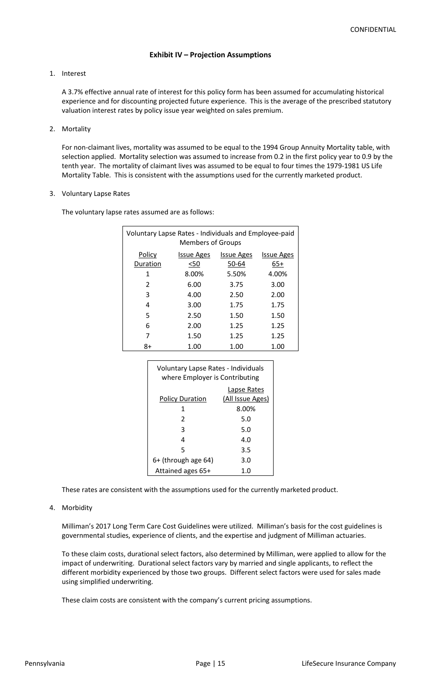# **Exhibit IV – Projection Assumptions**

#### 1. Interest

A 3.7% effective annual rate of interest for this policy form has been assumed for accumulating historical experience and for discounting projected future experience. This is the average of the prescribed statutory valuation interest rates by policy issue year weighted on sales premium.

#### 2. Mortality

For non-claimant lives, mortality was assumed to be equal to the 1994 Group Annuity Mortality table, with selection applied. Mortality selection was assumed to increase from 0.2 in the first policy year to 0.9 by the tenth year. The mortality of claimant lives was assumed to be equal to four times the 1979-1981 US Life Mortality Table. This is consistent with the assumptions used for the currently marketed product.

#### 3. Voluntary Lapse Rates

The voluntary lapse rates assumed are as follows:

| Voluntary Lapse Rates - Individuals and Employee-paid<br><b>Members of Groups</b> |                   |                   |                   |  |
|-----------------------------------------------------------------------------------|-------------------|-------------------|-------------------|--|
| Policy                                                                            | <b>Issue Ages</b> | <b>Issue Ages</b> | <b>Issue Ages</b> |  |
| Duration                                                                          | $50$              | 50-64             | 65+               |  |
| 1                                                                                 | 8.00%             | 5.50%             | 4.00%             |  |
| 2                                                                                 | 6.00              | 3.75              | 3.00              |  |
| 3                                                                                 | 4.00              | 2.50              | 2.00              |  |
| 4                                                                                 | 3.00              | 1.75              | 1.75              |  |
| 5                                                                                 | 2.50              | 1.50              | 1.50              |  |
| 6                                                                                 | 2.00              | 1.25              | 1.25              |  |
| 7                                                                                 | 1.50              | 1.25              | 1.25              |  |
| 8+                                                                                | 1.00              | 1.00              | 1.00              |  |

| Voluntary Lapse Rates - Individuals<br>where Employer is Contributing |                                 |  |  |
|-----------------------------------------------------------------------|---------------------------------|--|--|
| <b>Policy Duration</b>                                                | Lapse Rates<br>(All Issue Ages) |  |  |
| 1                                                                     | 8.00%                           |  |  |
| $\mathfrak{p}$                                                        | 5.0                             |  |  |
| 3                                                                     | 5.0                             |  |  |
| 4                                                                     | 4 O                             |  |  |
| 5                                                                     | 3.5                             |  |  |
| 6+ (through age 64)                                                   | 3.0                             |  |  |
| Attained ages 65+                                                     | 1.0                             |  |  |

These rates are consistent with the assumptions used for the currently marketed product.

#### 4. Morbidity

Milliman's 2017 Long Term Care Cost Guidelines were utilized. Milliman's basis for the cost guidelines is governmental studies, experience of clients, and the expertise and judgment of Milliman actuaries.

To these claim costs, durational select factors, also determined by Milliman, were applied to allow for the impact of underwriting. Durational select factors vary by married and single applicants, to reflect the different morbidity experienced by those two groups. Different select factors were used for sales made using simplified underwriting.

These claim costs are consistent with the company's current pricing assumptions.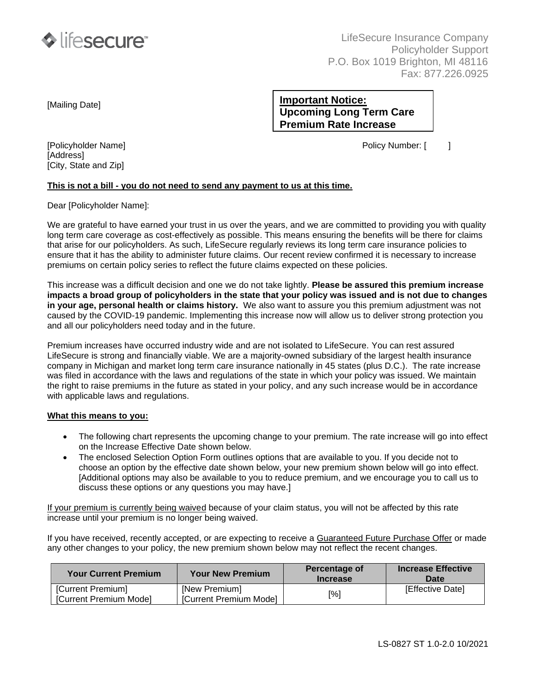

LifeSecure Insurance Company Policyholder Support P.O. Box 1019 Brighton, MI 48116 Fax: 877.226.0925

[Mailing Date]

# **Important Notice: Upcoming Long Term Care Premium Rate Increase**

[Policyholder Name] Policy Number: [ ]

[Address] [City, State and Zip]

#### **This is not a bill - you do not need to send any payment to us at this time.**

Dear [Policyholder Name]:

We are grateful to have earned your trust in us over the years, and we are committed to providing you with quality long term care coverage as cost-effectively as possible. This means ensuring the benefits will be there for claims that arise for our policyholders. As such, LifeSecure regularly reviews its long term care insurance policies to ensure that it has the ability to administer future claims. Our recent review confirmed it is necessary to increase premiums on certain policy series to reflect the future claims expected on these policies.

This increase was a difficult decision and one we do not take lightly. **Please be assured this premium increase impacts a broad group of policyholders in the state that your policy was issued and is not due to changes in your age, personal health or claims history.** We also want to assure you this premium adjustment was not caused by the COVID-19 pandemic. Implementing this increase now will allow us to deliver strong protection you and all our policyholders need today and in the future.

Premium increases have occurred industry wide and are not isolated to LifeSecure. You can rest assured LifeSecure is strong and financially viable. We are a majority-owned subsidiary of the largest health insurance company in Michigan and market long term care insurance nationally in 45 states (plus D.C.). The rate increase was filed in accordance with the laws and regulations of the state in which your policy was issued. We maintain the right to raise premiums in the future as stated in your policy, and any such increase would be in accordance with applicable laws and regulations.

#### **What this means to you:**

- The following chart represents the upcoming change to your premium. The rate increase will go into effect on the Increase Effective Date shown below.
- The enclosed Selection Option Form outlines options that are available to you. If you decide not to choose an option by the effective date shown below, your new premium shown below will go into effect. [Additional options may also be available to you to reduce premium, and we encourage you to call us to discuss these options or any questions you may have.]

If your premium is currently being waived because of your claim status, you will not be affected by this rate increase until your premium is no longer being waived.

If you have received, recently accepted, or are expecting to receive a Guaranteed Future Purchase Offer or made any other changes to your policy, the new premium shown below may not reflect the recent changes.

| <b>Your Current Premium</b>                        | <b>Your New Premium</b>                 | Percentage of<br><b>Increase</b> | <b>Increase Effective</b><br><b>Date</b> |
|----------------------------------------------------|-----------------------------------------|----------------------------------|------------------------------------------|
| [Current Premium]<br><b>ICurrent Premium Model</b> | [New Premium]<br>[Current Premium Mode] | [%]                              | <b>IEffective Datel</b>                  |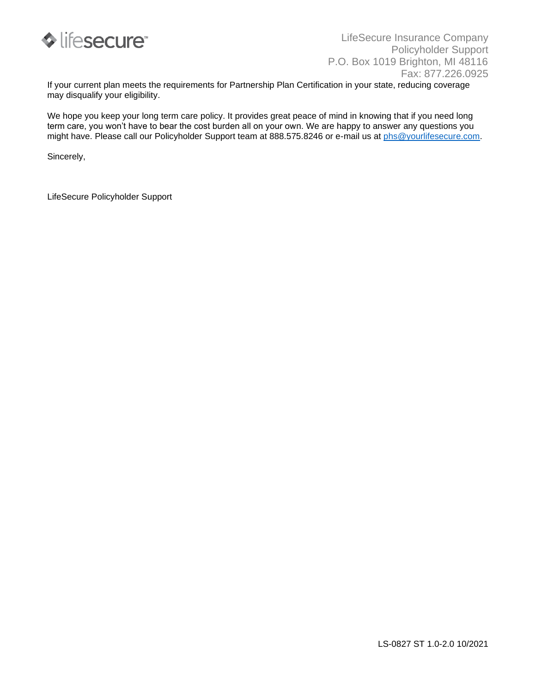

If your current plan meets the requirements for Partnership Plan Certification in your state, reducing coverage may disqualify your eligibility.

We hope you keep your long term care policy. It provides great peace of mind in knowing that if you need long term care, you won't have to bear the cost burden all on your own. We are happy to answer any questions you might have. Please call our Policyholder Support team at 888.575.8246 or e-mail us at [phs@yourlifesecure.com.](mailto:phs@yourlifesecure.com)

Sincerely,

LifeSecure Policyholder Support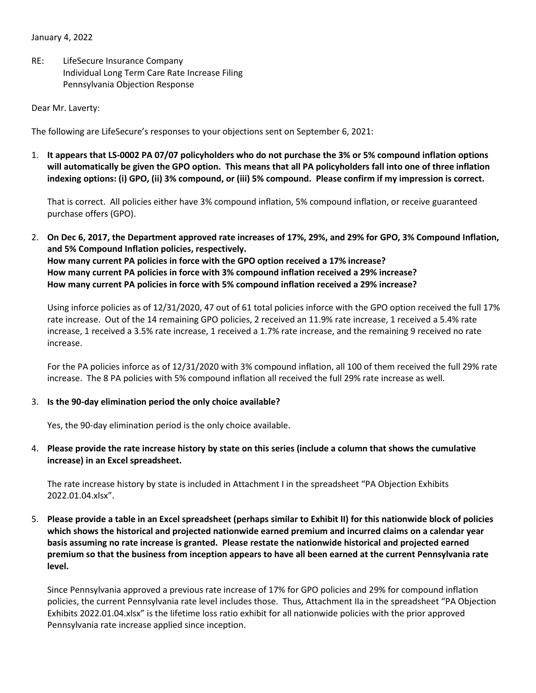January 4, 2022

RE: LifeSecure Insurance Company Individual Long Term Care Rate Increase Filing Pennsylvania Objection Response

Dear Mr. Laverty:

The following are LifeSecure's responses to your objections sent on September 6, 2021:

1. **It appears that LS-0002 PA 07/07 policyholders who do not purchase the 3% or 5% compound inflation options will automatically be given the GPO option. This means that all PA policyholders fall into one of three inflation indexing options: (i) GPO, (ii) 3% compound, or (iii) 5% compound. Please confirm if my impression is correct.**

That is correct. All policies either have 3% compound inflation, 5% compound inflation, or receive guaranteed purchase offers (GPO).

2. **On Dec 6, 2017, the Department approved rate increases of 17%, 29%, and 29% for GPO, 3% Compound Inflation, and 5% Compound Inflation policies, respectively. How many current PA policies in force with the GPO option received a 17% increase? How many current PA policies in force with 3% compound inflation received a 29% increase? How many current PA policies in force with 5% compound inflation received a 29% increase?**

Using inforce policies as of 12/31/2020, 47 out of 61 total policies inforce with the GPO option received the full 17% rate increase. Out of the 14 remaining GPO policies, 2 received an 11.9% rate increase, 1 received a 5.4% rate increase, 1 received a 3.5% rate increase, 1 received a 1.7% rate increase, and the remaining 9 received no rate increase.

For the PA policies inforce as of 12/31/2020 with 3% compound inflation, all 100 of them received the full 29% rate increase. The 8 PA policies with 5% compound inflation all received the full 29% rate increase as well.

#### 3. **Is the 90-day elimination period the only choice available?**

Yes, the 90-day elimination period is the only choice available.

4. **Please provide the rate increase history by state on this series (include a column that shows the cumulative increase) in an Excel spreadsheet.**

The rate increase history by state is included in Attachment I in the spreadsheet "PA Objection Exhibits 2022.01.04.xlsx".

5. **Please provide a table in an Excel spreadsheet (perhaps similar to Exhibit II) for this nationwide block of policies which shows the historical and projected nationwide earned premium and incurred claims on a calendar year basis assuming no rate increase is granted. Please restate the nationwide historical and projected earned premium so that the business from inception appears to have all been earned at the current Pennsylvania rate level.**

Since Pennsylvania approved a previous rate increase of 17% for GPO policies and 29% for compound inflation policies, the current Pennsylvania rate level includes those. Thus, Attachment IIa in the spreadsheet "PA Objection Exhibits 2022.01.04.xlsx" is the lifetime loss ratio exhibit for all nationwide policies with the prior approved Pennsylvania rate increase applied since inception.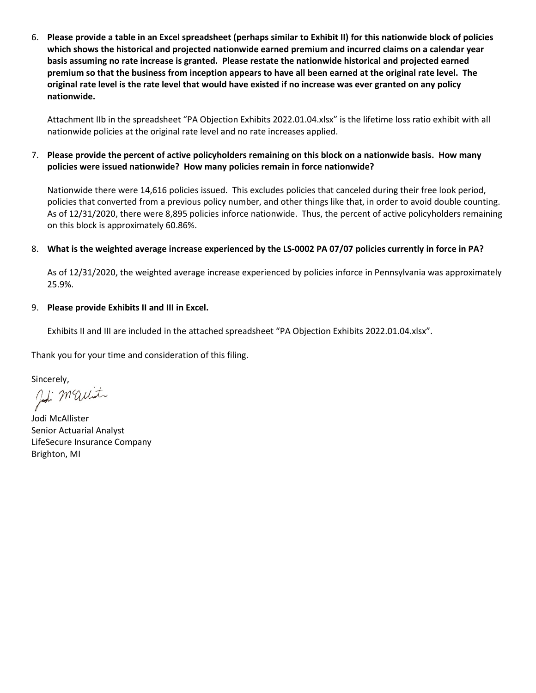6. **Please provide a table in an Excel spreadsheet (perhaps similar to Exhibit II) for this nationwide block of policies which shows the historical and projected nationwide earned premium and incurred claims on a calendar year basis assuming no rate increase is granted. Please restate the nationwide historical and projected earned premium so that the business from inception appears to have all been earned at the original rate level. The original rate level is the rate level that would have existed if no increase was ever granted on any policy nationwide.**

Attachment IIb in the spreadsheet "PA Objection Exhibits 2022.01.04.xlsx" is the lifetime loss ratio exhibit with all nationwide policies at the original rate level and no rate increases applied.

## 7. **Please provide the percent of active policyholders remaining on this block on a nationwide basis. How many policies were issued nationwide? How many policies remain in force nationwide?**

Nationwide there were 14,616 policies issued. This excludes policies that canceled during their free look period, policies that converted from a previous policy number, and other things like that, in order to avoid double counting. As of 12/31/2020, there were 8,895 policies inforce nationwide. Thus, the percent of active policyholders remaining on this block is approximately 60.86%.

### 8. **What is the weighted average increase experienced by the LS-0002 PA 07/07 policies currently in force in PA?**

As of 12/31/2020, the weighted average increase experienced by policies inforce in Pennsylvania was approximately 25.9%.

### 9. **Please provide Exhibits II and III in Excel.**

Exhibits II and III are included in the attached spreadsheet "PA Objection Exhibits 2022.01.04.xlsx".

Thank you for your time and consideration of this filing.

Sincerely,<br>and Maunt

Jodi McAllister Senior Actuarial Analyst LifeSecure Insurance Company Brighton, MI